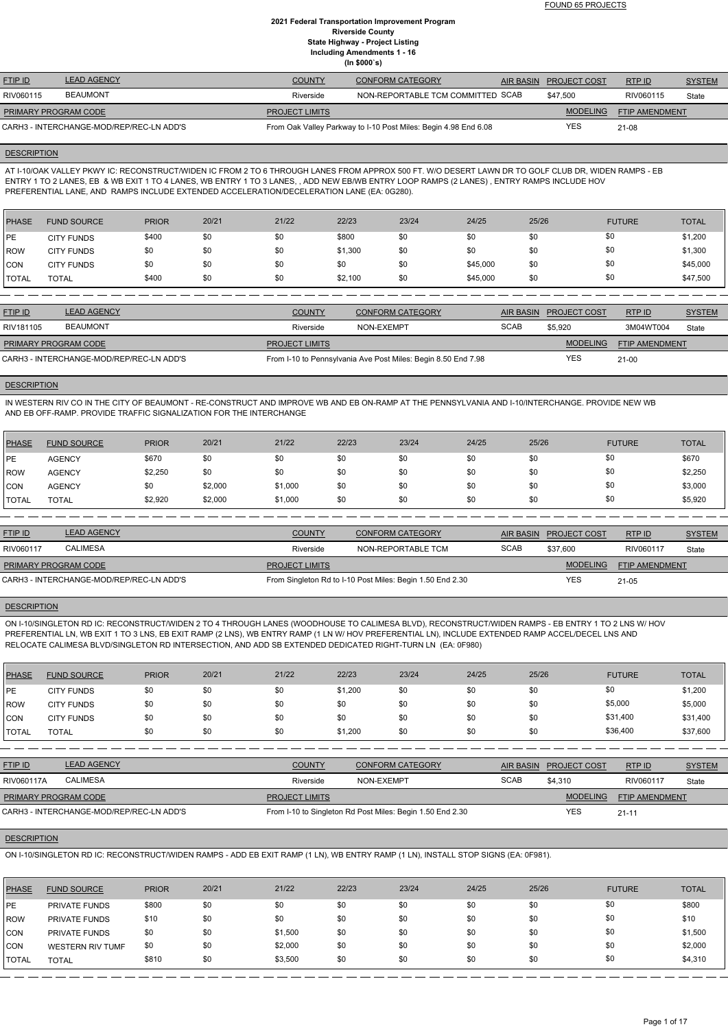| <b>FTIP ID</b>       | <b>LEAD AGENCY</b>                       | <b>COUNTY</b>         | CONFORM CATEGORY                                                | AIR BASIN PROJECT COST | RTPID          | <b>SYSTEM</b> |
|----------------------|------------------------------------------|-----------------------|-----------------------------------------------------------------|------------------------|----------------|---------------|
| RIV060115            | <b>BEAUMONT</b>                          | Riverside             | NON-REPORTABLE TCM COMMITTED SCAB                               | \$47.500               | RIV060115      | State         |
| PRIMARY PROGRAM CODE |                                          | <b>PROJECT LIMITS</b> |                                                                 | <b>MODELING</b>        | FTIP AMENDMENT |               |
|                      | CARH3 - INTERCHANGE-MOD/REP/REC-LN ADD'S |                       | From Oak Valley Parkway to I-10 Post Miles: Begin 4.98 End 6.08 | YES                    | $21 - 08$      |               |

#### **DESCRIPTION**

AT I-10/OAK VALLEY PKWY IC: RECONSTRUCT/WIDEN IC FROM 2 TO 6 THROUGH LANES FROM APPROX 500 FT. W/O DESERT LAWN DR TO GOLF CLUB DR, WIDEN RAMPS - EB ENTRY 1 TO 2 LANES, EB & WB EXIT 1 TO 4 LANES, WB ENTRY 1 TO 3 LANES, , ADD NEW EB/WB ENTRY LOOP RAMPS (2 LANES) , ENTRY RAMPS INCLUDE HOV PREFERENTIAL LANE, AND RAMPS INCLUDE EXTENDED ACCELERATION/DECELERATION LANE (EA: 0G280).

| <b>PHASE</b> | <b>FUND SOURCE</b> | <b>PRIOR</b> | 20/21 | 21/22 | 22/23   | 23/24 | 24/25    | 25/26 | <b>FUTURE</b> | <b>TOTAL</b> |
|--------------|--------------------|--------------|-------|-------|---------|-------|----------|-------|---------------|--------------|
| <b>IPE</b>   | <b>CITY FUNDS</b>  | \$400        | \$0   | \$0   | \$800   | \$0   | \$0      | \$0   | \$0           | \$1,200      |
| <b>IROW</b>  | <b>CITY FUNDS</b>  | \$0          | \$0   | \$0   | \$1,300 | \$0   | \$0      | \$0   | \$0           | \$1,300      |
| CON          | <b>CITY FUNDS</b>  | \$0          | \$0   | \$0   |         | \$0   | \$45,000 | \$0   | \$0           | \$45,000     |
| <b>TOTAL</b> | <b>TOTAL</b>       | \$400        | \$0   | \$0   | \$2,100 | \$0   | \$45,000 | \$0   | \$0           | \$47,500     |

| <b>FTIP ID</b>                           | <b>LEAD AGENCY</b> | <b>COUNTY</b>         | <b>CONFORM CATEGORY</b>                                       |             | AIR BASIN PROJECT COST | RTPID                 | <b>SYSTEM</b> |
|------------------------------------------|--------------------|-----------------------|---------------------------------------------------------------|-------------|------------------------|-----------------------|---------------|
| RIV181105                                | <b>BEAUMONT</b>    | Riverside             | NON-EXEMPT                                                    | <b>SCAB</b> | \$5.920                | 3M04WT004             | State         |
| <b>PRIMARY PROGRAM CODE</b>              |                    | <b>PROJECT LIMITS</b> |                                                               |             | <b>MODELING</b>        | <b>FTIP AMENDMENT</b> |               |
| CARH3 - INTERCHANGE-MOD/REP/REC-LN ADD'S |                    |                       | From I-10 to Pennsylvania Ave Post Miles: Begin 8.50 End 7.98 |             | YES                    | $21 - 00$             |               |

#### **DESCRIPTION**

IN WESTERN RIV CO IN THE CITY OF BEAUMONT - RE-CONSTRUCT AND IMPROVE WB AND EB ON-RAMP AT THE PENNSYLVANIA AND I-10/INTERCHANGE. PROVIDE NEW WB AND EB OFF-RAMP. PROVIDE TRAFFIC SIGNALIZATION FOR THE INTERCHANGE

| <b>PHASE</b> | <b>FUND SOURCE</b> | <b>PRIOR</b> | 20/21   | 21/22   | 22/23 | 23/24 | 24/25 | 25/26 | <b>FUTURE</b> | <b>TOTAL</b> |
|--------------|--------------------|--------------|---------|---------|-------|-------|-------|-------|---------------|--------------|
| <b>IPE</b>   | <b>AGENCY</b>      | \$670        | \$0     | \$0     | \$0   | \$0   | \$0   | \$0   | \$0           | \$670        |
| <b>IROW</b>  | <b>AGENCY</b>      | \$2,250      | \$0     | \$0     | \$0   | \$0   | \$0   | \$0   | \$0           | \$2,250      |
| <b>CON</b>   | <b>AGENCY</b>      | \$0          | \$2,000 | \$1,000 | \$0   | \$0   | \$0   | \$0   | \$0           | \$3,000      |
| <b>TOTAL</b> | TOTAL              | \$2,920      | \$2,000 | \$1,000 | \$0   | \$0   | \$0   | \$0   | \$0           | \$5,920      |

| <b>FTIP ID</b>              | <b>LEAD AGENCY</b>                       | <b>COUNTY</b>         | <b>CONFORM CATEGORY</b>                                   |             | AIR BASIN PROJECT COST | RTPID                 | <b>SYSTEM</b> |
|-----------------------------|------------------------------------------|-----------------------|-----------------------------------------------------------|-------------|------------------------|-----------------------|---------------|
| RIV060117                   | <b>CALIMESA</b>                          | Riverside             | NON-REPORTABLE TCM                                        | <b>SCAB</b> | \$37,600               | RIV060117             | State         |
| <b>PRIMARY PROGRAM CODE</b> |                                          | <b>PROJECT LIMITS</b> |                                                           |             | <b>MODELING</b>        | <b>FTIP AMENDMENT</b> |               |
|                             | CARH3 - INTERCHANGE-MOD/REP/REC-LN ADD'S |                       | From Singleton Rd to I-10 Post Miles: Begin 1.50 End 2.30 |             | <b>YES</b>             | $21 - 05$             |               |

ON I-10/SINGLETON RD IC: RECONSTRUCT/WIDEN 2 TO 4 THROUGH LANES (WOODHOUSE TO CALIMESA BLVD), RECONSTRUCT/WIDEN RAMPS - EB ENTRY 1 TO 2 LNS W/ HOV PREFERENTIAL LN, WB EXIT 1 TO 3 LNS, EB EXIT RAMP (2 LNS), WB ENTRY RAMP (1 LN W/ HOV PREFERENTIAL LN), INCLUDE EXTENDED RAMP ACCEL/DECEL LNS AND RELOCATE CALIMESA BLVD/SINGLETON RD INTERSECTION, AND ADD SB EXTENDED DEDICATED RIGHT-TURN LN (EA: 0F980)

#### DESCRIPTION

| <b>PHASE</b> | <b>FUND SOURCE</b> | <b>PRIOR</b> | 20/21 | 21/22 | 22/23   | 23/24 | 24/25 | 25/26 | <b>FUTURE</b> | <b>TOTAL</b> |
|--------------|--------------------|--------------|-------|-------|---------|-------|-------|-------|---------------|--------------|
| lPE          | <b>CITY FUNDS</b>  | \$0          | \$0   | \$0   | \$1,200 | \$0   | \$0   | \$0   | \$0           | \$1,200      |
| ROW          | <b>CITY FUNDS</b>  | \$0          | \$0   | \$0   | \$0     | \$0   | \$0   |       | \$5,000       | \$5,000      |
| CON          | <b>CITY FUNDS</b>  | \$0          | \$0   | \$0   | \$0     | \$0   | \$0   | \$0   | \$31,400      | \$31,400     |
| <b>TOTAL</b> | <b>TOTAL</b>       | \$0          | \$0   | \$0   | \$1,200 | \$0   | \$0   | \$0   | \$36,400      | \$37,600     |

| LEAD AGENCY<br><b>FTIP ID</b>            |                 | <b>COUNTY</b><br><b>CONFORM CATEGORY</b>                  |            | AIR BASIN   | <b>PROJECT COST</b> | RTP ID                | <b>SYSTEM</b> |
|------------------------------------------|-----------------|-----------------------------------------------------------|------------|-------------|---------------------|-----------------------|---------------|
| RIV060117A                               | <b>CALIMESA</b> | Riverside                                                 | NON-EXEMPT | <b>SCAB</b> | \$4.310             | RIV060117             | State         |
| <b>PRIMARY PROGRAM CODE</b>              |                 | <b>PROJECT LIMITS</b>                                     |            |             | <b>MODELING</b>     | <b>FTIP AMENDMENT</b> |               |
| CARH3 - INTERCHANGE-MOD/REP/REC-LN ADD'S |                 | From I-10 to Singleton Rd Post Miles: Begin 1.50 End 2.30 |            |             | YES                 | $21 - 11$             |               |

#### **DESCRIPTION**

ON I-10/SINGLETON RD IC: RECONSTRUCT/WIDEN RAMPS - ADD EB EXIT RAMP (1 LN), WB ENTRY RAMP (1 LN), INSTALL STOP SIGNS (EA: 0F981).

| <b>PHASE</b> | <b>FUND SOURCE</b>      | <b>PRIOR</b> | 20/21 | 21/22   | 22/23 | 23/24 | 24/25 | 25/26 | <b>FUTURE</b> | <b>TOTAL</b> |
|--------------|-------------------------|--------------|-------|---------|-------|-------|-------|-------|---------------|--------------|
| <b>IPE</b>   | <b>PRIVATE FUNDS</b>    | \$800        | \$0   | \$0     | \$0   | \$0   | \$0   | \$0   | \$0           | \$800        |
| <b>IROW</b>  | <b>PRIVATE FUNDS</b>    | \$10         | \$0   | \$0     | \$0   | \$0   | \$0   | \$0   | \$0           | \$10         |
| ICON         | <b>PRIVATE FUNDS</b>    | \$0          | \$0   | \$1,500 | \$0   | \$0   | \$0   | \$0   | \$0           | \$1,500      |
| <b>CON</b>   | <b>WESTERN RIV TUMF</b> | \$0          | \$0   | \$2,000 | \$0   | \$0   | \$0   | \$0   | \$0           | \$2,000      |
| <b>TOTAL</b> | <b>TOTAL</b>            | \$810        | \$0   | \$3,500 | \$0   | \$0   | \$0   | \$0   | \$0           | \$4,310      |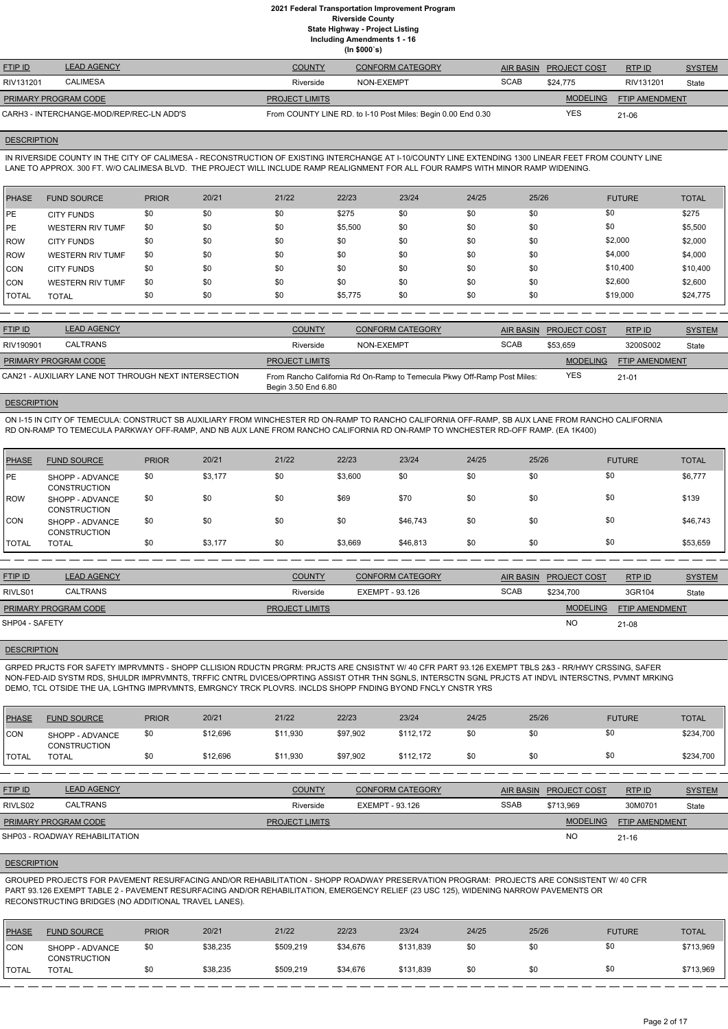| <b>FTIP ID</b>              | <b>LEAD AGENCY</b>                       | <b>COUNTY</b>         | CONFORM CATEGORY                                             |             | AIR BASIN PROJECT COST | RTPID                 | <b>SYSTEM</b> |
|-----------------------------|------------------------------------------|-----------------------|--------------------------------------------------------------|-------------|------------------------|-----------------------|---------------|
| RIV131201                   | <b>CALIMESA</b>                          | Riverside             | NON-EXEMPT                                                   | <b>SCAB</b> | \$24,775               | RIV131201             | State         |
| <b>PRIMARY PROGRAM CODE</b> |                                          | <b>PROJECT LIMITS</b> |                                                              |             | <b>MODELING</b>        | <b>FTIP AMENDMENT</b> |               |
|                             | CARH3 - INTERCHANGE-MOD/REP/REC-LN ADD'S |                       | From COUNTY LINE RD. to I-10 Post Miles: Begin 0.00 End 0.30 |             | YES                    | $21 - 06$             |               |

## **DESCRIPTION**

IN RIVERSIDE COUNTY IN THE CITY OF CALIMESA - RECONSTRUCTION OF EXISTING INTERCHANGE AT I-10/COUNTY LINE EXTENDING 1300 LINEAR FEET FROM COUNTY LINE LANE TO APPROX. 300 FT. W/O CALIMESA BLVD. THE PROJECT WILL INCLUDE RAMP REALIGNMENT FOR ALL FOUR RAMPS WITH MINOR RAMP WIDENING.

| <b>PHASE</b> | <b>FUND SOURCE</b>      | <b>PRIOR</b> | 20/21 | 21/22 | 22/23   | 23/24 | 24/25 | 25/26 | <b>FUTURE</b> | <b>TOTAL</b> |
|--------------|-------------------------|--------------|-------|-------|---------|-------|-------|-------|---------------|--------------|
| <b>IPE</b>   | <b>CITY FUNDS</b>       | \$0          | \$0   | \$0   | \$275   | \$0   | \$0   | \$0   | \$0           | \$275        |
| <b>IPE</b>   | <b>WESTERN RIV TUMF</b> | \$0          | \$0   | \$0   | \$5,500 | \$0   | \$0   | \$0   | \$0           | \$5,500      |
| ROW          | <b>CITY FUNDS</b>       | \$0          | \$0   | \$0   | \$0     | \$0   | \$0   | \$0   | \$2,000       | \$2,000      |
| <b>IROW</b>  | <b>WESTERN RIV TUMF</b> | \$0          | \$0   | \$0   | \$0     | \$0   | \$0   | \$0   | \$4,000       | \$4,000      |
| CON          | <b>CITY FUNDS</b>       | \$0          | \$0   | \$0   | \$0     | \$0   | \$0   | \$0   | \$10,400      | \$10,400     |
| ICON         | <b>WESTERN RIV TUMF</b> | \$0          | \$0   | \$0   | \$0     | \$0   | \$0   | \$0   | \$2,600       | \$2,600      |
| <b>TOTAL</b> | <b>TOTAL</b>            | \$0          | \$0   | \$0   | \$5,775 | \$0   | \$0   | \$0   | \$19,000      | \$24,775     |

| <b>FTIP ID</b>       | <b>LEAD AGENCY</b>                                   | <b>COUNTY</b>         | <b>CONFORM CATEGORY</b>                                                 | <b>AIR BASIN</b> | <b>PROJECT COST</b> | RTPID                 | <b>SYSTEM</b> |
|----------------------|------------------------------------------------------|-----------------------|-------------------------------------------------------------------------|------------------|---------------------|-----------------------|---------------|
| RIV190901            | <b>CALTRANS</b>                                      | Riverside             | NON-EXEMPT                                                              | <b>SCAB</b>      | \$53.659            | 3200S002              | State         |
| PRIMARY PROGRAM CODE |                                                      | <b>PROJECT LIMITS</b> |                                                                         |                  | <b>MODELING</b>     | <b>FTIP AMENDMENT</b> |               |
|                      | CAN21 - AUXILIARY LANE NOT THROUGH NEXT INTERSECTION | Begin 3.50 End 6.80   | From Rancho California Rd On-Ramp to Temecula Pkwy Off-Ramp Post Miles: |                  | <b>YES</b>          | $21 - 01$             |               |

## **DESCRIPTION**

ON I-15 IN CITY OF TEMECULA: CONSTRUCT SB AUXILIARY FROM WINCHESTER RD ON-RAMP TO RANCHO CALIFORNIA OFF-RAMP, SB AUX LANE FROM RANCHO CALIFORNIA RD ON-RAMP TO TEMECULA PARKWAY OFF-RAMP, AND NB AUX LANE FROM RANCHO CALIFORNIA RD ON-RAMP TO WNCHESTER RD-OFF RAMP. (EA 1K400)

| <b>PHASE</b> | <b>FUND SOURCE</b>                     | <b>PRIOR</b> | 20/21   | 21/22 | 22/23   | 23/24    | 24/25 | 25/26 | <b>FUTURE</b> | <b>TOTAL</b> |
|--------------|----------------------------------------|--------------|---------|-------|---------|----------|-------|-------|---------------|--------------|
| <b>IPE</b>   | SHOPP - ADVANCE<br><b>CONSTRUCTION</b> | \$0          | \$3,177 | \$0   | \$3,600 | \$0      | \$0   | \$0   | \$0           | \$6,777      |
| ROW          | SHOPP - ADVANCE<br><b>CONSTRUCTION</b> | \$0          | \$0     | \$0   | \$69    | \$70     | \$0   | \$0   | \$0           | \$139        |
| <b>ICON</b>  | SHOPP - ADVANCE<br><b>CONSTRUCTION</b> | \$0          | \$0     | \$0   | \$0     | \$46,743 | \$0   | \$0   | \$0           | \$46,743     |
| <b>TOTAL</b> | <b>TOTAL</b>                           | \$0          | \$3,177 | \$0   | \$3,669 | \$46,813 | \$0   | \$0   | \$0           | \$53,659     |
|              |                                        |              |         |       |         |          |       |       |               |              |

| <b>FTIP ID</b>       | <b>LEAD AGENCY</b> | <b>COUNTY</b>         | <b>CONFORM CATEGORY</b> |             | AIR BASIN PROJECT COST | RTP ID                | <b>SYSTEM</b> |
|----------------------|--------------------|-----------------------|-------------------------|-------------|------------------------|-----------------------|---------------|
| RIVLS01              | CALTRANS           | Riverside             | EXEMPT - 93.126         | <b>SCAB</b> | \$234,700              | 3GR104                | State         |
| PRIMARY PROGRAM CODE |                    | <b>PROJECT LIMITS</b> |                         |             | <b>MODELING</b>        | <b>FTIP AMENDMENT</b> |               |
| SHP04 - SAFETY       |                    |                       |                         |             | <b>NO</b>              | 21-08                 |               |

#### **DESCRIPTION**

GRPED PRJCTS FOR SAFETY IMPRVMNTS - SHOPP CLLISION RDUCTN PRGRM: PRJCTS ARE CNSISTNT W/ 40 CFR PART 93.126 EXEMPT TBLS 2&3 - RR/HWY CRSSING, SAFER NON-FED-AID SYSTM RDS, SHULDR IMPRVMNTS, TRFFIC CNTRL DVICES/OPRTING ASSIST OTHR THN SGNLS, INTERSCTN SGNL PRJCTS AT INDVL INTERSCTNS, PVMNT MRKING DEMO, TCL OTSIDE THE UA, LGHTNG IMPRVMNTS, EMRGNCY TRCK PLOVRS. INCLDS SHOPP FNDING BYOND FNCLY CNSTR YRS

| <b>PHASE</b>   | <b>FUND SOURCE</b>                     | <b>PRIOR</b> | 20/21    | 21/22    | 22/23    | 23/24     | 24/25 | 25/26 | <b>FUTURE</b> | <b>TOTAL</b> |
|----------------|----------------------------------------|--------------|----------|----------|----------|-----------|-------|-------|---------------|--------------|
| <b>CON</b>     | SHOPP - ADVANCE<br><b>CONSTRUCTION</b> | \$0          | \$12,696 | \$11,930 | \$97,902 | \$112.172 | \$0   | \$0   | \$0           | \$234,700    |
| <b>I</b> TOTAL | <b>TOTAL</b>                           |              | \$12,696 | \$11,930 | \$97,902 | \$112.172 | \$0   | \$0   |               | \$234,700    |

| <b>FTIP ID</b>              | <b>LEAD AGENCY</b>             | <b>COUNTY</b>         | <b>CONFORM CATEGORY</b> |             | AIR BASIN PROJECT COST | RTPID                 | <b>SYSTEM</b> |
|-----------------------------|--------------------------------|-----------------------|-------------------------|-------------|------------------------|-----------------------|---------------|
| CALTRANS<br>RIVLS02         |                                | Riverside             | EXEMPT - 93.126         | <b>SSAB</b> | \$713.969              | 30M0701               | State         |
| <b>PRIMARY PROGRAM CODE</b> |                                | <b>PROJECT LIMITS</b> |                         |             | <b>MODELING</b>        | <b>FTIP AMENDMENT</b> |               |
|                             | SHP03 - ROADWAY REHABILITATION |                       |                         |             | <b>NC</b>              | $21 - 16$             |               |

#### **DESCRIPTION**

GROUPED PROJECTS FOR PAVEMENT RESURFACING AND/OR REHABILITATION - SHOPP ROADWAY PRESERVATION PROGRAM: PROJECTS ARE CONSISTENT W/ 40 CFR PART 93.126 EXEMPT TABLE 2 - PAVEMENT RESURFACING AND/OR REHABILITATION, EMERGENCY RELIEF (23 USC 125), WIDENING NARROW PAVEMENTS OR RECONSTRUCTING BRIDGES (NO ADDITIONAL TRAVEL LANES).

| <b>PHASE</b> | <b>FUND SOURCE</b>                     | <b>PRIOR</b> | 20/21    | 21/22     | 22/23    | 23/24     | 24/25 | 25/26 | <b>FUTURE</b> | <b>TOTAL</b> |
|--------------|----------------------------------------|--------------|----------|-----------|----------|-----------|-------|-------|---------------|--------------|
| CON          | SHOPP - ADVANCE<br><b>CONSTRUCTION</b> | \$0          | \$38,235 | \$509,219 | \$34,676 | \$131,839 | \$0   | \$0   | \$0           | \$713,969    |
| <b>TOTAL</b> | TOTAL                                  | \$0          | \$38,235 | \$509,219 | \$34,676 | \$131,839 | \$0   | \$0   | \$0           | \$713,969    |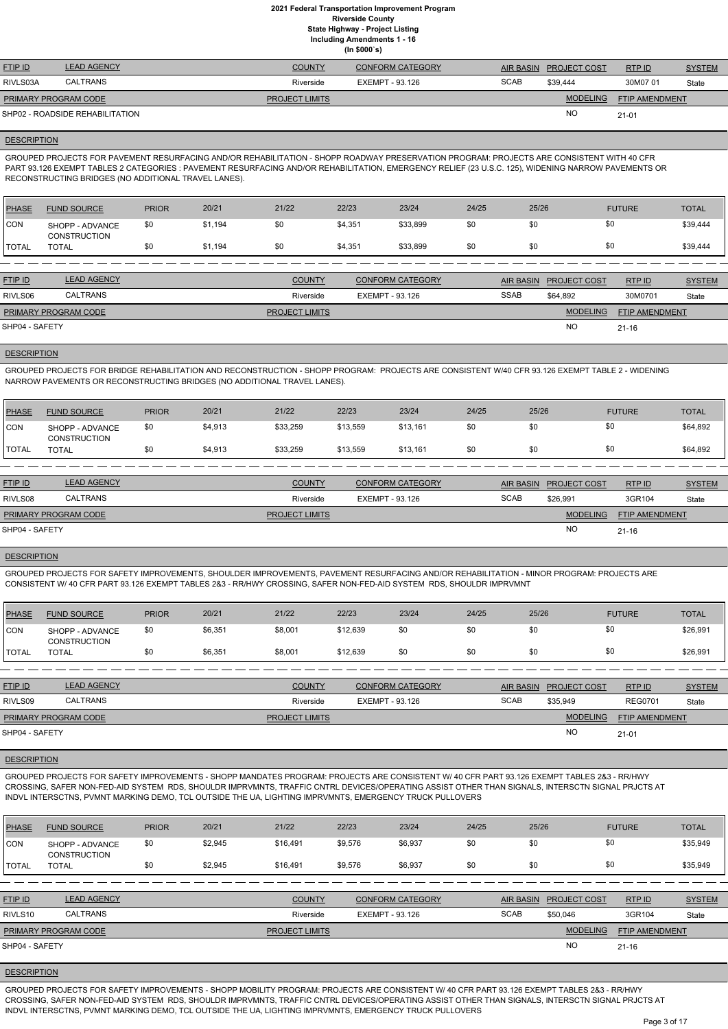**(In \$000`s)** FTIP ID LEAD AGENCY COUNTY CONFORM CATEGORY AIR BASIN PROJECT COST RTP ID SYSTEM AND STREM **MODELING** FTIP AMENDMENT RTP ID RIVLS03A CALTRANS Riverside EXEMPT - 93.126 State NO SCAB \$39,444 30M07 01 21-01 PROJECT LIMITS SHP02 - ROADSIDE REHABILITATION PRIMARY PROGRAM CODE

#### **DESCRIPTION**

GROUPED PROJECTS FOR PAVEMENT RESURFACING AND/OR REHABILITATION - SHOPP ROADWAY PRESERVATION PROGRAM: PROJECTS ARE CONSISTENT WITH 40 CFR PART 93.126 EXEMPT TABLES 2 CATEGORIES : PAVEMENT RESURFACING AND/OR REHABILITATION, EMERGENCY RELIEF (23 U.S.C. 125), WIDENING NARROW PAVEMENTS OR RECONSTRUCTING BRIDGES (NO ADDITIONAL TRAVEL LANES).

| <b>PHASE</b> | <b>FUND SOURCE</b>                     | <b>PRIOR</b> | 20/21   | 21/22 | 22/23   | 23/24    | 24/25 | 25/26 | <b>FUTURE</b> | <b>TOTAL</b> |
|--------------|----------------------------------------|--------------|---------|-------|---------|----------|-------|-------|---------------|--------------|
| CON          | SHOPP - ADVANCE<br><b>CONSTRUCTION</b> | \$0          | \$1,194 | \$0   | \$4,351 | \$33,899 | \$0   | \$0   | \$0           | \$39,444     |
| <b>TOTAL</b> | TOTAL                                  | \$0          | \$1,194 | \$0   | \$4,351 | \$33,899 | \$0   | \$0   | \$0           | \$39,444     |

| <b>LEAD AGENCY</b>          | <b>COUNTY</b>         | <b>CONFORM CATEGORY</b> |             |                 | RTPID                         | <b>SYSTEM</b>               |
|-----------------------------|-----------------------|-------------------------|-------------|-----------------|-------------------------------|-----------------------------|
| <b>CALTRANS</b>             | Riverside             | EXEMPT - 93.126         | <b>SSAB</b> | \$64.892        | 30M0701                       | State                       |
| <b>PRIMARY PROGRAM CODE</b> | <b>PROJECT LIMITS</b> |                         |             | <b>MODELING</b> |                               |                             |
| SHP04 - SAFETY              |                       |                         |             | <b>NO</b>       |                               |                             |
|                             |                       |                         |             |                 | <b>AIR BASIN PROJECT COST</b> | FTIP AMENDMENT<br>$21 - 16$ |

#### **DESCRIPTION**

GROUPED PROJECTS FOR BRIDGE REHABILITATION AND RECONSTRUCTION - SHOPP PROGRAM: PROJECTS ARE CONSISTENT W/40 CFR 93.126 EXEMPT TABLE 2 - WIDENING NARROW PAVEMENTS OR RECONSTRUCTING BRIDGES (NO ADDITIONAL TRAVEL LANES).

| PHASE          | <b>FUND SOURCE</b>                     | <b>PRIOR</b> | 20/21   | 21/22    | 22/23    | 23/24    | 24/25 | 25/26 | <b>FUTURE</b> | <b>TOTAL</b> |
|----------------|----------------------------------------|--------------|---------|----------|----------|----------|-------|-------|---------------|--------------|
| <b>CON</b>     | SHOPP - ADVANCE<br><b>CONSTRUCTION</b> | \$0          | \$4,913 | \$33,259 | \$13,559 | \$13,161 | \$0   | \$0   |               | \$64,892     |
| <b>I</b> TOTAL | <b>TOTAL</b>                           | \$0          | \$4,913 | \$33,259 | \$13,559 | \$13,161 | \$0   | \$0   |               | \$64,892     |

| <b>FTIP ID</b>              | <b>LEAD AGENCY</b> | <b>COUNTY</b>         | <b>CONFORM CATEGORY</b> | <b>AIR BASIN</b> | <b>PROJECT COST</b> | RTP ID                | <b>SYSTEM</b> |
|-----------------------------|--------------------|-----------------------|-------------------------|------------------|---------------------|-----------------------|---------------|
| RIVLS08                     | <b>CALTRANS</b>    | Riverside             | EXEMPT - 93.126         | <b>SCAB</b>      | \$26,991            | 3GR104                | State         |
| <b>PRIMARY PROGRAM CODE</b> |                    | <b>PROJECT LIMITS</b> |                         |                  | <b>MODELING</b>     | <b>FTIP AMENDMENT</b> |               |
| SHP04 - SAFETY              |                    |                       |                         |                  | NO                  | 21-16                 |               |

#### **DESCRIPTION**

GROUPED PROJECTS FOR SAFETY IMPROVEMENTS, SHOULDER IMPROVEMENTS, PAVEMENT RESURFACING AND/OR REHABILITATION - MINOR PROGRAM: PROJECTS ARE CONSISTENT W/ 40 CFR PART 93.126 EXEMPT TABLES 2&3 - RR/HWY CROSSING, SAFER NON-FED-AID SYSTEM RDS, SHOULDR IMPRVMNT

| PHASE        | <b>FUND SOURCE</b>                     | <b>PRIOR</b> | 20/21   | 21/22   | 22/23    | 23/24 | 24/25 | 25/26 | <b>FUTURE</b> | <b>TOTAL</b> |
|--------------|----------------------------------------|--------------|---------|---------|----------|-------|-------|-------|---------------|--------------|
| <b>CON</b>   | SHOPP - ADVANCE<br><b>CONSTRUCTION</b> | \$0          | \$6,351 | \$8,001 | \$12,639 | \$0   | \$0   | \$0   | \$0           | \$26,991     |
| <b>TOTAL</b> | <b>TOTAL</b>                           |              | \$6,351 | \$8,001 | \$12,639 | \$0   | \$0   | \$0   | \$0           | \$26,991     |

| <b>FTIP ID</b>       | <b>LEAD AGENCY</b> | <b>COUNTY</b>         | <b>CONFORM CATEGORY</b> |             | AIR BASIN PROJECT COST | RTP ID                | <b>SYSTEM</b> |
|----------------------|--------------------|-----------------------|-------------------------|-------------|------------------------|-----------------------|---------------|
| RIVLS09              | <b>CALTRANS</b>    | Riverside             | EXEMPT - 93.126         | <b>SCAB</b> | \$35.949               | <b>REG0701</b>        | State         |
| PRIMARY PROGRAM CODE |                    | <b>PROJECT LIMITS</b> |                         |             | <b>MODELING</b>        | <b>FTIP AMENDMENT</b> |               |
| SHP04 - SAFETY       |                    |                       |                         |             | <b>NO</b>              | $21 - 01$             |               |

**DESCRIPTION** 

GROUPED PROJECTS FOR SAFETY IMPROVEMENTS - SHOPP MANDATES PROGRAM: PROJECTS ARE CONSISTENT W/ 40 CFR PART 93.126 EXEMPT TABLES 2&3 - RR/HWY CROSSING, SAFER NON-FED-AID SYSTEM RDS, SHOULDR IMPRVMNTS, TRAFFIC CNTRL DEVICES/OPERATING ASSIST OTHER THAN SIGNALS, INTERSCTN SIGNAL PRJCTS AT INDVL INTERSCTNS, PVMNT MARKING DEMO, TCL OUTSIDE THE UA, LIGHTING IMPRVMNTS, EMERGENCY TRUCK PULLOVERS

| <b>PHASE</b>   | <b>FUND SOURCE</b>                     | <b>PRIOR</b> | 20/21   | 21/22                 | 22/23           | 23/24                   | 24/25 | 25/26            |                     | <b>FUTURE</b>         | <b>TOTAL</b>  |
|----------------|----------------------------------------|--------------|---------|-----------------------|-----------------|-------------------------|-------|------------------|---------------------|-----------------------|---------------|
| ICON           | SHOPP - ADVANCE<br><b>CONSTRUCTION</b> | \$0          | \$2,945 | \$16,491              | \$9,576         | \$6,937                 | \$0   | \$0              |                     | \$0                   | \$35,949      |
| I TOTAL        | <b>TOTAL</b>                           | \$0          | \$2,945 | \$16,491              | \$9,576         | \$6,937                 | \$0   | \$0              |                     | \$0                   | \$35,949      |
|                |                                        |              |         |                       |                 |                         |       |                  |                     |                       |               |
| <b>FTIP ID</b> | <b>LEAD AGENCY</b>                     |              |         | <b>COUNTY</b>         |                 | <b>CONFORM CATEGORY</b> |       | <b>AIR BASIN</b> | <b>PROJECT COST</b> | RTP ID                | <b>SYSTEM</b> |
| RIVLS10        | <b>CALTRANS</b>                        |              |         | Riverside             | EXEMPT - 93.126 |                         |       | <b>SCAB</b>      | \$50,046            | 3GR104                | State         |
|                | <b>PRIMARY PROGRAM CODE</b>            |              |         | <b>PROJECT LIMITS</b> |                 |                         |       |                  | <b>MODELING</b>     | <b>FTIP AMENDMENT</b> |               |
| SHP04 - SAFETY |                                        |              |         |                       |                 |                         |       |                  | N <sub>O</sub>      | $21 - 16$             |               |

GROUPED PROJECTS FOR SAFETY IMPROVEMENTS - SHOPP MOBILITY PROGRAM: PROJECTS ARE CONSISTENT W/ 40 CFR PART 93.126 EXEMPT TABLES 2&3 - RR/HWY CROSSING, SAFER NON-FED-AID SYSTEM RDS, SHOULDR IMPRVMNTS, TRAFFIC CNTRL DEVICES/OPERATING ASSIST OTHER THAN SIGNALS, INTERSCTN SIGNAL PRJCTS AT INDVL INTERSCTNS, PVMNT MARKING DEMO, TCL OUTSIDE THE UA, LIGHTING IMPRVMNTS, EMERGENCY TRUCK PULLOVERS

#### DESCRIPTION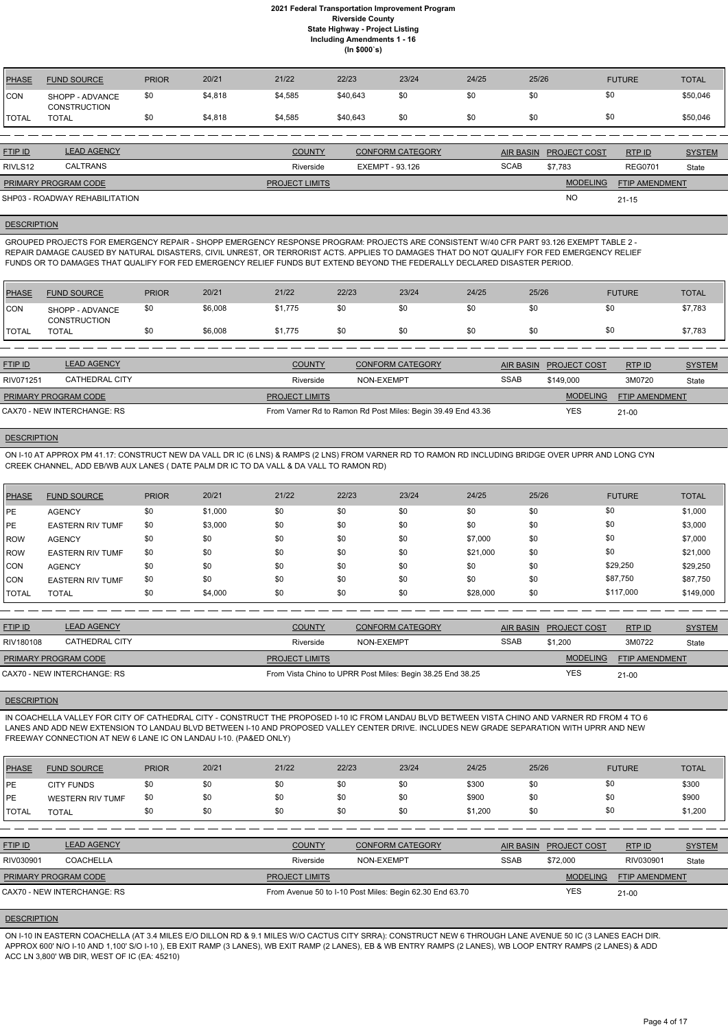| PHASE         | <b>FUND SOURCE</b>                     | <b>PRIOR</b> | 20/21   | 21/22                 | 22/23    | 23/24                   | 24/25 | 25/26            |                     | <b>FUTURE</b>         | <b>TOTAL</b>  |
|---------------|----------------------------------------|--------------|---------|-----------------------|----------|-------------------------|-------|------------------|---------------------|-----------------------|---------------|
| CON           | SHOPP - ADVANCE<br><b>CONSTRUCTION</b> | \$0          | \$4,818 | \$4,585               | \$40,643 | \$0                     | \$0   | \$0              | \$0                 |                       | \$50,046      |
| <b>ITOTAL</b> | <b>TOTAL</b>                           | \$0          | \$4,818 | \$4,585               | \$40,643 | \$0                     | \$0   | \$0              | \$0                 |                       | \$50,046      |
|               |                                        |              |         |                       |          |                         |       |                  |                     |                       |               |
| FTIP ID       | <b>LEAD AGENCY</b>                     |              |         | <b>COUNTY</b>         |          | <b>CONFORM CATEGORY</b> |       | <b>AIR BASIN</b> | <b>PROJECT COST</b> | RTP ID                | <b>SYSTEM</b> |
| RIVLS12       | <b>CALTRANS</b>                        |              |         | Riverside             |          | <b>EXEMPT - 93.126</b>  |       | <b>SCAB</b>      | \$7,783             | <b>REG0701</b>        | State         |
|               | PRIMARY PROGRAM CODE                   |              |         | <b>PROJECT LIMITS</b> |          |                         |       |                  | <b>MODELING</b>     | <b>FTIP AMENDMENT</b> |               |
|               | SHP03 - ROADWAY REHABILITATION         |              |         |                       |          |                         |       |                  | <b>NO</b>           | $21 - 15$             |               |

#### **DESCRIPTION**

GROUPED PROJECTS FOR EMERGENCY REPAIR - SHOPP EMERGENCY RESPONSE PROGRAM: PROJECTS ARE CONSISTENT W/40 CFR PART 93.126 EXEMPT TABLE 2 - REPAIR DAMAGE CAUSED BY NATURAL DISASTERS, CIVIL UNREST, OR TERRORIST ACTS. APPLIES TO DAMAGES THAT DO NOT QUALIFY FOR FED EMERGENCY RELIEF FUNDS OR TO DAMAGES THAT QUALIFY FOR FED EMERGENCY RELIEF FUNDS BUT EXTEND BEYOND THE FEDERALLY DECLARED DISASTER PERIOD.

| PHASE        | <b>FUND SOURCE</b>                     | <b>PRIOR</b> | 20/21   | 21/22   | 22/23 | 23/24 | 24/25 | 25/26 | <b>FUTURE</b> | <b>TOTAL</b> |
|--------------|----------------------------------------|--------------|---------|---------|-------|-------|-------|-------|---------------|--------------|
| <b>CON</b>   | SHOPP - ADVANCE<br><b>CONSTRUCTION</b> | \$0          | \$6,008 | \$1,775 | \$0   | \$0   | \$0   | \$0   | \$0           | \$7,783      |
| <b>TOTAL</b> | TOTAL                                  | \$0          | \$6,008 | \$1.775 | \$0   | \$0   | \$0   | \$0   | \$0           | \$7,783      |

| <b>FTIP ID</b>              | <b>LEAD AGENCY</b> | <b>COUNTY</b>         | CONFORM CATEGORY                                             | <b>AIR BASIN</b> | <b>PROJECT COST</b> | RTP ID                | <b>SYSTEM</b> |
|-----------------------------|--------------------|-----------------------|--------------------------------------------------------------|------------------|---------------------|-----------------------|---------------|
| RIV071251                   | CATHEDRAL CITY     | Riverside             | NON-EXEMPT                                                   | <b>SSAB</b>      | \$149,000           | 3M0720                | State         |
| <b>PRIMARY PROGRAM CODE</b> |                    | <b>PROJECT LIMITS</b> |                                                              |                  | <b>MODELING</b>     | <b>FTIP AMENDMENT</b> |               |
| CAX70 - NEW INTERCHANGE: RS |                    |                       | From Varner Rd to Ramon Rd Post Miles: Begin 39.49 End 43.36 |                  | YES                 | $21 - 00$             |               |

#### **DESCRIPTION**

ON I-10 AT APPROX PM 41.17: CONSTRUCT NEW DA VALL DR IC (6 LNS) & RAMPS (2 LNS) FROM VARNER RD TO RAMON RD INCLUDING BRIDGE OVER UPRR AND LONG CYN CREEK CHANNEL, ADD EB/WB AUX LANES ( DATE PALM DR IC TO DA VALL & DA VALL TO RAMON RD)

| <b>PHASE</b> | <b>FUND SOURCE</b>      | <b>PRIOR</b> | 20/21   | 21/22 | 22/23 | 23/24 | 24/25    | 25/26 | <b>FUTURE</b> | <b>TOTAL</b> |
|--------------|-------------------------|--------------|---------|-------|-------|-------|----------|-------|---------------|--------------|
| PE           | <b>AGENCY</b>           | \$0          | \$1,000 | \$0   | \$0   | \$0   | \$0      | \$0   | \$0           | \$1,000      |
| PE           | <b>EASTERN RIV TUMF</b> | \$0          | \$3,000 | \$0   | \$0   | \$0   | \$0      | \$0   | \$0           | \$3,000      |
| <b>ROW</b>   | <b>AGENCY</b>           | \$0          | \$0     | \$0   | \$0   | \$0   | \$7,000  | \$0   | \$0           | \$7,000      |
| <b>ROW</b>   | <b>EASTERN RIV TUMF</b> | \$0          | \$0     | \$0   | \$0   | \$0   | \$21,000 | \$0   | \$0           | \$21,000     |
| <b>CON</b>   | <b>AGENCY</b>           | \$0          | \$0     | \$0   | \$0   | \$0   | \$0      | \$0   | \$29,250      | \$29,250     |
| <b>CON</b>   | <b>EASTERN RIV TUMF</b> | \$0          | \$0     | \$0   | \$0   | \$0   | \$0      | \$0   | \$87,750      | \$87,750     |
| <b>TOTAL</b> | <b>TOTAL</b>            | \$0          | \$4,000 | \$0   | \$0   | \$0   | \$28,000 | \$0   | \$117,000     | \$149,000    |

| <b>FTIP ID</b>              | <b>LEAD AGENCY</b>          | <b>COUNTY</b>         | <b>CONFORM CATEGORY</b>                                    |             | AIR BASIN PROJECT COST | RTP ID                | <b>SYSTEM</b> |
|-----------------------------|-----------------------------|-----------------------|------------------------------------------------------------|-------------|------------------------|-----------------------|---------------|
| RIV180108                   | CATHEDRAL CITY              | Riverside             | NON-EXEMPT                                                 | <b>SSAB</b> | \$1,200                | 3M0722                | State         |
| <b>PRIMARY PROGRAM CODE</b> |                             | <b>PROJECT LIMITS</b> |                                                            |             | <b>MODELING</b>        | <b>FTIP AMENDMENT</b> |               |
|                             | CAX70 - NEW INTERCHANGE: RS |                       | From Vista Chino to UPRR Post Miles: Begin 38.25 End 38.25 |             | <b>YES</b>             | $21 - 00$             |               |

#### **DESCRIPTION**

IN COACHELLA VALLEY FOR CITY OF CATHEDRAL CITY - CONSTRUCT THE PROPOSED I-10 IC FROM LANDAU BLVD BETWEEN VISTA CHINO AND VARNER RD FROM 4 TO 6 LANES AND ADD NEW EXTENSION TO LANDAU BLVD BETWEEN I-10 AND PROPOSED VALLEY CENTER DRIVE. INCLUDES NEW GRADE SEPARATION WITH UPRR AND NEW FREEWAY CONNECTION AT NEW 6 LANE IC ON LANDAU I-10. (PA&ED ONLY)

| <b>PHASE</b> | <b>FUND SOURCE</b> | <b>PRIOR</b> | 20/21 | 21/22 | 22/23 | 23/24 | 24/25 | 25/26 | <b>FUTURE</b> | <b>TOTAL</b> |
|--------------|--------------------|--------------|-------|-------|-------|-------|-------|-------|---------------|--------------|
|              |                    |              |       |       |       |       |       |       |               |              |

| <b>IPE</b>     | <b>CITY FUNDS</b>           | \$0 | \$0 | \$0                   | \$0 | \$0                                                      | \$300   | \$0         | \$0                 |                       | \$300         |
|----------------|-----------------------------|-----|-----|-----------------------|-----|----------------------------------------------------------|---------|-------------|---------------------|-----------------------|---------------|
| PE             | WESTERN RIV TUMF            | \$0 | \$0 | \$0                   | \$0 | \$0                                                      | \$900   | \$0         | \$0                 |                       | \$900         |
| <b>ITOTAL</b>  | <b>TOTAL</b>                | \$0 | \$0 | \$0                   | \$0 | \$0                                                      | \$1.200 | \$0         | \$0                 |                       | \$1,200       |
|                |                             |     |     |                       |     |                                                          |         |             |                     |                       |               |
| <b>FTIP ID</b> | <b>LEAD AGENCY</b>          |     |     | <b>COUNTY</b>         |     | <b>CONFORM CATEGORY</b>                                  |         | AIR BASIN   | <b>PROJECT COST</b> | RTPID                 | <b>SYSTEM</b> |
| RIV030901      | <b>COACHELLA</b>            |     |     | Riverside             |     | NON-EXEMPT                                               |         | <b>SSAB</b> | \$72,000            | RIV030901             | State         |
|                | <b>PRIMARY PROGRAM CODE</b> |     |     | <b>PROJECT LIMITS</b> |     |                                                          |         |             | <b>MODELING</b>     | <b>FTIP AMENDMENT</b> |               |
|                | CAX70 - NEW INTERCHANGE: RS |     |     |                       |     | From Avenue 50 to I-10 Post Miles: Begin 62.30 End 63.70 |         |             | <b>YES</b>          | 21-00                 |               |

#### **DESCRIPTION**

ON I-10 IN EASTERN COACHELLA (AT 3.4 MILES E/O DILLON RD & 9.1 MILES W/O CACTUS CITY SRRA): CONSTRUCT NEW 6 THROUGH LANE AVENUE 50 IC (3 LANES EACH DIR. APPROX 600' N/O I-10 AND 1,100' S/O I-10 ), EB EXIT RAMP (3 LANES), WB EXIT RAMP (2 LANES), EB & WB ENTRY RAMPS (2 LANES), WB LOOP ENTRY RAMPS (2 LANES) & ADD ACC LN 3,800' WB DIR, WEST OF IC (EA: 45210)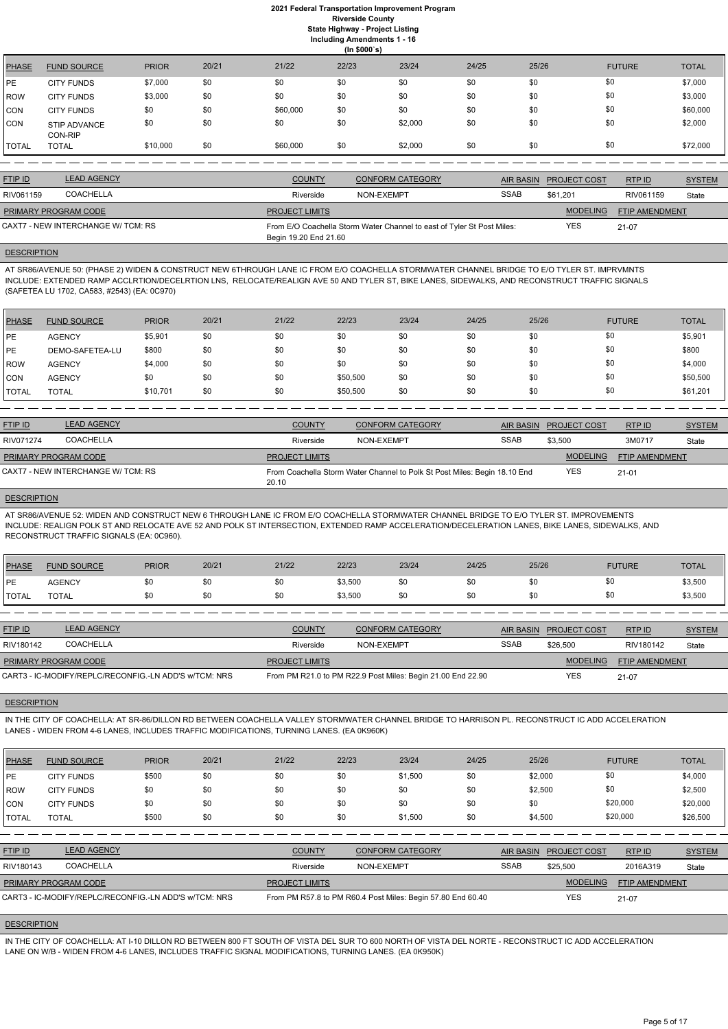|              | (ln \$000's)            |              |       |          |       |         |       |       |               |              |  |  |
|--------------|-------------------------|--------------|-------|----------|-------|---------|-------|-------|---------------|--------------|--|--|
| PHASE        | <b>FUND SOURCE</b>      | <b>PRIOR</b> | 20/21 | 21/22    | 22/23 | 23/24   | 24/25 | 25/26 | <b>FUTURE</b> | <b>TOTAL</b> |  |  |
| <b>IPE</b>   | <b>CITY FUNDS</b>       | \$7,000      | \$0   | \$0      | \$0   | \$0     | \$0   | \$0   | \$0           | \$7,000      |  |  |
| ROW          | <b>CITY FUNDS</b>       | \$3,000      | \$0   | \$0      | \$0   | \$0     | \$0   | \$0   | \$0           | \$3,000      |  |  |
| <b>CON</b>   | <b>CITY FUNDS</b>       | \$0          | \$0   | \$60,000 | \$0   | \$0     | \$0   | \$0   | \$0           | \$60,000     |  |  |
| <b>CON</b>   | STIP ADVANCE<br>CON-RIP | \$0          | \$0   | \$0      | \$0   | \$2,000 | \$0   | \$0   | \$0           | \$2,000      |  |  |
| <b>TOTAL</b> | <b>TOTAL</b>            | \$10,000     | \$0   | \$60,000 | \$0   | \$2,000 | \$0   | \$0   | \$0           | \$72,000     |  |  |

| <b>FTIP ID</b>                     | <b>LEAD AGENCY</b> | <b>COUNTY</b>         | <b>CONFORM CATEGORY</b>                                                |             | AIR BASIN PROJECT COST | RTP ID                | <b>SYSTEM</b> |
|------------------------------------|--------------------|-----------------------|------------------------------------------------------------------------|-------------|------------------------|-----------------------|---------------|
| RIV061159                          | <b>COACHELLA</b>   | Riverside             | NON-EXEMPT                                                             | <b>SSAB</b> | \$61.201               | RIV061159             | State         |
| <b>PRIMARY PROGRAM CODE</b>        |                    | <b>PROJECT LIMITS</b> |                                                                        |             | <b>MODELING</b>        | <b>FTIP AMENDMENT</b> |               |
| CAXT7 - NEW INTERCHANGE W/ TCM: RS |                    | Begin 19.20 End 21.60 | From E/O Coachella Storm Water Channel to east of Tyler St Post Miles: |             | YES                    | $21 - 07$             |               |

## **DESCRIPTION**

AT SR86/AVENUE 50: (PHASE 2) WIDEN & CONSTRUCT NEW 6THROUGH LANE IC FROM E/O COACHELLA STORMWATER CHANNEL BRIDGE TO E/O TYLER ST. IMPRVMNTS INCLUDE: EXTENDED RAMP ACCLRTION/DECELRTION LNS, RELOCATE/REALIGN AVE 50 AND TYLER ST, BIKE LANES, SIDEWALKS, AND RECONSTRUCT TRAFFIC SIGNALS (SAFETEA LU 1702, CA583, #2543) (EA: 0C970)

| <b>PHASE</b> | <b>FUND SOURCE</b> | <b>PRIOR</b> | 20/21 | 21/22 | 22/23    | 23/24 | 24/25 | 25/26 | <b>FUTURE</b> | <b>TOTAL</b> |
|--------------|--------------------|--------------|-------|-------|----------|-------|-------|-------|---------------|--------------|
| <b>IPE</b>   | <b>AGENCY</b>      | \$5,901      | \$0   | \$0   | \$0      | \$0   | \$0   | \$0   | \$0           | \$5,901      |
| <b>IPE</b>   | DEMO-SAFETEA-LU    | \$800        | \$0   | \$0   | \$0      | \$0   | \$0   | \$0   | \$0           | \$800        |
| <b>IROW</b>  | <b>AGENCY</b>      | \$4,000      | \$0   | \$0   | \$0      | \$0   | \$0   | \$0   | \$0           | \$4,000      |
| <b>CON</b>   | <b>AGENCY</b>      | \$0          | \$0   | \$0   | \$50,500 | \$0   | \$0   | \$0   | \$0           | \$50,500     |
| 'TOTAL       | <b>TOTAL</b>       | \$10,701     | \$0   | \$0   | \$50,500 | \$0   | \$0   | \$0   | \$0           | \$61,201     |

| <b>FTIP ID</b>              | <b>LEAD AGENCY</b>                 | <b>COUNTY</b>         | CONFORM CATEGORY                                                          |             | AIR BASIN PROJECT COST | RTP ID         | <b>SYSTEM</b> |
|-----------------------------|------------------------------------|-----------------------|---------------------------------------------------------------------------|-------------|------------------------|----------------|---------------|
| RIV071274                   | <b>COACHELLA</b>                   | Riverside             | NON-EXEMPT                                                                | <b>SSAB</b> | \$3,500                | 3M0717         | State         |
| <b>PRIMARY PROGRAM CODE</b> |                                    | <b>PROJECT LIMITS</b> |                                                                           |             | <b>MODELING</b>        | FTIP AMENDMENT |               |
|                             | CAXT7 - NEW INTERCHANGE W/ TCM: RS | 20.10                 | From Coachella Storm Water Channel to Polk St Post Miles: Begin 18.10 End |             | <b>YES</b>             | $21 - 01$      |               |

#### **DESCRIPTION**

AT SR86/AVENUE 52: WIDEN AND CONSTRUCT NEW 6 THROUGH LANE IC FROM E/O COACHELLA STORMWATER CHANNEL BRIDGE TO E/O TYLER ST. IMPROVEMENTS INCLUDE: REALIGN POLK ST AND RELOCATE AVE 52 AND POLK ST INTERSECTION, EXTENDED RAMP ACCELERATION/DECELERATION LANES, BIKE LANES, SIDEWALKS, AND RECONSTRUCT TRAFFIC SIGNALS (EA: 0C960).

| PHASE      | <b>FUND SOURCE</b> | PRIOR | 20/21 | 21/22 | 22/23   | 23/24 | 24/25 | 25/26 | <b>FUTURE</b> | <b>TOTAL</b> |
|------------|--------------------|-------|-------|-------|---------|-------|-------|-------|---------------|--------------|
| <b>IPE</b> | <b>AGENCY</b>      |       |       | \$0   | \$3,500 | \$0   | \$0   | \$0   |               | \$3,500      |
| 'TOTAL     | <b>TOTAL</b>       | ፍሰ    |       | \$0   | \$3,500 | \$0   | \$0   | \$0   | \$0           | \$3,500      |

| <b>FTIP ID</b>              | <b>LEAD AGENCY</b>                                    | <b>COUNTY</b>         | <b>CONFORM CATEGORY</b>                                     | AIR BASIN   | <b>PROJECT COST</b> | RTP ID                | <b>SYSTEM</b> |
|-----------------------------|-------------------------------------------------------|-----------------------|-------------------------------------------------------------|-------------|---------------------|-----------------------|---------------|
| RIV180142                   | <b>COACHELLA</b>                                      | Riverside             | NON-EXEMPT                                                  | <b>SSAB</b> | \$26,500            | RIV180142             | State         |
| <b>PRIMARY PROGRAM CODE</b> |                                                       | <b>PROJECT LIMITS</b> |                                                             |             | <b>MODELING</b>     | <b>FTIP AMENDMENT</b> |               |
|                             | CART3 - IC-MODIFY/REPLC/RECONFIG.-LN ADD'S w/TCM: NRS |                       | From PM R21.0 to PM R22.9 Post Miles: Begin 21.00 End 22.90 |             | YES                 | 21-07                 |               |

#### **DESCRIPTION**

IN THE CITY OF COACHELLA: AT SR-86/DILLON RD BETWEEN COACHELLA VALLEY STORMWATER CHANNEL BRIDGE TO HARRISON PL. RECONSTRUCT IC ADD ACCELERATION LANES - WIDEN FROM 4-6 LANES, INCLUDES TRAFFIC MODIFICATIONS, TURNING LANES. (EA 0K960K)

| <b>PHASE</b>   | <b>FUND SOURCE</b>                                    | <b>PRIOR</b> | 20/21 | 21/22                                                       | 22/23      | 23/24                   | 24/25 | 25/26            |                     | <b>FUTURE</b>         | <b>TOTAL</b>  |
|----------------|-------------------------------------------------------|--------------|-------|-------------------------------------------------------------|------------|-------------------------|-------|------------------|---------------------|-----------------------|---------------|
| IPE.           | <b>CITY FUNDS</b>                                     | \$500        | \$0   | \$0                                                         | \$0        | \$1,500                 | \$0   | \$2,000          |                     | \$0                   | \$4,000       |
| I ROW          | <b>CITY FUNDS</b>                                     | \$0          | \$0   | \$0                                                         | \$0        | \$0                     | \$0   | \$2,500          |                     | \$0                   | \$2,500       |
| ICON           | <b>CITY FUNDS</b>                                     | \$0          | \$0   | \$0                                                         | \$0        | \$0                     | \$0   | \$0              |                     | \$20,000              | \$20,000      |
| TOTAL          | <b>TOTAL</b>                                          | \$500        | \$0   | \$0                                                         | \$0        | \$1,500                 | \$0   | \$4,500          |                     | \$20,000              | \$26,500      |
|                |                                                       |              |       |                                                             |            |                         |       |                  |                     |                       |               |
| <b>FTIP ID</b> | <b>LEAD AGENCY</b>                                    |              |       | <b>COUNTY</b>                                               |            | <b>CONFORM CATEGORY</b> |       | <b>AIR BASIN</b> | <b>PROJECT COST</b> | RTP ID                | <b>SYSTEM</b> |
| RIV180143      | <b>COACHELLA</b>                                      |              |       | Riverside                                                   | NON-EXEMPT |                         |       | <b>SSAB</b>      | \$25,500            | 2016A319              | State         |
|                | PRIMARY PROGRAM CODE                                  |              |       | <b>PROJECT LIMITS</b>                                       |            |                         |       |                  | <b>MODELING</b>     | <b>FTIP AMENDMENT</b> |               |
|                | CART3 - IC-MODIFY/REPLC/RECONFIG.-LN ADD'S w/TCM: NRS |              |       | From PM R57.8 to PM R60.4 Post Miles: Begin 57.80 End 60.40 |            |                         |       |                  | <b>YES</b>          | 21-07                 |               |
|                |                                                       |              |       |                                                             |            |                         |       |                  |                     |                       |               |

## **DESCRIPTION**

IN THE CITY OF COACHELLA: AT I-10 DILLON RD BETWEEN 800 FT SOUTH OF VISTA DEL SUR TO 600 NORTH OF VISTA DEL NORTE - RECONSTRUCT IC ADD ACCELERATION LANE ON W/B - WIDEN FROM 4-6 LANES, INCLUDES TRAFFIC SIGNAL MODIFICATIONS, TURNING LANES. (EA 0K950K)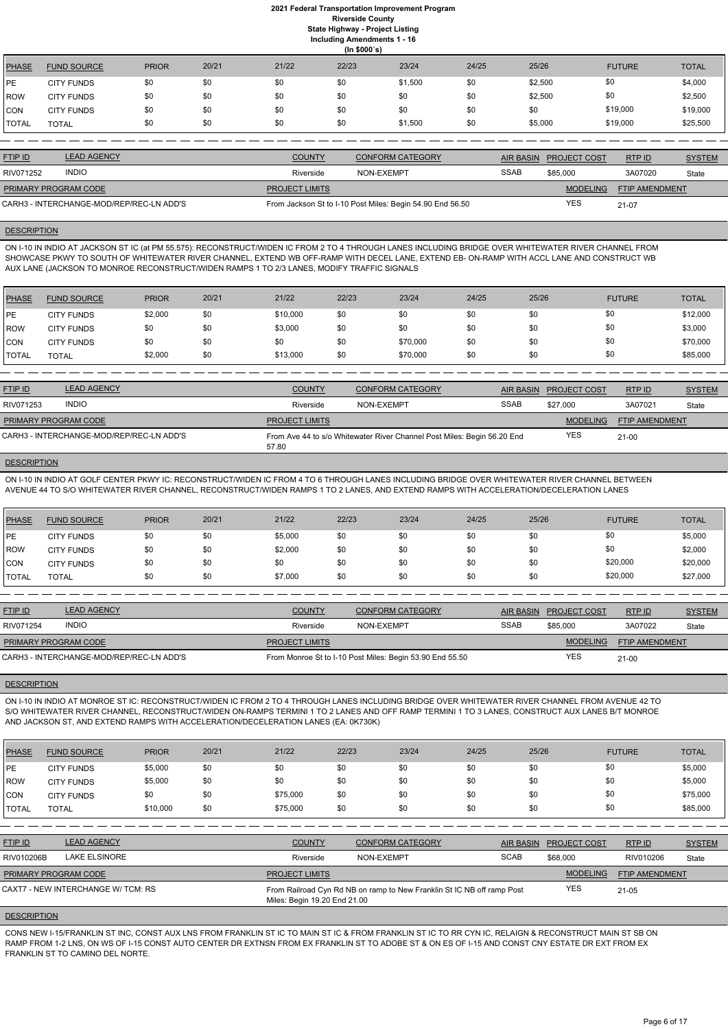| (ln \$000's) |                    |              |       |       |       |         |       |         |               |              |  |  |
|--------------|--------------------|--------------|-------|-------|-------|---------|-------|---------|---------------|--------------|--|--|
| PHASE        | <b>FUND SOURCE</b> | <b>PRIOR</b> | 20/21 | 21/22 | 22/23 | 23/24   | 24/25 | 25/26   | <b>FUTURE</b> | <b>TOTAL</b> |  |  |
| <b>IPE</b>   | <b>CITY FUNDS</b>  | \$0          | \$0   | \$0   | \$0   | \$1,500 | \$0   | \$2,500 | \$0           | \$4,000      |  |  |
| <b>ROW</b>   | <b>CITY FUNDS</b>  | \$0          | \$0   | \$0   | \$0   | \$0     | \$0   | \$2,500 | \$0           | \$2,500      |  |  |
| <b>CON</b>   | <b>CITY FUNDS</b>  | \$0          | \$0   | \$0   | \$0   | \$0     | \$0   | \$0     | \$19,000      | \$19,000     |  |  |
| <b>TOTAL</b> | <b>TOTAL</b>       | \$0          | \$0   | \$0   | \$0   | \$1,500 | \$0   | \$5,000 | \$19,000      | \$25,500     |  |  |

| <b>FTIP ID</b>                           | <b>LEAD AGENCY</b> | <b>COUNTY</b>         | CONFORM CATEGORY                                          |             | AIR BASIN PROJECT COST | RTPID                 | <b>SYSTEM</b> |
|------------------------------------------|--------------------|-----------------------|-----------------------------------------------------------|-------------|------------------------|-----------------------|---------------|
| RIV071252                                | <b>INDIO</b>       | Riverside             | NON-EXEMPT                                                | <b>SSAB</b> | \$85,000               | 3A07020               | State         |
| <b>PRIMARY PROGRAM CODE</b>              |                    | <b>PROJECT LIMITS</b> |                                                           |             | <b>MODELING</b>        | <b>FTIP AMENDMENT</b> |               |
| CARH3 - INTERCHANGE-MOD/REP/REC-LN ADD'S |                    |                       | From Jackson St to I-10 Post Miles: Begin 54.90 End 56.50 |             | YES                    | 21-07                 |               |

ON I-10 IN INDIO AT JACKSON ST IC (at PM 55.575): RECONSTRUCT/WIDEN IC FROM 2 TO 4 THROUGH LANES INCLUDING BRIDGE OVER WHITEWATER RIVER CHANNEL FROM SHOWCASE PKWY TO SOUTH OF WHITEWATER RIVER CHANNEL, EXTEND WB OFF-RAMP WITH DECEL LANE, EXTEND EB- ON-RAMP WITH ACCL LANE AND CONSTRUCT WB AUX LANE (JACKSON TO MONROE RECONSTRUCT/WIDEN RAMPS 1 TO 2/3 LANES, MODIFY TRAFFIC SIGNALS

#### DESCRIPTION

| <b>PHASE</b> | <b>FUND SOURCE</b> | <b>PRIOR</b> | 20/21 | 21/22    | 22/23 | 23/24    | 24/25 | 25/26 | <b>FUTURE</b> | <b>TOTAL</b> |
|--------------|--------------------|--------------|-------|----------|-------|----------|-------|-------|---------------|--------------|
| <b>IPE</b>   | <b>CITY FUNDS</b>  | \$2,000      | \$0   | \$10,000 | \$0   | \$0      | \$0   | \$0   | \$0           | \$12,000     |
| <b>ROW</b>   | <b>CITY FUNDS</b>  | \$0          | \$0   | \$3,000  | \$0   | \$0      | \$0   | \$0   | \$0           | \$3,000      |
| ICON         | <b>CITY FUNDS</b>  | \$0          | \$0   | \$0      | \$0   | \$70,000 | \$0   | \$0   | \$0           | \$70,000     |
| <b>TOTAL</b> | <b>TOTAL</b>       | \$2,000      | \$0   | \$13,000 | \$0   | \$70,000 | \$0   | \$0   |               | \$85,000     |

| <b>FTIP ID</b>              | <b>LEAD AGENCY</b>                       | <b>COUNTY</b>         | <b>CONFORM CATEGORY</b>                                                 | <b>AIR BASIN</b> | <b>PROJECT COST</b> | RTP ID         | <b>SYSTEM</b> |
|-----------------------------|------------------------------------------|-----------------------|-------------------------------------------------------------------------|------------------|---------------------|----------------|---------------|
| RIV071253                   | <b>INDIO</b>                             | Riverside             | NON-EXEMPT                                                              | <b>SSAB</b>      | \$27,000            | 3A07021        | State         |
| <b>PRIMARY PROGRAM CODE</b> |                                          | <b>PROJECT LIMITS</b> |                                                                         |                  | <b>MODELING</b>     | FTIP AMENDMENT |               |
|                             | CARH3 - INTERCHANGE-MOD/REP/REC-LN ADD'S | 57.80                 | From Ave 44 to s/o Whitewater River Channel Post Miles: Begin 56.20 End |                  | <b>YES</b>          | 21-00          |               |

## **DESCRIPTION**

ON I-10 IN INDIO AT GOLF CENTER PKWY IC: RECONSTRUCT/WIDEN IC FROM 4 TO 6 THROUGH LANES INCLUDING BRIDGE OVER WHITEWATER RIVER CHANNEL BETWEEN AVENUE 44 TO S/O WHITEWATER RIVER CHANNEL, RECONSTRUCT/WIDEN RAMPS 1 TO 2 LANES, AND EXTEND RAMPS WITH ACCELERATION/DECELERATION LANES

| PHASE        | <b>FUND SOURCE</b> | <b>PRIOR</b> | 20/21 | 21/22   | 22/23 | 23/24 | 24/25 | 25/26 | <b>FUTURE</b> | <b>TOTAL</b> |
|--------------|--------------------|--------------|-------|---------|-------|-------|-------|-------|---------------|--------------|
| <b>IPE</b>   | <b>CITY FUNDS</b>  | \$0          | \$0   | \$5,000 | \$0   | \$0   | \$0   | \$0   | \$0           | \$5,000      |
| <b>IROW</b>  | <b>CITY FUNDS</b>  | \$0          | \$0   | \$2,000 | \$0   | \$0   | \$0   | \$0   | \$0           | \$2,000      |
| <b>CON</b>   | <b>CITY FUNDS</b>  | \$0          | \$0   | \$0     | \$0   | \$0   | \$0   | \$0   | \$20,000      | \$20,000     |
| <b>TOTAL</b> | <b>TOTAL</b>       | \$0          | \$0   | \$7,000 | \$0   | \$0   | \$0   | \$0   | \$20,000      | \$27,000     |

| <b>FTIP ID</b>                           | <b>LEAD AGENCY</b> | <b>COUNTY</b>         | <b>CONFORM CATEGORY</b>                                  | AIR BASIN   | <b>PROJECT COST</b> | RTPID                 | <b>SYSTEM</b> |
|------------------------------------------|--------------------|-----------------------|----------------------------------------------------------|-------------|---------------------|-----------------------|---------------|
| RIV071254                                | <b>INDIO</b>       | Riverside             | NON-EXEMPT                                               | <b>SSAB</b> | \$85,000            | 3A07022               | State         |
| PRIMARY PROGRAM CODE                     |                    | <b>PROJECT LIMITS</b> |                                                          |             | <b>MODELING</b>     | <b>FTIP AMENDMENT</b> |               |
| CARH3 - INTERCHANGE-MOD/REP/REC-LN ADD'S |                    |                       | From Monroe St to I-10 Post Miles: Begin 53.90 End 55.50 |             | <b>YES</b>          | $21 - 00$             |               |

#### **DESCRIPTION**

ON I-10 IN INDIO AT MONROE ST IC: RECONSTRUCT/WIDEN IC FROM 2 TO 4 THROUGH LANES INCLUDING BRIDGE OVER WHITEWATER RIVER CHANNEL FROM AVENUE 42 TO S/O WHITEWATER RIVER CHANNEL, RECONSTRUCT/WIDEN ON-RAMPS TERMINI 1 TO 2 LANES AND OFF RAMP TERMINI 1 TO 3 LANES, CONSTRUCT AUX LANES B/T MONROE AND JACKSON ST, AND EXTEND RAMPS WITH ACCELERATION/DECELERATION LANES (EA: 0K730K)

| <b>PHASE</b> | <b>FUND SOURCE</b> | <b>PRIOR</b> | 20/21 | 21/22 | 22/23 | 23/24 | 24/25 | 25/26 | FUTURE | <b>TOTAL</b> |
|--------------|--------------------|--------------|-------|-------|-------|-------|-------|-------|--------|--------------|
| <b>IPE</b>   | <b>CITY FUNDS</b>  | \$5,000      | \$0   | \$0   | \$0   | ას    |       | \$0   | \$0    | \$5,000      |

| ROW          | <b>CITY FUNDS</b> | \$5,000  | -\$6 | \$0      | \$0 |        | \$0 | $\overline{\phantom{a}}$ | \$5,000  |
|--------------|-------------------|----------|------|----------|-----|--------|-----|--------------------------|----------|
| CON          | <b>CITY FUNDS</b> | \$0      |      | \$75,000 | \$0 | $\sim$ | \$0 | $\sqrt{2}$               | \$75,000 |
| <b>TOTAL</b> | <b>TOTAL</b>      | \$10,000 | \$0  | \$75,000 | \$0 | Ψ⊾     | \$0 |                          | \$85,000 |

| <b>FTIP ID</b>              | <b>LEAD AGENCY</b>                 | <b>COUNTY</b>                | CONFORM CATEGORY                                                       | <b>AIR BASIN</b> | <b>PROJECT COST</b> | RTPID                 | <b>SYSTEM</b> |
|-----------------------------|------------------------------------|------------------------------|------------------------------------------------------------------------|------------------|---------------------|-----------------------|---------------|
| RIV010206B                  | LAKE ELSINORE                      | Riverside                    | NON-EXEMPT                                                             | <b>SCAB</b>      | \$68,000            | RIV010206             | State         |
| <b>PRIMARY PROGRAM CODE</b> |                                    | <b>PROJECT LIMITS</b>        |                                                                        |                  | <b>MODELING</b>     | <b>FTIP AMENDMENT</b> |               |
|                             | CAXT7 - NEW INTERCHANGE W/ TCM: RS | Miles: Begin 19.20 End 21.00 | From Railroad Cyn Rd NB on ramp to New Franklin St IC NB off ramp Post |                  | YES                 | $21 - 05$             |               |

#### **DESCRIPTION**

CONS NEW I-15/FRANKLIN ST INC, CONST AUX LNS FROM FRANKLIN ST IC TO MAIN ST IC & FROM FRANKLIN ST IC TO RR CYN IC, RELAIGN & RECONSTRUCT MAIN ST SB ON RAMP FROM 1-2 LNS, ON WS OF I-15 CONST AUTO CENTER DR EXTNSN FROM EX FRANKLIN ST TO ADOBE ST & ON ES OF I-15 AND CONST CNY ESTATE DR EXT FROM EX FRANKLIN ST TO CAMINO DEL NORTE.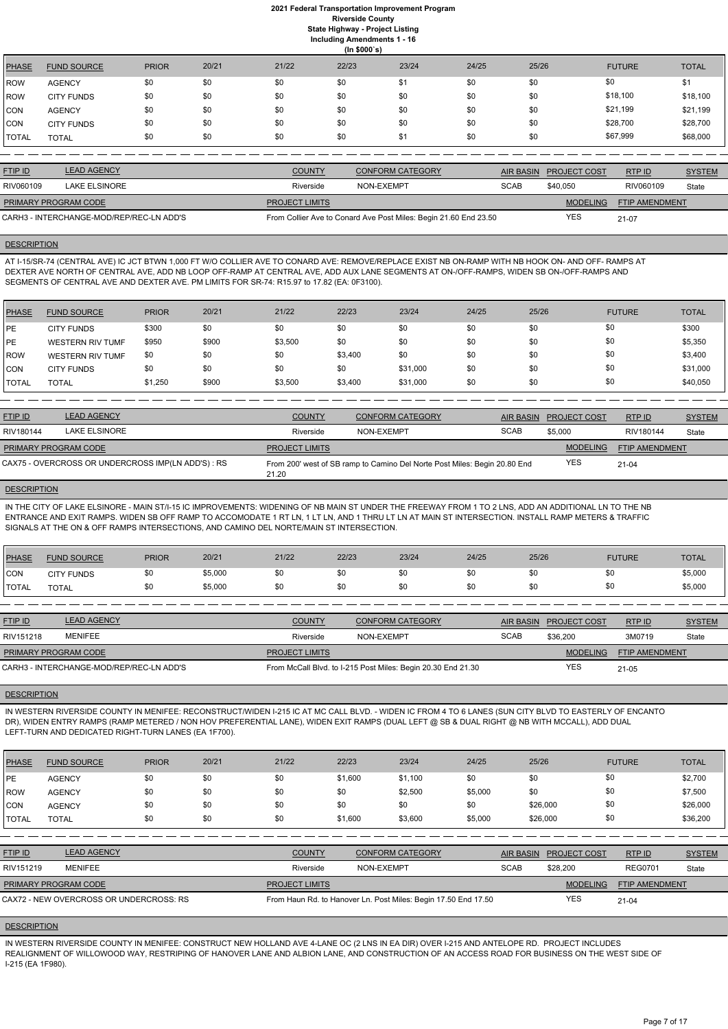|              | (ln \$000's)       |              |       |       |       |       |       |       |               |              |  |  |
|--------------|--------------------|--------------|-------|-------|-------|-------|-------|-------|---------------|--------------|--|--|
| <b>PHASE</b> | <b>FUND SOURCE</b> | <b>PRIOR</b> | 20/21 | 21/22 | 22/23 | 23/24 | 24/25 | 25/26 | <b>FUTURE</b> | <b>TOTAL</b> |  |  |
| <b>IROW</b>  | <b>AGENCY</b>      | \$0          | \$0   | \$0   | \$0   | \$1   | \$0   | \$0   | \$0           | \$1          |  |  |
| ROW          | <b>CITY FUNDS</b>  | \$0          | \$0   | \$0   | \$0   | \$0   | \$0   | \$0   | \$18,100      | \$18,100     |  |  |
| <b>CON</b>   | <b>AGENCY</b>      | \$0          | \$0   | \$0   | \$0   | \$0   | \$0   | \$0   | \$21,199      | \$21,199     |  |  |
| <b>CON</b>   | <b>CITY FUNDS</b>  | \$0          | \$0   | \$0   | \$0   | \$0   | \$0   | \$0   | \$28,700      | \$28,700     |  |  |
| <b>TOTAL</b> | <b>TOTAL</b>       | \$0          | \$0   | \$0   | \$0   | \$1   | \$0   | \$0   | \$67,999      | \$68,000     |  |  |

| <b>FTIP ID</b>              | <b>LEAD AGENCY</b>                       | <b>COUNTY</b>         | CONFORM CATEGORY                                                 |             | AIR BASIN PROJECT COST | RTPID                 | <b>SYSTEM</b> |
|-----------------------------|------------------------------------------|-----------------------|------------------------------------------------------------------|-------------|------------------------|-----------------------|---------------|
| RIV060109                   | LAKE ELSINORE                            | Riverside             | NON-EXEMPT                                                       | <b>SCAB</b> | \$40.050               | RIV060109             | State         |
| <b>PRIMARY PROGRAM CODE</b> |                                          | <b>PROJECT LIMITS</b> |                                                                  |             | <b>MODELING</b>        | <b>FTIP AMENDMENT</b> |               |
|                             | CARH3 - INTERCHANGE-MOD/REP/REC-LN ADD'S |                       | From Collier Ave to Conard Ave Post Miles: Begin 21.60 End 23.50 |             | YES                    | 21-07                 |               |

## **DESCRIPTION**

AT I-15/SR-74 (CENTRAL AVE) IC JCT BTWN 1,000 FT W/O COLLIER AVE TO CONARD AVE: REMOVE/REPLACE EXIST NB ON-RAMP WITH NB HOOK ON- AND OFF- RAMPS AT DEXTER AVE NORTH OF CENTRAL AVE, ADD NB LOOP OFF-RAMP AT CENTRAL AVE, ADD AUX LANE SEGMENTS AT ON-/OFF-RAMPS, WIDEN SB ON-/OFF-RAMPS AND SEGMENTS OF CENTRAL AVE AND DEXTER AVE. PM LIMITS FOR SR-74: R15.97 to 17.82 (EA: 0F3100).

| PHASE        | <b>FUND SOURCE</b>      | <b>PRIOR</b> | 20/21 | 21/22   | 22/23   | 23/24    | 24/25 | 25/26 | <b>FUTURE</b> | <b>TOTAL</b> |
|--------------|-------------------------|--------------|-------|---------|---------|----------|-------|-------|---------------|--------------|
| <b>IPE</b>   | <b>CITY FUNDS</b>       | \$300        | \$0   | \$0     | \$0     | \$0      | \$0   | \$0   | \$0           | \$300        |
| PE           | <b>WESTERN RIV TUMF</b> | \$950        | \$900 | \$3,500 | \$0     | \$0      | \$0   | \$0   | \$0           | \$5,350      |
| ROW          | <b>WESTERN RIV TUMF</b> | \$0          | \$0   | \$0     | \$3,400 | \$0      | \$0   | \$0   | \$0           | \$3,400      |
| ICON         | <b>CITY FUNDS</b>       | \$0          | \$0   | \$0     | \$0     | \$31,000 | \$0   | \$0   | \$0           | \$31,000     |
| <b>TOTAL</b> | <b>TOTAL</b>            | \$1,250      | \$900 | \$3,500 | \$3,400 | \$31,000 | \$0   | \$0   | \$0           | \$40,050     |

| <b>FTIP ID</b>       | <b>LEAD AGENCY</b>                                 | <b>COUNTY</b>         | CONFORM CATEGORY                                                          | AIR BASIN   | <b>PROJECT COST</b> | RTP ID                | <b>SYSTEM</b> |
|----------------------|----------------------------------------------------|-----------------------|---------------------------------------------------------------------------|-------------|---------------------|-----------------------|---------------|
| RIV180144            | LAKE ELSINORE                                      | Riverside             | NON-EXEMPT                                                                | <b>SCAB</b> | \$5,000             | RIV180144             | State         |
| PRIMARY PROGRAM CODE |                                                    | <b>PROJECT LIMITS</b> |                                                                           |             | <b>MODELING</b>     | <b>FTIP AMENDMENT</b> |               |
|                      | CAX75 - OVERCROSS OR UNDERCROSS IMP(LN ADD'S) : RS | 21.20                 | From 200' west of SB ramp to Camino Del Norte Post Miles: Begin 20.80 End |             | <b>YES</b>          | 21-04                 |               |

#### **DESCRIPTION**

IN THE CITY OF LAKE ELSINORE - MAIN ST/I-15 IC IMPROVEMENTS: WIDENING OF NB MAIN ST UNDER THE FREEWAY FROM 1 TO 2 LNS, ADD AN ADDITIONAL LN TO THE NB ENTRANCE AND EXIT RAMPS. WIDEN SB OFF RAMP TO ACCOMODATE 1 RT LN, 1 LT LN, AND 1 THRU LT LN AT MAIN ST INTERSECTION. INSTALL RAMP METERS & TRAFFIC SIGNALS AT THE ON & OFF RAMPS INTERSECTIONS, AND CAMINO DEL NORTE/MAIN ST INTERSECTION.

| PHASE                | <b>FUND SOURCE</b> | <b>PRIOR</b> | 20/21   | 21/22 | 22/23 | 23/24 | 24/25 | 25/26 | <b>FUTURE</b> | <b>TOTAL</b> |
|----------------------|--------------------|--------------|---------|-------|-------|-------|-------|-------|---------------|--------------|
| CON                  | <b>CITY FUNDS</b>  |              | \$5,000 | \$0   |       | \$0   | \$0   |       | \$0           | \$5,000      |
| <b><i>ITOTAL</i></b> | <b>TOTAL</b>       |              | \$5,000 | \$0   |       | \$0   | \$0   |       | \$0           | \$5,000      |

| <b>FTIP ID</b>              | <b>LEAD AGENCY</b>                       | <b>COUNTY</b>         | <b>CONFORM CATEGORY</b>                                      |             | AIR BASIN PROJECT COST | RTPID                 | <b>SYSTEM</b> |
|-----------------------------|------------------------------------------|-----------------------|--------------------------------------------------------------|-------------|------------------------|-----------------------|---------------|
| RIV151218                   | <b>MENIFEE</b>                           | Riverside             | NON-EXEMPT                                                   | <b>SCAB</b> | \$36,200               | 3M0719                | State         |
| <b>PRIMARY PROGRAM CODE</b> |                                          | <b>PROJECT LIMITS</b> |                                                              |             | <b>MODELING</b>        | <b>FTIP AMENDMENT</b> |               |
|                             | CARH3 - INTERCHANGE-MOD/REP/REC-LN ADD'S |                       | From McCall Blvd. to I-215 Post Miles: Begin 20.30 End 21.30 |             | <b>YES</b>             | $21 - 05$             |               |

#### **DESCRIPTION**

IN WESTERN RIVERSIDE COUNTY IN MENIFEE: RECONSTRUCT/WIDEN I-215 IC AT MC CALL BLVD. - WIDEN IC FROM 4 TO 6 LANES (SUN CITY BLVD TO EASTERLY OF ENCANTO DR), WIDEN ENTRY RAMPS (RAMP METERED / NON HOV PREFERENTIAL LANE), WIDEN EXIT RAMPS (DUAL LEFT @ SB & DUAL RIGHT @ NB WITH MCCALL), ADD DUAL LEFT-TURN AND DEDICATED RIGHT-TURN LANES (EA 1F700).

| PHASE      | <b>FUND SOURCE</b>                                      | <b>PRIOR</b> | 20/21 | 21/22 | 22/23  | 23/24   | 24/25 | 25/26 | <b>FUTURE</b> | <b>TOTAL</b> |
|------------|---------------------------------------------------------|--------------|-------|-------|--------|---------|-------|-------|---------------|--------------|
| $I \cap T$ | $\Lambda$ $\cap$ $\Gamma$ $\Lambda$ $\Lambda$ $\Lambda$ | σ.           |       |       | 0.4000 | 0.4.400 |       |       |               | ሮግ ግባሰ       |

| <b>IPE</b>     | <b>AGENCY</b>                           | \$0 | \$0 | \$0                   | \$1,600 | \$1,100                                                        | \$0     | \$0              | \$0                 |                       | \$2,700       |
|----------------|-----------------------------------------|-----|-----|-----------------------|---------|----------------------------------------------------------------|---------|------------------|---------------------|-----------------------|---------------|
| <b>IROW</b>    | <b>AGENCY</b>                           | \$0 | \$0 | \$0                   | \$0     | \$2,500                                                        | \$5,000 | \$0              | \$0                 |                       | \$7,500       |
| ICON           | <b>AGENCY</b>                           | \$0 | \$0 | \$0                   | \$0     | \$0                                                            | \$0     | \$26,000         | \$0                 |                       | \$26,000      |
| <b>TOTAL</b>   | <b>TOTAL</b>                            | \$0 | \$0 | \$0                   | \$1,600 | \$3,600                                                        | \$5,000 | \$26,000         | \$0                 |                       | \$36,200      |
|                |                                         |     |     |                       |         |                                                                |         |                  |                     |                       |               |
| <b>FTIP ID</b> | <b>LEAD AGENCY</b>                      |     |     | <b>COUNTY</b>         |         | <b>CONFORM CATEGORY</b>                                        |         | <b>AIR BASIN</b> | <b>PROJECT COST</b> | RTPID                 | <b>SYSTEM</b> |
| RIV151219      | <b>MENIFEE</b>                          |     |     | Riverside             |         | NON-EXEMPT                                                     |         | <b>SCAB</b>      | \$28,200            | <b>REG0701</b>        | State         |
|                | PRIMARY PROGRAM CODE                    |     |     | <b>PROJECT LIMITS</b> |         |                                                                |         |                  | <b>MODELING</b>     | <b>FTIP AMENDMENT</b> |               |
|                | CAX72 - NEW OVERCROSS OR UNDERCROSS: RS |     |     |                       |         | From Haun Rd. to Hanover Ln. Post Miles: Begin 17.50 End 17.50 |         |                  | <b>YES</b>          | $21 - 04$             |               |
|                |                                         |     |     |                       |         |                                                                |         |                  |                     |                       |               |

#### **DESCRIPTION**

IN WESTERN RIVERSIDE COUNTY IN MENIFEE: CONSTRUCT NEW HOLLAND AVE 4-LANE OC (2 LNS IN EA DIR) OVER I-215 AND ANTELOPE RD. PROJECT INCLUDES REALIGNMENT OF WILLOWOOD WAY, RESTRIPING OF HANOVER LANE AND ALBION LANE, AND CONSTRUCTION OF AN ACCESS ROAD FOR BUSINESS ON THE WEST SIDE OF I-215 (EA 1F980).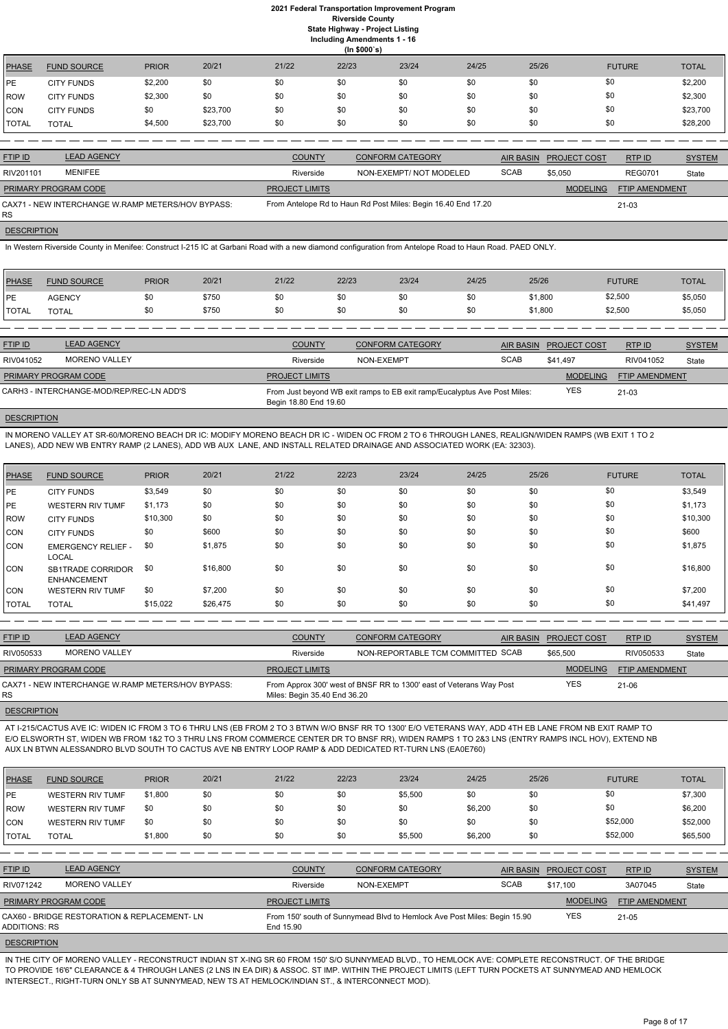|              | (ln \$000's)       |              |          |       |       |       |       |       |               |              |  |
|--------------|--------------------|--------------|----------|-------|-------|-------|-------|-------|---------------|--------------|--|
| <b>PHASE</b> | <b>FUND SOURCE</b> | <b>PRIOR</b> | 20/21    | 21/22 | 22/23 | 23/24 | 24/25 | 25/26 | <b>FUTURE</b> | <b>TOTAL</b> |  |
| <b>IPE</b>   | <b>CITY FUNDS</b>  | \$2,200      | \$0      | \$0   | \$0   | \$0   | \$0   | \$0   | \$0           | \$2,200      |  |
| <b>ROW</b>   | <b>CITY FUNDS</b>  | \$2,300      | \$0      | \$0   | \$0   | \$0   | \$0   | \$0   | \$0           | \$2,300      |  |
| CON          | <b>CITY FUNDS</b>  | \$0          | \$23,700 | \$0   | \$0   | \$0   | \$0   | \$0   | \$0           | \$23,700     |  |
| <b>TOTAL</b> | <b>TOTAL</b>       | \$4,500      | \$23,700 | \$0   | \$0   | \$0   | \$0   | \$0   | \$0           | \$28,200     |  |

| <b>FTIP ID</b>              | <b>LEAD AGENCY</b>                                | <b>COUNTY</b>         | <b>CONFORM CATEGORY</b>                                       | <b>AIR BASIN</b> | <b>PROJECT COST</b> | RTP ID         | <b>SYSTEM</b> |
|-----------------------------|---------------------------------------------------|-----------------------|---------------------------------------------------------------|------------------|---------------------|----------------|---------------|
| RIV201101                   | MENIFEE                                           | Riverside             | NON-EXEMPT/ NOT MODELED                                       | <b>SCAB</b>      | \$5,050             | <b>REG0701</b> | State         |
| <b>PRIMARY PROGRAM CODE</b> |                                                   | <b>PROJECT LIMITS</b> |                                                               |                  | <b>MODELING</b>     | FTIP AMENDMENT |               |
| RS.                         | CAX71 - NEW INTERCHANGE W.RAMP METERS/HOV BYPASS: |                       | From Antelope Rd to Haun Rd Post Miles: Begin 16.40 End 17.20 |                  |                     | 21-03          |               |

**DESCRIPTION** 

In Western Riverside County in Menifee: Construct I-215 IC at Garbani Road with a new diamond configuration from Antelope Road to Haun Road. PAED ONLY.

| PHASE         | <b>FUND SOURCE</b> | <b>PRIOR</b> | 20/21 | 21/22 | 22/23 | 23/24 | 24/25 | 25/26   | <b>FUTURE</b> | <b>TOTAL</b> |
|---------------|--------------------|--------------|-------|-------|-------|-------|-------|---------|---------------|--------------|
| <b>IPE</b>    | <b>AGENCY</b>      | \$0          | \$75C | \$0   |       | \$0   | \$0   | \$1,800 | \$2,500       | \$5,050      |
| <b>ITOTAL</b> | <b>TOTAL</b>       | \$0          | \$75C | \$0   |       | \$0   | \$0   | \$1,800 | \$2,500       | \$5,050      |

| <b>FTIP ID</b>       | <b>LEAD AGENCY</b>                       | <b>COUNTY</b>         | <b>CONFORM CATEGORY</b>                                                   | <b>AIR BASIN</b> | <b>PROJECT COST</b> | RTP ID                | <b>SYSTEM</b> |
|----------------------|------------------------------------------|-----------------------|---------------------------------------------------------------------------|------------------|---------------------|-----------------------|---------------|
| RIV041052            | MORENO VALLEY                            | Riverside             | NON-EXEMPT                                                                | <b>SCAB</b>      | \$41.497            | RIV041052             | State         |
| PRIMARY PROGRAM CODE |                                          | <b>PROJECT LIMITS</b> |                                                                           |                  | <b>MODELING</b>     | <b>FTIP AMENDMENT</b> |               |
|                      | CARH3 - INTERCHANGE-MOD/REP/REC-LN ADD'S | Begin 18.80 End 19.60 | From Just beyond WB exit ramps to EB exit ramp/Eucalyptus Ave Post Miles: |                  | <b>YES</b>          | $21-03$               |               |

## **DESCRIPTION**

IN MORENO VALLEY AT SR-60/MORENO BEACH DR IC: MODIFY MORENO BEACH DR IC - WIDEN OC FROM 2 TO 6 THROUGH LANES, REALIGN/WIDEN RAMPS (WB EXIT 1 TO 2 LANES), ADD NEW WB ENTRY RAMP (2 LANES), ADD WB AUX LANE, AND INSTALL RELATED DRAINAGE AND ASSOCIATED WORK (EA: 32303).

| <b>PHASE</b> | <b>FUND SOURCE</b>                             | <b>PRIOR</b> | 20/21    | 21/22 | 22/23 | 23/24 | 24/25 | 25/26 | <b>FUTURE</b> | <b>TOTAL</b> |
|--------------|------------------------------------------------|--------------|----------|-------|-------|-------|-------|-------|---------------|--------------|
| <b>IPE</b>   | <b>CITY FUNDS</b>                              | \$3,549      | \$0      | \$0   | \$0   | \$0   | \$0   | \$0   | \$0           | \$3,549      |
| <b>IPE</b>   | <b>WESTERN RIV TUMF</b>                        | \$1,173      | \$0      | \$0   | \$0   | \$0   | \$0   | \$0   | \$0           | \$1,173      |
| ROW          | <b>CITY FUNDS</b>                              | \$10,300     | \$0      | \$0   | \$0   | \$0   | \$0   | \$0   | \$0           | \$10,300     |
| <b>CON</b>   | <b>CITY FUNDS</b>                              | \$0          | \$600    | \$0   | \$0   | \$0   | \$0   | \$0   | \$0           | \$600        |
| <b>ICON</b>  | <b>EMERGENCY RELIEF -</b><br><b>LOCAL</b>      | \$0          | \$1,875  | \$0   | \$0   | \$0   | \$0   | \$0   | \$0           | \$1,875      |
| <b>CON</b>   | <b>SB1TRADE CORRIDOR</b><br><b>ENHANCEMENT</b> | \$0          | \$16,800 | \$0   | \$0   | \$0   | \$0   | \$0   | \$0           | \$16,800     |
| ICON         | <b>WESTERN RIV TUMF</b>                        | \$0          | \$7,200  | \$0   | \$0   | \$0   | \$0   | \$0   | \$0           | \$7,200      |
| <b>TOTAL</b> | <b>TOTAL</b>                                   | \$15,022     | \$26,475 | \$0   | \$0   | \$0   | \$0   | \$0   | \$0           | \$41,497     |

| <b>FTIP ID</b>              | <b>LEAD AGENCY</b>                                | <b>COUNTY</b>                | <b>CONFORM CATEGORY</b>                                             | AIR BASIN PROJECT COST | RTP ID                | <b>SYSTEM</b> |
|-----------------------------|---------------------------------------------------|------------------------------|---------------------------------------------------------------------|------------------------|-----------------------|---------------|
| RIV050533                   | <b>MORENO VALLEY</b>                              | Riverside                    | NON-REPORTABLE TCM COMMITTED SCAB                                   | \$65,500               | RIV050533             | State         |
| <b>PRIMARY PROGRAM CODE</b> |                                                   | <b>PROJECT LIMITS</b>        |                                                                     | <b>MODELING</b>        | <b>FTIP AMENDMENT</b> |               |
| RS.                         | CAX71 - NEW INTERCHANGE W.RAMP METERS/HOV BYPASS: | Miles: Begin 35.40 End 36.20 | From Approx 300' west of BNSF RR to 1300' east of Veterans Way Post | <b>YES</b>             | $21-06$               |               |
| <b>DEOODIDTION</b>          |                                                   |                              |                                                                     |                        |                       |               |

**DESCRIPTION** 

AT I-215/CACTUS AVE IC: WIDEN IC FROM 3 TO 6 THRU LNS (EB FROM 2 TO 3 BTWN W/O BNSF RR TO 1300' E/O VETERANS WAY, ADD 4TH EB LANE FROM NB EXIT RAMP TO E/O ELSWORTH ST, WIDEN WB FROM 1&2 TO 3 THRU LNS FROM COMMERCE CENTER DR TO BNSF RR), WIDEN RAMPS 1 TO 2&3 LNS (ENTRY RAMPS INCL HOV), EXTEND NB AUX LN BTWN ALESSANDRO BLVD SOUTH TO CACTUS AVE NB ENTRY LOOP RAMP & ADD DEDICATED RT-TURN LNS (EA0E760)

| <b>PHASE</b>         | <b>FUND SOURCE</b>                          | <b>PRIOR</b> | 20/21 | 21/22                 | 22/23      | 23/24                                                                    | 24/25   | 25/26            |                     | <b>FUTURE</b>  | <b>TOTAL</b>  |
|----------------------|---------------------------------------------|--------------|-------|-----------------------|------------|--------------------------------------------------------------------------|---------|------------------|---------------------|----------------|---------------|
| PE                   | <b>WESTERN RIV TUMF</b>                     | \$1,800      | \$0   | \$0                   | \$0        | \$5,500                                                                  | \$0     | \$0              |                     | \$0            | \$7,300       |
| ROW                  | <b>WESTERN RIV TUMF</b>                     | \$0          | \$0   | \$0                   | \$0        | \$0                                                                      | \$6,200 | \$0              |                     | \$0            | \$6,200       |
| CON                  | <b>WESTERN RIV TUMF</b>                     | \$0          | \$0   | \$0                   | \$0        | \$0                                                                      | \$0     | \$0              |                     | \$52,000       | \$52,000      |
| <b>TOTAL</b>         | <b>TOTAL</b>                                | \$1,800      | \$0   | \$0                   | \$0        | \$5,500                                                                  | \$6,200 | \$0              |                     | \$52,000       | \$65,500      |
|                      |                                             |              |       |                       |            |                                                                          |         |                  |                     |                |               |
| <b>FTIP ID</b>       | <b>LEAD AGENCY</b>                          |              |       | <b>COUNTY</b>         |            | <b>CONFORM CATEGORY</b>                                                  |         | <b>AIR BASIN</b> | <b>PROJECT COST</b> | RTP ID         | <b>SYSTEM</b> |
| RIV071242            | <b>MORENO VALLEY</b>                        |              |       | Riverside             | NON-EXEMPT |                                                                          |         | <b>SCAB</b>      | \$17,100            | 3A07045        | State         |
|                      | PRIMARY PROGRAM CODE                        |              |       | <b>PROJECT LIMITS</b> |            |                                                                          |         |                  | <b>MODELING</b>     | FTIP AMENDMENT |               |
| <b>ADDITIONS: RS</b> | CAX60 - BRIDGE RESTORATION & REPLACEMENT-LN |              |       | End 15.90             |            | From 150' south of Sunnymead Blvd to Hemlock Ave Post Miles: Begin 15.90 |         |                  | <b>YES</b>          | $21 - 05$      |               |
| <b>DESCRIPTION</b>   |                                             |              |       |                       |            |                                                                          |         |                  |                     |                |               |

IN THE CITY OF MORENO VALLEY - RECONSTRUCT INDIAN ST X-ING SR 60 FROM 150' S/O SUNNYMEAD BLVD., TO HEMLOCK AVE: COMPLETE RECONSTRUCT. OF THE BRIDGE TO PROVIDE 16'6" CLEARANCE & 4 THROUGH LANES (2 LNS IN EA DIR) & ASSOC. ST IMP. WITHIN THE PROJECT LIMITS (LEFT TURN POCKETS AT SUNNYMEAD AND HEMLOCK INTERSECT., RIGHT-TURN ONLY SB AT SUNNYMEAD, NEW TS AT HEMLOCK/INDIAN ST., & INTERCONNECT MOD).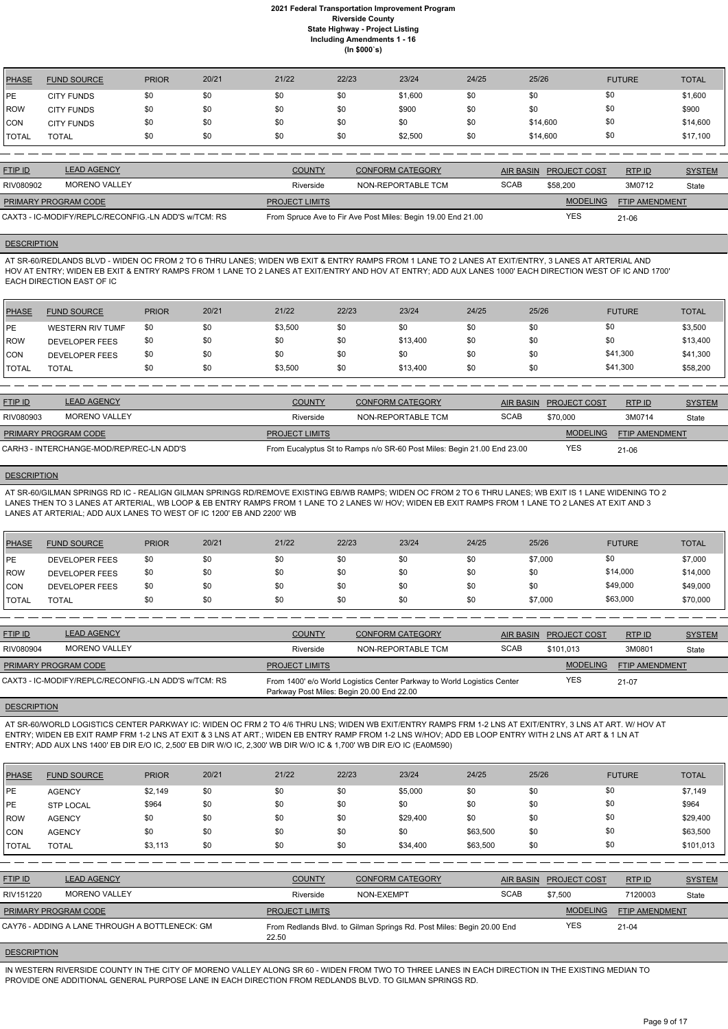| PHASE        | <b>FUND SOURCE</b> | <b>PRIOR</b> | 20/21 | 21/22 | 22/23 | 23/24   | 24/25 | 25/26    | <b>FUTURE</b> | <b>TOTAL</b> |
|--------------|--------------------|--------------|-------|-------|-------|---------|-------|----------|---------------|--------------|
| <b>IPE</b>   | <b>CITY FUNDS</b>  | \$0          | \$0   | \$0   | \$0   | \$1,600 | \$0   | \$0      | \$0           | \$1,600      |
| ROW          | <b>CITY FUNDS</b>  | \$0          | \$0   | \$0   | \$0   | \$900   | \$0   | \$0      | \$0           | \$900        |
| CON          | <b>CITY FUNDS</b>  | \$0          | \$0   | \$0   | \$0   | \$0     | \$0   | \$14,600 | \$0           | \$14,600     |
| <b>TOTAL</b> | <b>TOTAL</b>       | \$0          | \$0   | \$0   | \$0   | \$2,500 | \$0   | \$14,600 | \$0           | \$17,100     |

| <b>FTIP ID</b>                                       | <b>LEAD AGENCY</b> | <b>COUNTY</b>         | CONFORM CATEGORY                                             |             | AIR BASIN PROJECT COST | RTP ID                | <b>SYSTEM</b> |
|------------------------------------------------------|--------------------|-----------------------|--------------------------------------------------------------|-------------|------------------------|-----------------------|---------------|
| RIV080902                                            | MORENO VALLEY      | Riverside             | NON-REPORTABLE TCM                                           | <b>SCAB</b> | \$58,200               | 3M0712                | State         |
| PRIMARY PROGRAM CODE                                 |                    | <b>PROJECT LIMITS</b> |                                                              |             | <b>MODELING</b>        | <b>FTIP AMENDMENT</b> |               |
| CAXT3 - IC-MODIFY/REPLC/RECONFIG.-LN ADD'S w/TCM: RS |                    |                       | From Spruce Ave to Fir Ave Post Miles: Begin 19.00 End 21.00 |             | YES                    | $21 - 06$             |               |

### **DESCRIPTION**

AT SR-60/REDLANDS BLVD - WIDEN OC FROM 2 TO 6 THRU LANES; WIDEN WB EXIT & ENTRY RAMPS FROM 1 LANE TO 2 LANES AT EXIT/ENTRY, 3 LANES AT ARTERIAL AND HOV AT ENTRY; WIDEN EB EXIT & ENTRY RAMPS FROM 1 LANE TO 2 LANES AT EXIT/ENTRY AND HOV AT ENTRY; ADD AUX LANES 1000' EACH DIRECTION WEST OF IC AND 1700' EACH DIRECTION EAST OF IC

| <b>PHASE</b>  | <b>FUND SOURCE</b>      | <b>PRIOR</b> | 20/21 | 21/22   | 22/23 | 23/24    | 24/25 | 25/26 | <b>FUTURE</b> | <b>TOTAL</b> |
|---------------|-------------------------|--------------|-------|---------|-------|----------|-------|-------|---------------|--------------|
| <b>IPE</b>    | <b>WESTERN RIV TUMF</b> | \$0          | \$0   | \$3,500 | \$0   | \$0      | \$0   | \$0   | \$0           | \$3,500      |
| <b>IROW</b>   | <b>DEVELOPER FEES</b>   | \$0          | \$0   | \$0     | \$0   | \$13,400 | \$0   | \$0   | \$0           | \$13,400     |
| CON           | <b>DEVELOPER FEES</b>   | \$0          | \$0   | \$0     | \$0   | \$0      | \$0   | \$0   | \$41,300      | \$41,300     |
| <b>ITOTAL</b> | <b>TOTAL</b>            | \$0          | \$0   | \$3,500 | \$0   | \$13,400 | \$0   | \$0   | \$41,300      | \$58,200     |

| <b>FTIP ID</b>              | <b>LEAD AGENCY</b>                       | <b>COUNTY</b>         | <b>CONFORM CATEGORY</b>                                                 |             | AIR BASIN PROJECT COST | <b>RTPID</b>   | <b>SYSTEM</b> |
|-----------------------------|------------------------------------------|-----------------------|-------------------------------------------------------------------------|-------------|------------------------|----------------|---------------|
| RIV080903                   | <b>MORENO VALLEY</b>                     | Riverside             | NON-REPORTABLE TCM                                                      | <b>SCAB</b> | \$70,000               | 3M0714         | State         |
| <b>PRIMARY PROGRAM CODE</b> |                                          | <b>PROJECT LIMITS</b> |                                                                         |             | <b>MODELING</b>        | FTIP AMENDMENT |               |
|                             | CARH3 - INTERCHANGE-MOD/REP/REC-LN ADD'S |                       | From Eucalyptus St to Ramps n/o SR-60 Post Miles: Begin 21.00 End 23.00 |             | YES                    | $21 - 06$      |               |

## **DESCRIPTION**

AT SR-60/GILMAN SPRINGS RD IC - REALIGN GILMAN SPRINGS RD/REMOVE EXISTING EB/WB RAMPS; WIDEN OC FROM 2 TO 6 THRU LANES; WB EXIT IS 1 LANE WIDENING TO 2 LANES THEN TO 3 LANES AT ARTERIAL, WB LOOP & EB ENTRY RAMPS FROM 1 LANE TO 2 LANES W/ HOV; WIDEN EB EXIT RAMPS FROM 1 LANE TO 2 LANES AT EXIT AND 3 LANES AT ARTERIAL; ADD AUX LANES TO WEST OF IC 1200' EB AND 2200' WB

| <b>PHASE</b>   | <b>FUND SOURCE</b>    | <b>PRIOR</b> | 20/21 | 21/22 | 22/23 | 23/24 | 24/25 | 25/26   | <b>FUTURE</b> | <b>TOTAL</b> |
|----------------|-----------------------|--------------|-------|-------|-------|-------|-------|---------|---------------|--------------|
| <b>IPE</b>     | <b>DEVELOPER FEES</b> | \$0          | \$0   | \$0   | \$0   | \$0   | \$0   | \$7,000 | \$0           | \$7,000      |
| <b>ROW</b>     | <b>DEVELOPER FEES</b> | \$0          | \$0   | \$0   | \$0   | \$0   | \$0   | \$0     | \$14,000      | \$14,000     |
| ICON           | <b>DEVELOPER FEES</b> | \$0          | \$0   | \$0   | \$0   | \$0   | \$0   | \$0     | \$49,000      | \$49,000     |
| <b>I</b> TOTAL | <b>TOTAL</b>          | \$0          | \$0   | \$0   | \$0   | \$0   | \$0   | \$7,000 | \$63,000      | \$70,000     |

| <b>FTIP ID</b>              | <b>LEAD AGENCY</b>                                   | <b>COUNTY</b>                             | <b>CONFORM CATEGORY</b>                                                 | <b>AIR BASIN</b> | <b>PROJECT COST</b> | RTPID                 | <b>SYSTEM</b> |
|-----------------------------|------------------------------------------------------|-------------------------------------------|-------------------------------------------------------------------------|------------------|---------------------|-----------------------|---------------|
| RIV080904                   | <b>MORENO VALLEY</b>                                 | Riverside                                 | NON-REPORTABLE TCM                                                      | <b>SCAB</b>      | \$101.013           | 3M0801                | State         |
| <b>PRIMARY PROGRAM CODE</b> |                                                      | <b>PROJECT LIMITS</b>                     |                                                                         |                  | <b>MODELING</b>     | <b>FTIP AMENDMENT</b> |               |
|                             | CAXT3 - IC-MODIFY/REPLC/RECONFIG.-LN ADD'S w/TCM: RS | Parkway Post Miles: Begin 20.00 End 22.00 | From 1400' e/o World Logistics Center Parkway to World Logistics Center |                  | <b>YES</b>          | 21-07                 |               |

#### **DESCRIPTION**

AT SR-60/WORLD LOGISTICS CENTER PARKWAY IC: WIDEN OC FRM 2 TO 4/6 THRU LNS; WIDEN WB EXIT/ENTRY RAMPS FRM 1-2 LNS AT EXIT/ENTRY, 3 LNS AT ART. W/ HOV AT ENTRY; WIDEN EB EXIT RAMP FRM 1-2 LNS AT EXIT & 3 LNS AT ART.; WIDEN EB ENTRY RAMP FROM 1-2 LNS W/HOV; ADD EB LOOP ENTRY WITH 2 LNS AT ART & 1 LN AT ENTRY; ADD AUX LNS 1400' EB DIR E/O IC, 2,500' EB DIR W/O IC, 2,300' WB DIR W/O IC & 1,700' WB DIR E/O IC (EA0M590)

| <b>PHASE</b>                                   | <b>FUND SOURCE</b>   | <b>PRIOR</b> | 20/21 | 21/22                 | 22/23      | 23/24                                                                 | 24/25       | 25/26            |                     | <b>FUTURE</b>         | <b>TOTAL</b>  |
|------------------------------------------------|----------------------|--------------|-------|-----------------------|------------|-----------------------------------------------------------------------|-------------|------------------|---------------------|-----------------------|---------------|
| PE                                             | <b>AGENCY</b>        | \$2,149      | \$0   | \$0                   | \$0        | \$5,000                                                               | \$0         | \$0              |                     | \$0                   | \$7,149       |
| l PE                                           | <b>STP LOCAL</b>     | \$964        | \$0   | \$0                   | \$0        | \$0                                                                   | \$0         | \$0              |                     | \$0                   | \$964         |
| ROW                                            | <b>AGENCY</b>        | \$0          | \$0   | \$0                   | \$0        | \$29,400                                                              | \$0         | \$0              |                     | \$0                   | \$29,400      |
| <b>CON</b>                                     | <b>AGENCY</b>        | \$0          | \$0   | \$0                   | \$0        | \$0                                                                   | \$63,500    | \$0              |                     | \$0                   | \$63,500      |
| <b>TOTAL</b>                                   | <b>TOTAL</b>         | \$3,113      | \$0   | \$0                   | \$0        | \$34,400                                                              | \$63,500    | \$0              |                     | \$0                   | \$101,013     |
|                                                |                      |              |       |                       |            |                                                                       |             |                  |                     |                       |               |
| FTIP ID                                        | <b>LEAD AGENCY</b>   |              |       | <b>COUNTY</b>         |            | <b>CONFORM CATEGORY</b>                                               |             | <b>AIR BASIN</b> | <b>PROJECT COST</b> | RTPID                 | <b>SYSTEM</b> |
| RIV151220                                      | <b>MORENO VALLEY</b> |              |       | Riverside             | NON-EXEMPT |                                                                       | <b>SCAB</b> |                  | \$7,500             | 7120003               | State         |
|                                                | PRIMARY PROGRAM CODE |              |       | <b>PROJECT LIMITS</b> |            |                                                                       |             |                  | <b>MODELING</b>     | <b>FTIP AMENDMENT</b> |               |
| CAY76 - ADDING A LANE THROUGH A BOTTLENECK: GM |                      |              |       | 22.50                 |            | From Redlands Blvd. to Gilman Springs Rd. Post Miles: Begin 20.00 End |             |                  | <b>YES</b>          | $21 - 04$             |               |

**DESCRIPTION** 

IN WESTERN RIVERSIDE COUNTY IN THE CITY OF MORENO VALLEY ALONG SR 60 - WIDEN FROM TWO TO THREE LANES IN EACH DIRECTION IN THE EXISTING MEDIAN TO PROVIDE ONE ADDITIONAL GENERAL PURPOSE LANE IN EACH DIRECTION FROM REDLANDS BLVD. TO GILMAN SPRINGS RD.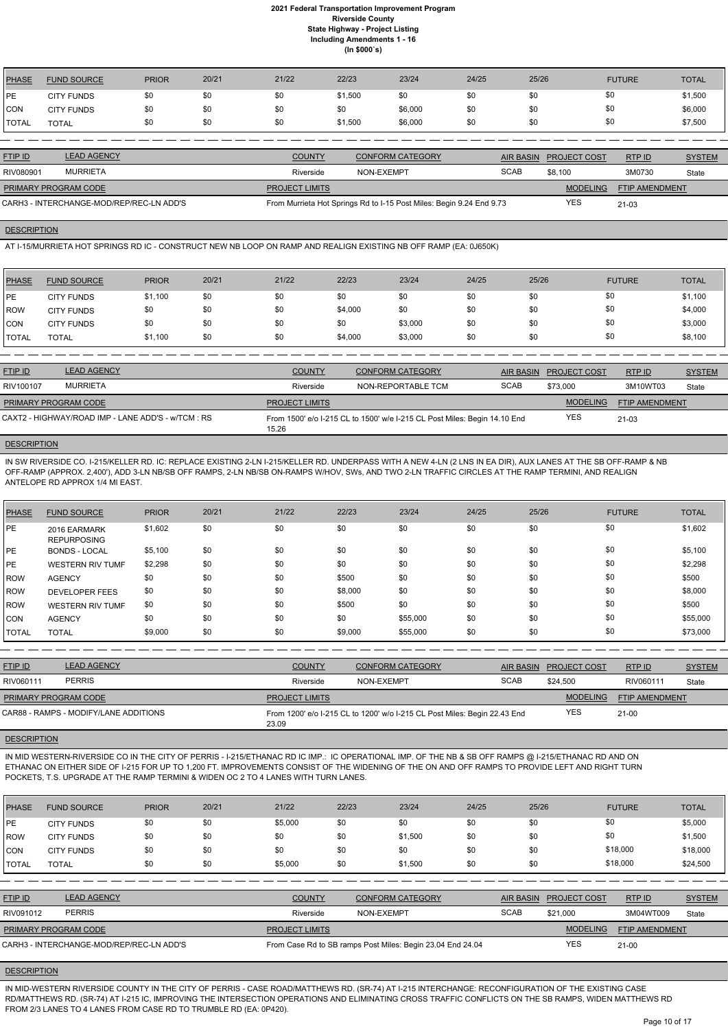| PHASE | <b>FUND SOURCE</b> | <b>PRIOR</b> | 20/21 | 21/22 | 22/23   | 23/24   | 24/25 | 25/26 | <b>FUTURE</b> | <b>TOTAL</b> |
|-------|--------------------|--------------|-------|-------|---------|---------|-------|-------|---------------|--------------|
| PE    | <b>CITY FUNDS</b>  | \$0          | \$0   | \$0   | \$1,500 | \$0     | \$0   | \$0   | \$0           | \$1,500      |
| CON   | <b>CITY FUNDS</b>  | \$0          | \$0   | \$0   | \$0     | \$6,000 | \$0   | \$0   | \$0           | \$6,000      |
| TOTAL | <b>TOTAL</b>       | \$0          | \$0   | \$0   | \$1,500 | \$6,000 | \$0   | \$0   | \$0           | \$7,500      |
|       |                    |              |       |       |         |         |       |       |               |              |

| <b>FTIP ID</b>              | <b>LEAD AGENCY</b>                       | <b>COUNTY</b>         | CONFORM CATEGORY                                                     | <b>AIR BASIN</b> | <b>PROJECT COST</b> | RTP ID                | <b>SYSTEM</b> |
|-----------------------------|------------------------------------------|-----------------------|----------------------------------------------------------------------|------------------|---------------------|-----------------------|---------------|
| RIV080901                   | <b>MURRIETA</b>                          | Riverside             | NON-EXEMPT                                                           | <b>SCAB</b>      | \$8,100             | 3M0730                | State         |
| <b>PRIMARY PROGRAM CODE</b> |                                          | <b>PROJECT LIMITS</b> |                                                                      |                  | <b>MODELING</b>     | <b>FTIP AMENDMENT</b> |               |
|                             | CARH3 - INTERCHANGE-MOD/REP/REC-LN ADD'S |                       | From Murrieta Hot Springs Rd to I-15 Post Miles: Begin 9.24 End 9.73 |                  | YES                 | $21 - 03$             |               |

## **DESCRIPTION**

AT I-15/MURRIETA HOT SPRINGS RD IC - CONSTRUCT NEW NB LOOP ON RAMP AND REALIGN EXISTING NB OFF RAMP (EA: 0J650K)

| <b>PHASE</b> | <b>FUND SOURCE</b> | <b>PRIOR</b> | 20/21 | 21/22 | 22/23   | 23/24   | 24/25 | 25/26 | <b>FUTURE</b> | <b>TOTAL</b> |
|--------------|--------------------|--------------|-------|-------|---------|---------|-------|-------|---------------|--------------|
| lPE          | <b>CITY FUNDS</b>  | \$1,100      | \$0   | \$0   | \$0     | \$0     | \$0   | \$0   | \$0           | \$1,100      |
| ROW          | <b>CITY FUNDS</b>  | \$0          | \$0   | \$0   | \$4,000 | \$0     | \$0   | \$0   | \$0           | \$4,000      |
| CON          | <b>CITY FUNDS</b>  | \$0          | \$0   | \$0   | \$0     | \$3,000 | \$0   | \$0   | \$0           | \$3,000      |
| <b>TOTAL</b> | <b>TOTAL</b>       | \$1,100      | \$0   | \$0   | \$4,000 | \$3,000 | \$0   | \$0   | \$0           | \$8,100      |

| <b>FTIP ID</b>              | <b>LEAD AGENCY</b>                                 | <b>COUNTY</b>         | <b>CONFORM CATEGORY</b>                                                   |             | AIR BASIN PROJECT COST | <b>RTPID</b>          | <b>SYSTEM</b> |
|-----------------------------|----------------------------------------------------|-----------------------|---------------------------------------------------------------------------|-------------|------------------------|-----------------------|---------------|
| RIV100107                   | <b>MURRIETA</b>                                    | Riverside             | NON-REPORTABLE TCM                                                        | <b>SCAB</b> | \$73.000               | 3M10WT03              | State         |
| <b>PRIMARY PROGRAM CODE</b> |                                                    | <b>PROJECT LIMITS</b> |                                                                           |             | <b>MODELING</b>        | <b>FTIP AMENDMENT</b> |               |
|                             | CAXT2 - HIGHWAY/ROAD IMP - LANE ADD'S - w/TCM : RS | 15.26                 | From 1500' e/o I-215 CL to 1500' w/e I-215 CL Post Miles: Begin 14.10 End |             | <b>YES</b>             | $21 - 03$             |               |
|                             |                                                    |                       |                                                                           |             |                        |                       |               |

## **DESCRIPTION**

IN MID WESTERN-RIVERSIDE CO IN THE CITY OF PERRIS - I-215/ETHANAC RD IC IMP.: IC OPERATIONAL IMP. OF THE NB & SB OFF RAMPS @ I-215/ETHANAC RD AND ON ETHANAC ON EITHER SIDE OF I-215 FOR UP TO 1,200 FT. IMPROVEMENTS CONSIST OF THE WIDENING OF THE ON AND OFF RAMPS TO PROVIDE LEFT AND RIGHT TURN POCKETS, T.S. UPGRADE AT THE RAMP TERMINI & WIDEN OC 2 TO 4 LANES WITH TURN LANES.

IN SW RIVERSIDE CO. I-215/KELLER RD. IC: REPLACE EXISTING 2-LN I-215/KELLER RD. UNDERPASS WITH A NEW 4-LN (2 LNS IN EA DIR), AUX LANES AT THE SB OFF-RAMP & NB OFF-RAMP (APPROX. 2,400'), ADD 3-LN NB/SB OFF RAMPS, 2-LN NB/SB ON-RAMPS W/HOV, SWs, AND TWO 2-LN TRAFFIC CIRCLES AT THE RAMP TERMINI, AND REALIGN ANTELOPE RD APPROX 1/4 MI EAST.

| PHASE        | <b>FUND SOURCE</b>                 | <b>PRIOR</b> | 20/21 | 21/22 | 22/23   | 23/24    | 24/25 | 25/26 | <b>FUTURE</b> | <b>TOTAL</b> |
|--------------|------------------------------------|--------------|-------|-------|---------|----------|-------|-------|---------------|--------------|
| PE           | 2016 EARMARK<br><b>REPURPOSING</b> | \$1,602      | \$0   | \$0   | \$0     | \$0      | \$0   | \$0   | \$0           | \$1,602      |
| PE           | <b>BONDS - LOCAL</b>               | \$5,100      | \$0   | \$0   | \$0     | \$0      | \$0   | \$0   | \$0           | \$5,100      |
| PE           | <b>WESTERN RIV TUMF</b>            | \$2,298      | \$0   | \$0   | \$0     | \$0      | \$0   | \$0   | \$0           | \$2,298      |
| <b>ROW</b>   | <b>AGENCY</b>                      | \$0          | \$0   | \$0   | \$500   | \$0      | \$0   | \$0   | \$0           | \$500        |
| <b>ROW</b>   | DEVELOPER FEES                     | \$0          | \$0   | \$0   | \$8,000 | \$0      | \$0   | \$0   | \$0           | \$8,000      |
| <b>ROW</b>   | <b>WESTERN RIV TUMF</b>            | \$0          | \$0   | \$0   | \$500   | \$0      | \$0   | \$0   | \$0           | \$500        |
| <b>CON</b>   | <b>AGENCY</b>                      | \$0          | \$0   | \$0   | \$0     | \$55,000 | \$0   | \$0   | \$0           | \$55,000     |
| <b>TOTAL</b> | <b>TOTAL</b>                       | \$9,000      | \$0   | \$0   | \$9,000 | \$55,000 | \$0   | \$0   | \$0           | \$73,000     |

| <b>FTIP ID</b>              | <b>LEAD AGENCY</b>                    | <b>COUNTY</b>         | <b>CONFORM CATEGORY</b>                                                   |             | AIR BASIN PROJECT COST | RTPID          | <b>SYSTEM</b> |
|-----------------------------|---------------------------------------|-----------------------|---------------------------------------------------------------------------|-------------|------------------------|----------------|---------------|
| RIV060111                   | <b>PERRIS</b>                         | Riverside             | NON-EXEMPT                                                                | <b>SCAB</b> | \$24.500               | RIV060111      | State         |
| <b>PRIMARY PROGRAM CODE</b> |                                       | <b>PROJECT LIMITS</b> |                                                                           |             | <b>MODELING</b>        | FTIP AMENDMENT |               |
|                             | CAR88 - RAMPS - MODIFY/LANE ADDITIONS | 23.09                 | From 1200' e/o I-215 CL to 1200' w/o I-215 CL Post Miles: Begin 22.43 End |             | YES                    | $21 - 00$      |               |

## **DESCRIPTION**

| <b>PHASE</b>   | <b>FUND SOURCE</b>                       | <b>PRIOR</b> | 20/21 | 21/22                 | 22/23 | 23/24                                                      | 24/25 | 25/26            |                     | <b>FUTURE</b>         | <b>TOTAL</b>  |
|----------------|------------------------------------------|--------------|-------|-----------------------|-------|------------------------------------------------------------|-------|------------------|---------------------|-----------------------|---------------|
| <b>IPE</b>     | <b>CITY FUNDS</b>                        | \$0          | \$0   | \$5,000               | \$0   | \$0                                                        | \$0   | \$0              | \$0                 |                       | \$5,000       |
| <b>IROW</b>    | <b>CITY FUNDS</b>                        | \$0          | \$0   | \$0                   | \$0   | \$1,500                                                    | \$0   | \$0              | \$0                 |                       | \$1,500       |
| <b>ICON</b>    | <b>CITY FUNDS</b>                        | \$0          | \$0   | \$0                   | \$0   | \$0                                                        | \$0   | \$0              |                     | \$18,000              | \$18,000      |
| <b>TOTAL</b>   | <b>TOTAL</b>                             | \$0          | \$0   | \$5,000               | \$0   | \$1,500                                                    | \$0   | \$0              |                     | \$18,000              | \$24,500      |
|                |                                          |              |       |                       |       |                                                            |       |                  |                     |                       |               |
| <b>FTIP ID</b> | <b>LEAD AGENCY</b>                       |              |       | <b>COUNTY</b>         |       | <b>CONFORM CATEGORY</b>                                    |       | <b>AIR BASIN</b> | <b>PROJECT COST</b> | RTP ID                | <b>SYSTEM</b> |
| RIV091012      | <b>PERRIS</b>                            |              |       | Riverside             |       | NON-EXEMPT                                                 |       | SCAB             | \$21.000            | 3M04WT009             | State         |
|                | <b>PRIMARY PROGRAM CODE</b>              |              |       | <b>PROJECT LIMITS</b> |       |                                                            |       |                  | <b>MODELING</b>     | <b>FTIP AMENDMENT</b> |               |
|                | CARH3 - INTERCHANGE-MOD/REP/REC-LN ADD'S |              |       |                       |       | From Case Rd to SB ramps Post Miles: Begin 23.04 End 24.04 |       |                  | <b>YES</b>          | $21 - 00$             |               |

## **DESCRIPTION**

IN MID-WESTERN RIVERSIDE COUNTY IN THE CITY OF PERRIS - CASE ROAD/MATTHEWS RD. (SR-74) AT I-215 INTERCHANGE: RECONFIGURATION OF THE EXISTING CASE RD/MATTHEWS RD. (SR-74) AT I-215 IC, IMPROVING THE INTERSECTION OPERATIONS AND ELIMINATING CROSS TRAFFIC CONFLICTS ON THE SB RAMPS, WIDEN MATTHEWS RD FROM 2/3 LANES TO 4 LANES FROM CASE RD TO TRUMBLE RD (EA: 0P420).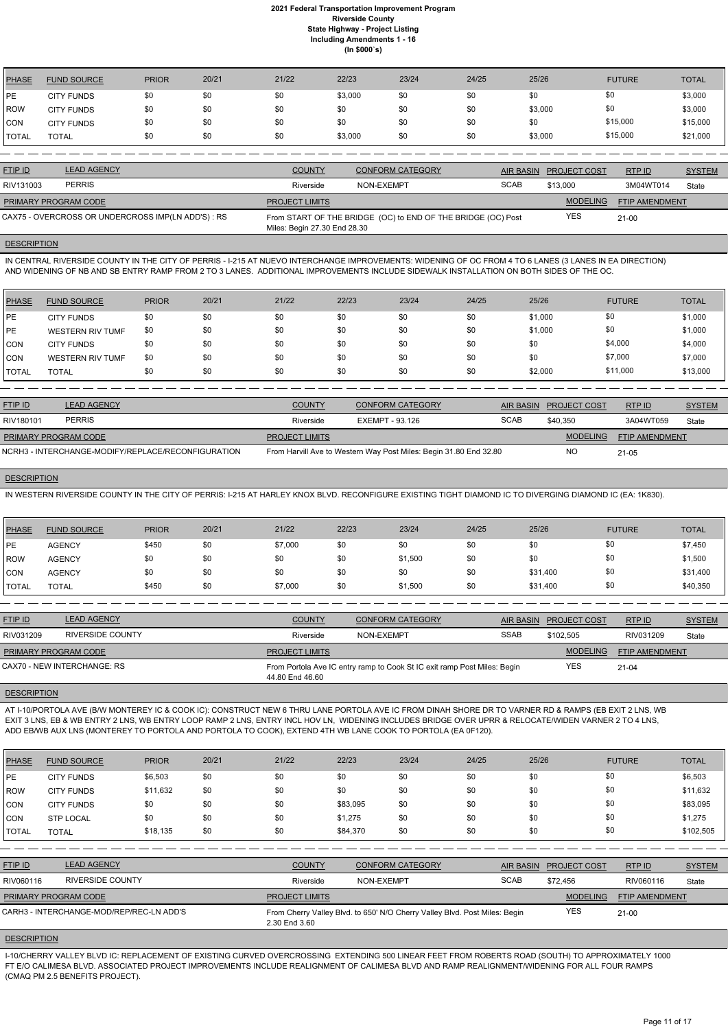| PHASE          | <b>FUND SOURCE</b> | <b>PRIOR</b> | 20/21 | 21/22 | 22/23   | 23/24 | 24/25 | 25/26   | <b>FUTURE</b> | <b>TOTAL</b> |
|----------------|--------------------|--------------|-------|-------|---------|-------|-------|---------|---------------|--------------|
| PE             | <b>CITY FUNDS</b>  | \$0          | \$0   | \$0   | \$3,000 | \$0   | \$0   | \$0     | \$0           | \$3,000      |
| <b>IROW</b>    | <b>CITY FUNDS</b>  | \$0          | \$0   | \$0   | \$0     | \$0   | \$0   | \$3,000 | \$0           | \$3,000      |
| CON            | <b>CITY FUNDS</b>  | \$0          | \$0   | \$0   | \$0     | \$0   | \$0   | \$0     | \$15,000      | \$15,000     |
| <b>I</b> TOTAL | <b>TOTAL</b>       | \$0          | \$0   | \$0   | \$3,000 | \$0   | \$0   | \$3,000 | \$15,000      | \$21,000     |

| <b>FTIP ID</b>              | <b>LEAD AGENCY</b>                                 | <b>COUNTY</b>                | <b>CONFORM CATEGORY</b>                                      | AIR BASIN   | <b>PROJECT COST</b> | <b>RTPID</b>          | <b>SYSTEM</b> |
|-----------------------------|----------------------------------------------------|------------------------------|--------------------------------------------------------------|-------------|---------------------|-----------------------|---------------|
| RIV131003                   | <b>PERRIS</b>                                      | Riverside                    | NON-EXEMPT                                                   | <b>SCAB</b> | \$13,000            | 3M04WT014             | State         |
| <b>PRIMARY PROGRAM CODE</b> |                                                    | <b>PROJECT LIMITS</b>        |                                                              |             | <b>MODELING</b>     | <b>FTIP AMENDMENT</b> |               |
|                             | CAX75 - OVERCROSS OR UNDERCROSS IMP(LN ADD'S) : RS | Miles: Begin 27.30 End 28.30 | From START OF THE BRIDGE (OC) to END OF THE BRIDGE (OC) Post |             | YES                 | $21 - 00$             |               |

#### **DESCRIPTION**

IN CENTRAL RIVERSIDE COUNTY IN THE CITY OF PERRIS - I-215 AT NUEVO INTERCHANGE IMPROVEMENTS: WIDENING OF OC FROM 4 TO 6 LANES (3 LANES IN EA DIRECTION) AND WIDENING OF NB AND SB ENTRY RAMP FROM 2 TO 3 LANES. ADDITIONAL IMPROVEMENTS INCLUDE SIDEWALK INSTALLATION ON BOTH SIDES OF THE OC.

| PHASE        | <b>FUND SOURCE</b>      | <b>PRIOR</b> | 20/21 | 21/22 | 22/23 | 23/24 | 24/25 | 25/26   | <b>FUTURE</b> | <b>TOTAL</b> |
|--------------|-------------------------|--------------|-------|-------|-------|-------|-------|---------|---------------|--------------|
| <b>IPE</b>   | <b>CITY FUNDS</b>       | \$0          | \$0   | \$0   | \$0   | \$0   | \$0   | \$1,000 | \$0           | \$1,000      |
| <b>PE</b>    | <b>WESTERN RIV TUMF</b> | \$0          | \$0   | \$0   | \$0   | \$0   | \$0   | \$1,000 | \$0           | \$1,000      |
| <b>CON</b>   | <b>CITY FUNDS</b>       | \$0          | \$0   | \$0   | \$0   | \$0   | \$0   | \$0     | \$4,000       | \$4,000      |
| <b>CON</b>   | <b>WESTERN RIV TUMF</b> | \$0          | \$0   | \$0   | \$0   | \$0   | \$0   | \$0     | \$7,000       | \$7,000      |
| <b>TOTAL</b> | <b>TOTAL</b>            | \$0          | \$0   | \$0   | \$0   | \$0   | \$0   | \$2,000 | \$11,000      | \$13,000     |

| <b>FTIP ID</b>              | <b>LEAD AGENCY</b>                                 | <b>COUNTY</b>         | <b>CONFORM CATEGORY</b>                                           |             | AIR BASIN PROJECT COST | RTPID          | <b>SYSTEM</b> |
|-----------------------------|----------------------------------------------------|-----------------------|-------------------------------------------------------------------|-------------|------------------------|----------------|---------------|
| RIV180101                   | <b>PERRIS</b>                                      | Riverside             | EXEMPT - 93.126                                                   | <b>SCAB</b> | \$40.350               | 3A04WT059      | State         |
| <b>PRIMARY PROGRAM CODE</b> |                                                    | <b>PROJECT LIMITS</b> |                                                                   |             | <b>MODELING</b>        | FTIP AMENDMENT |               |
|                             | NCRH3 - INTERCHANGE-MODIFY/REPLACE/RECONFIGURATION |                       | From Harvill Ave to Western Way Post Miles: Begin 31.80 End 32.80 |             | <b>NC</b>              | $21 - 05$      |               |

# **DESCRIPTION**

IN WESTERN RIVERSIDE COUNTY IN THE CITY OF PERRIS: I-215 AT HARLEY KNOX BLVD. RECONFIGURE EXISTING TIGHT DIAMOND IC TO DIVERGING DIAMOND IC (EA: 1K830).

| <b>PHASE</b> | <b>FUND SOURCE</b> | <b>PRIOR</b> | 20/21 | 21/22   | 22/23 | 23/24   | 24/25 | 25/26    | <b>FUTURE</b> | <b>TOTAL</b> |
|--------------|--------------------|--------------|-------|---------|-------|---------|-------|----------|---------------|--------------|
| <b>IPE</b>   | <b>AGENCY</b>      | \$450        | \$0   | \$7,000 | \$0   | \$0     | \$0   | \$0      | \$0           | \$7,450      |
| ROW          | <b>AGENCY</b>      | \$0          | \$0   | \$0     | \$0   | \$1,500 | \$0   | \$0      | \$0           | \$1,500      |
| <b>CON</b>   | <b>AGENCY</b>      | \$0          | \$0   | \$0     | \$0   | \$0     | \$0   | \$31,400 | \$0           | \$31,400     |
| <b>TOTAL</b> | <b>TOTAL</b>       | \$450        | \$0   | \$7,000 | \$0   | \$1,500 | \$0   | \$31,400 | \$0           | \$40,350     |

| <b>FTIP ID</b>              | <b>LEAD AGENCY</b>          | <b>COUNTY</b>         | <b>CONFORM CATEGORY</b>                                                  |             | AIR BASIN PROJECT COST | <b>RTPID</b>          | <b>SYSTEM</b> |
|-----------------------------|-----------------------------|-----------------------|--------------------------------------------------------------------------|-------------|------------------------|-----------------------|---------------|
| RIV031209                   | <b>RIVERSIDE COUNTY</b>     | Riverside             | NON-EXEMPT                                                               | <b>SSAB</b> | \$102,505              | RIV031209             | State         |
| <b>PRIMARY PROGRAM CODE</b> |                             | <b>PROJECT LIMITS</b> |                                                                          |             | <b>MODELING</b>        | <b>FTIP AMENDMENT</b> |               |
|                             | CAX70 - NEW INTERCHANGE: RS | 44.80 End 46.60       | From Portola Ave IC entry ramp to Cook St IC exit ramp Post Miles: Begin |             | YES                    | $21 - 04$             |               |

# **DESCRIPTION**

AT I-10/PORTOLA AVE (B/W MONTEREY IC & COOK IC): CONSTRUCT NEW 6 THRU LANE PORTOLA AVE IC FROM DINAH SHORE DR TO VARNER RD & RAMPS (EB EXIT 2 LNS, WB EXIT 3 LNS, EB & WB ENTRY 2 LNS, WB ENTRY LOOP RAMP 2 LNS, ENTRY INCL HOV LN, WIDENING INCLUDES BRIDGE OVER UPRR & RELOCATE/WIDEN VARNER 2 TO 4 LNS, ADD EB/WB AUX LNS (MONTEREY TO PORTOLA AND PORTOLA TO COOK), EXTEND 4TH WB LANE COOK TO PORTOLA (EA 0F120).

| <b>IPHASE</b> | <b>FUND SOURCE</b> | <b>PRIOR</b> | 20/21 | 21/22 | 22/23    | 23/24 | 24/25 | 25/26 | <b>FUTURE</b> | <b>TOTAL</b> |
|---------------|--------------------|--------------|-------|-------|----------|-------|-------|-------|---------------|--------------|
| IPE.          | <b>CITY FUNDS</b>  | \$6,503      | \$0   | \$0   | \$0      | \$0   | \$0   | \$0   | \$0           | \$6,503      |
| <b>IROW</b>   | <b>CITY FUNDS</b>  | \$11,632     | \$0   | \$0   | \$0      | \$0   | \$0   | \$0   | \$0           | \$11,632     |
| CON           | <b>CITY FUNDS</b>  | \$0          | \$0   | \$0   | \$83,095 | \$0   | \$0   | \$0   | \$0           | \$83,095     |
| <b>ICON</b>   | <b>STP LOCAL</b>   | \$0          | \$0   | \$0   | \$1,275  | \$0   | \$0   | \$0   | \$0           | \$1,275      |
| <b>TOTAL</b>  | <b>TOTAL</b>       | \$18,135     | \$0   | \$0   | \$84,370 | \$0   | \$0   | \$0   | \$0           | \$102,505    |

| <b>LEAD AGENCY</b><br><b>FTIP ID</b>     | <b>COUNTY</b>         | <b>CONFORM CATEGORY</b>                                                    |             | AIR BASIN PROJECT COST | RTP ID                | <b>SYSTEM</b> |
|------------------------------------------|-----------------------|----------------------------------------------------------------------------|-------------|------------------------|-----------------------|---------------|
| RIVERSIDE COUNTY<br>RIV060116            | Riverside             | NON-EXEMPT                                                                 | <b>SCAB</b> | \$72.456               | RIV060116             | State         |
| <b>PRIMARY PROGRAM CODE</b>              | <b>PROJECT LIMITS</b> |                                                                            |             | <b>MODELING</b>        | <b>FTIP AMENDMENT</b> |               |
| CARH3 - INTERCHANGE-MOD/REP/REC-LN ADD'S | 2.30 End 3.60         | From Cherry Valley Blvd. to 650' N/O Cherry Valley Blvd. Post Miles: Begin |             | <b>YES</b>             | $21-00$               |               |

# **DESCRIPTION**

I-10/CHERRY VALLEY BLVD IC: REPLACEMENT OF EXISTING CURVED OVERCROSSING EXTENDING 500 LINEAR FEET FROM ROBERTS ROAD (SOUTH) TO APPROXIMATELY 1000 FT E/O CALIMESA BLVD. ASSOCIATED PROJECT IMPROVEMENTS INCLUDE REALIGNMENT OF CALIMESA BLVD AND RAMP REALIGNMENT/WIDENING FOR ALL FOUR RAMPS (CMAQ PM 2.5 BENEFITS PROJECT).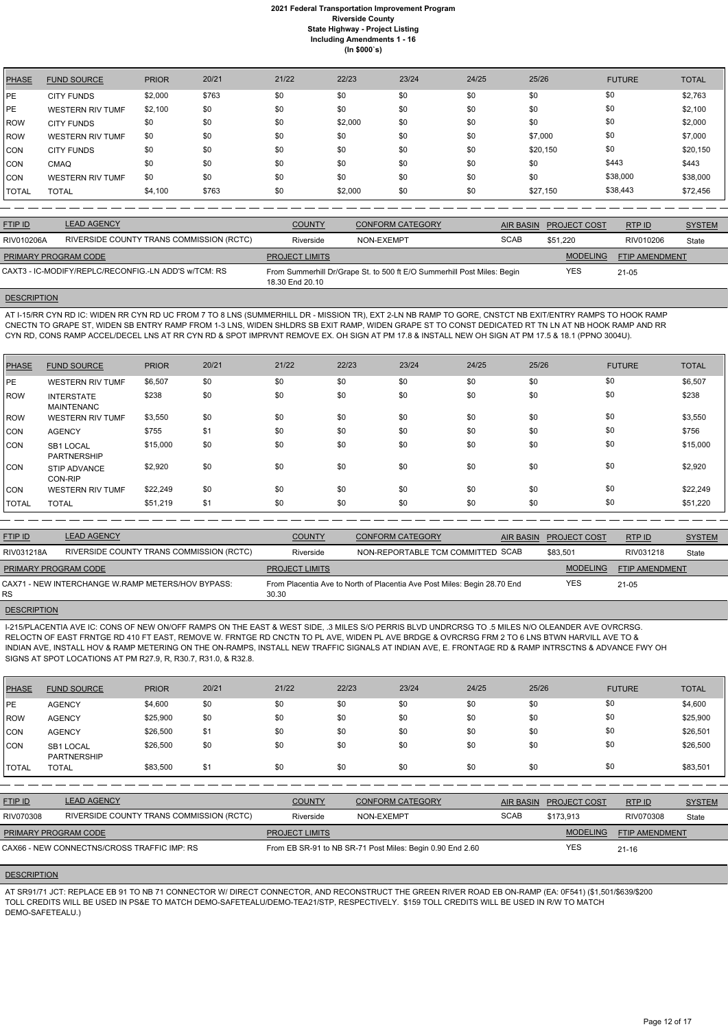| <b>PHASE</b> | <b>FUND SOURCE</b>      | <b>PRIOR</b> | 20/21 | 21/22 | 22/23   | 23/24 | 24/25 | 25/26    | <b>FUTURE</b> | <b>TOTAL</b> |
|--------------|-------------------------|--------------|-------|-------|---------|-------|-------|----------|---------------|--------------|
| <b>PE</b>    | <b>CITY FUNDS</b>       | \$2,000      | \$763 | \$0   | \$0     | \$0   | \$0   | \$0      | \$0           | \$2,763      |
| <b>PE</b>    | <b>WESTERN RIV TUMF</b> | \$2,100      | \$0   | \$0   | \$0     | \$0   | \$0   | \$0      | \$0           | \$2,100      |
| <b>ROW</b>   | <b>CITY FUNDS</b>       | \$0          | \$0   | \$0   | \$2,000 | \$0   | \$0   | \$0      | \$0           | \$2,000      |
| <b>ROW</b>   | <b>WESTERN RIV TUMF</b> | \$0          | \$0   | \$0   | \$0     | \$0   | \$0   | \$7,000  | \$0           | \$7,000      |
| <b>CON</b>   | <b>CITY FUNDS</b>       | \$0          | \$0   | \$0   | \$0     | \$0   | \$0   | \$20,150 | \$0           | \$20,150     |
| <b>CON</b>   | <b>CMAQ</b>             | \$0          | \$0   | \$0   | \$0     | \$0   | \$0   | \$0      | \$443         | \$443        |
| <b>CON</b>   | WESTERN RIV TUMF        | \$0          | \$0   | \$0   | \$0     | \$0   | \$0   | \$0      | \$38,000      | \$38,000     |
| <b>TOTAL</b> | <b>TOTAL</b>            | \$4,100      | \$763 | \$0   | \$2,000 | \$0   | \$0   | \$27,150 | \$38,443      | \$72,456     |

| <b>FTIP ID</b>       | <b>LEAD AGENCY</b>                                   | <b>COUNTY</b>         | CONFORM CATEGORY                                                        | <b>AIR BASIN</b> | <b>PROJECT COST</b> | RTP ID                | <b>SYSTEM</b> |
|----------------------|------------------------------------------------------|-----------------------|-------------------------------------------------------------------------|------------------|---------------------|-----------------------|---------------|
| RIV010206A           | RIVERSIDE COUNTY TRANS COMMISSION (RCTC)             | Riverside             | NON-EXEMPT                                                              | <b>SCAB</b>      | \$51.220            | RIV010206             | State         |
| PRIMARY PROGRAM CODE |                                                      | <b>PROJECT LIMITS</b> |                                                                         |                  | <b>MODELING</b>     | <b>FTIP AMENDMENT</b> |               |
|                      | CAXT3 - IC-MODIFY/REPLC/RECONFIG.-LN ADD'S w/TCM: RS | 18.30 End 20.10       | From Summerhill Dr/Grape St. to 500 ft E/O Summerhill Post Miles: Begin |                  | <b>YES</b>          | 21-05                 |               |

## **DESCRIPTION**

AT I-15/RR CYN RD IC: WIDEN RR CYN RD UC FROM 7 TO 8 LNS (SUMMERHILL DR - MISSION TR), EXT 2-LN NB RAMP TO GORE, CNSTCT NB EXIT/ENTRY RAMPS TO HOOK RAMP CNECTN TO GRAPE ST, WIDEN SB ENTRY RAMP FROM 1-3 LNS, WIDEN SHLDRS SB EXIT RAMP, WIDEN GRAPE ST TO CONST DEDICATED RT TN LN AT NB HOOK RAMP AND RR CYN RD, CONS RAMP ACCEL/DECEL LNS AT RR CYN RD & SPOT IMPRVNT REMOVE EX. OH SIGN AT PM 17.8 & INSTALL NEW OH SIGN AT PM 17.5 & 18.1 (PPNO 3004U).

| PHASE          | <b>FUND SOURCE</b>                     | <b>PRIOR</b> | 20/21 | 21/22 | 22/23 | 23/24 | 24/25 | 25/26 | <b>FUTURE</b> | <b>TOTAL</b> |
|----------------|----------------------------------------|--------------|-------|-------|-------|-------|-------|-------|---------------|--------------|
| PE             | <b>WESTERN RIV TUMF</b>                | \$6,507      | \$0   | \$0   | \$0   | \$0   | \$0   | \$0   | \$0           | \$6,507      |
| <b>IROW</b>    | <b>INTERSTATE</b><br><b>MAINTENANC</b> | \$238        | \$0   | \$0   | \$0   | \$0   | \$0   | \$0   | \$0           | \$238        |
| ROW            | <b>WESTERN RIV TUMF</b>                | \$3,550      | \$0   | \$0   | \$0   | \$0   | \$0   | \$0   | \$0           | \$3,550      |
| CON            | <b>AGENCY</b>                          | \$755        | \$1   | \$0   | \$0   | \$0   | \$0   | \$0   | \$0           | \$756        |
| CON            | <b>SB1 LOCAL</b><br><b>PARTNERSHIP</b> | \$15,000     | \$0   | \$0   | \$0   | \$0   | \$0   | \$0   | \$0           | \$15,000     |
| ICON           | <b>STIP ADVANCE</b><br>CON-RIP         | \$2,920      | \$0   | \$0   | \$0   | \$0   | \$0   | \$0   | \$0           | \$2,920      |
| CON            | <b>WESTERN RIV TUMF</b>                | \$22,249     | \$0   | \$0   | \$0   | \$0   | \$0   | \$0   | \$0           | \$22,249     |
| <b>I</b> TOTAL | <b>TOTAL</b>                           | \$51,219     | \$1   | \$0   | \$0   | \$0   | \$0   | \$0   | \$0           | \$51,220     |

| <b>FTIP ID</b>       | <b>LEAD AGENCY</b>                                | <b>COUNTY</b>         | <b>CONFORM CATEGORY</b>                                                  | AIR BASIN PROJECT COST | RTP ID         | <b>SYSTEM</b> |
|----------------------|---------------------------------------------------|-----------------------|--------------------------------------------------------------------------|------------------------|----------------|---------------|
| RIV031218A           | RIVERSIDE COUNTY TRANS COMMISSION (RCTC)          | Riverside             | NON-REPORTABLE TCM COMMITTED SCAB                                        | \$83.501               | RIV031218      | State         |
| PRIMARY PROGRAM CODE |                                                   | <b>PROJECT LIMITS</b> |                                                                          | <b>MODELING</b>        | FTIP AMENDMENT |               |
| RS.                  | CAX71 - NEW INTERCHANGE W.RAMP METERS/HOV BYPASS: | 30.30                 | From Placentia Ave to North of Placentia Ave Post Miles: Begin 28.70 End | <b>YES</b>             | $21 - 05$      |               |
|                      |                                                   |                       |                                                                          |                        |                |               |

## **DESCRIPTION**

I-215/PLACENTIA AVE IC: CONS OF NEW ON/OFF RAMPS ON THE EAST & WEST SIDE, .3 MILES S/O PERRIS BLVD UNDRCRSG TO .5 MILES N/O OLEANDER AVE OVRCRSG. RELOCTN OF EAST FRNTGE RD 410 FT EAST, REMOVE W. FRNTGE RD CNCTN TO PL AVE, WIDEN PL AVE BRDGE & OVRCRSG FRM 2 TO 6 LNS BTWN HARVILL AVE TO & INDIAN AVE, INSTALL HOV & RAMP METERING ON THE ON-RAMPS, INSTALL NEW TRAFFIC SIGNALS AT INDIAN AVE, E. FRONTAGE RD & RAMP INTRSCTNS & ADVANCE FWY OH SIGNS AT SPOT LOCATIONS AT PM R27.9, R, R30.7, R31.0, & R32.8.

| <b>PHASE</b> | <b>FUND SOURCE</b>              | <b>PRIOR</b> | 20/21 | 21/22 | 22/23 | 23/24 | 24/25 | 25/26 | <b>FUTURE</b> | <b>TOTAL</b> |
|--------------|---------------------------------|--------------|-------|-------|-------|-------|-------|-------|---------------|--------------|
| PE           | AGENCY                          | \$4,600      | \$0   | \$0   | \$0   | \$0   | \$0   | \$0   | \$0           | \$4,600      |
| <b>ROW</b>   | <b>AGENCY</b>                   | \$25,900     | \$0   | \$0   | \$0   | \$0   | \$0   | \$0   | \$0           | \$25,900     |
| <b>CON</b>   | <b>AGENCY</b>                   | \$26,500     | \$1   | \$0   | \$0   | \$0   | \$0   | \$0   | \$0           | \$26,501     |
| <b>CON</b>   | SB1 LOCAL<br><b>PARTNERSHIP</b> | \$26,500     | \$0   | \$0   | \$0   | \$0   | \$0   | \$0   | \$0           | \$26,500     |
| TOTAL        | <b>TOTAL</b>                    | \$83,500     | \$1   | \$0   | \$0   | \$0   | \$0   | \$0   | \$0           | \$83,501     |

| <b>FTIP ID</b>              | <b>LEAD AGENCY</b>                          | <b>COUNTY</b>         | <b>CONFORM CATEGORY</b>                                   |             | AIR BASIN PROJECT COST | RTPID          | <b>SYSTEM</b> |
|-----------------------------|---------------------------------------------|-----------------------|-----------------------------------------------------------|-------------|------------------------|----------------|---------------|
| RIV070308                   | RIVERSIDE COUNTY TRANS COMMISSION (RCTC)    | Riverside             | NON-EXEMPT                                                | <b>SCAB</b> | \$173.913              | RIV070308      | State         |
| <b>PRIMARY PROGRAM CODE</b> |                                             | <b>PROJECT LIMITS</b> |                                                           |             | <b>MODELING</b>        | FTIP AMENDMENT |               |
|                             | CAX66 - NEW CONNECTNS/CROSS TRAFFIC IMP: RS |                       | From EB SR-91 to NB SR-71 Post Miles: Begin 0.90 End 2.60 |             | YES                    | $21 - 16$      |               |

#### **DESCRIPTION**

AT SR91/71 JCT: REPLACE EB 91 TO NB 71 CONNECTOR W/ DIRECT CONNECTOR, AND RECONSTRUCT THE GREEN RIVER ROAD EB ON-RAMP (EA: 0F541) (\$1,501/\$639/\$200 TOLL CREDITS WILL BE USED IN PS&E TO MATCH DEMO-SAFETEALU/DEMO-TEA21/STP, RESPECTIVELY. \$159 TOLL CREDITS WILL BE USED IN R/W TO MATCH DEMO-SAFETEALU.)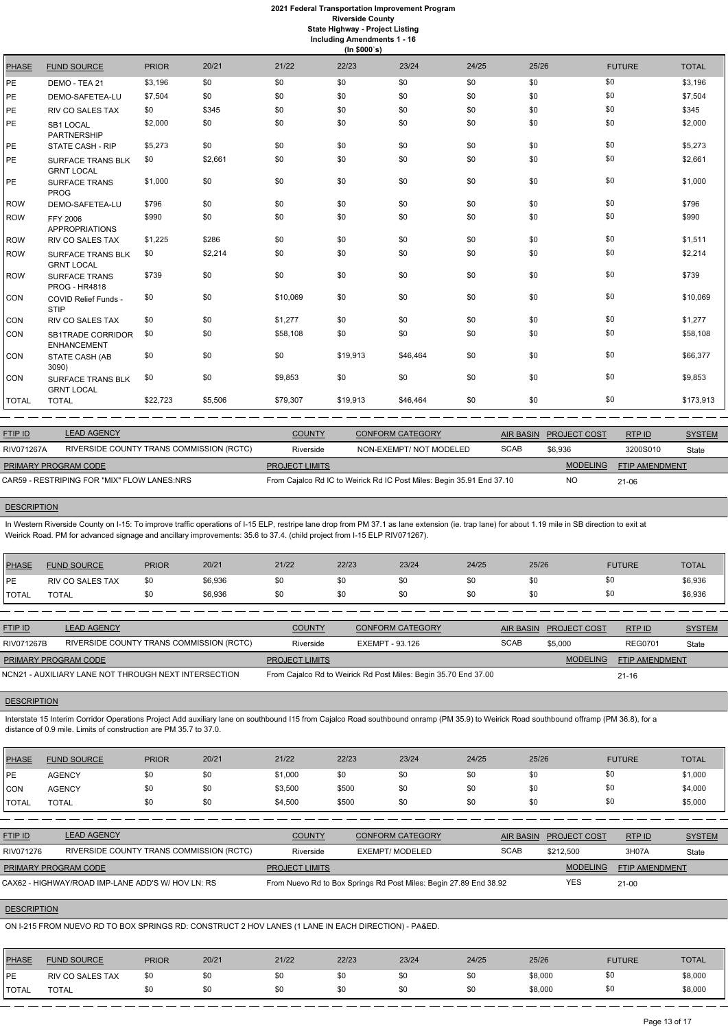| <b>PHASE</b> | <b>FUND SOURCE</b>                             | <b>PRIOR</b> | 20/21   | 21/22    | 22/23    | 23/24    | 24/25 | 25/26 | <b>FUTURE</b> | <b>TOTAL</b> |
|--------------|------------------------------------------------|--------------|---------|----------|----------|----------|-------|-------|---------------|--------------|
| PE           | DEMO - TEA 21                                  | \$3,196      | \$0     | \$0      | \$0      | \$0      | \$0   | \$0   | \$0           | \$3,196      |
| PE           | DEMO-SAFETEA-LU                                | \$7,504      | \$0     | \$0      | \$0      | \$0      | \$0   | \$0   | \$0           | \$7,504      |
| PE           | <b>RIV CO SALES TAX</b>                        | \$0          | \$345   | \$0      | \$0      | \$0      | \$0   | \$0   | \$0           | \$345        |
| PE           | SB1 LOCAL<br><b>PARTNERSHIP</b>                | \$2,000      | \$0     | \$0      | \$0      | \$0      | \$0   | \$0   | \$0           | \$2,000      |
| PE           | STATE CASH - RIP                               | \$5,273      | \$0     | \$0      | \$0      | \$0      | \$0   | \$0   | \$0           | \$5,273      |
| PE           | <b>SURFACE TRANS BLK</b><br><b>GRNT LOCAL</b>  | \$0          | \$2,661 | \$0      | \$0      | \$0      | \$0   | \$0   | \$0           | \$2,661      |
| PE           | <b>SURFACE TRANS</b><br><b>PROG</b>            | \$1,000      | \$0     | \$0      | \$0      | \$0      | \$0   | \$0   | \$0           | \$1,000      |
| <b>ROW</b>   | DEMO-SAFETEA-LU                                | \$796        | \$0     | \$0      | \$0      | \$0      | \$0   | \$0   | \$0           | \$796        |
| <b>ROW</b>   | <b>FFY 2006</b><br><b>APPROPRIATIONS</b>       | \$990        | \$0     | \$0      | \$0      | \$0      | \$0   | \$0   | \$0           | \$990        |
| <b>ROW</b>   | RIV CO SALES TAX                               | \$1,225      | \$286   | \$0      | \$0      | \$0      | \$0   | \$0   | \$0           | \$1,511      |
| <b>ROW</b>   | <b>SURFACE TRANS BLK</b><br><b>GRNT LOCAL</b>  | \$0          | \$2,214 | \$0      | \$0      | \$0      | \$0   | \$0   | \$0           | \$2,214      |
| <b>ROW</b>   | <b>SURFACE TRANS</b><br><b>PROG - HR4818</b>   | \$739        | \$0     | \$0      | \$0      | \$0      | \$0   | \$0   | \$0           | \$739        |
| <b>CON</b>   | COVID Relief Funds -<br><b>STIP</b>            | \$0          | \$0     | \$10,069 | \$0      | \$0      | \$0   | \$0   | \$0           | \$10,069     |
| <b>CON</b>   | <b>RIV CO SALES TAX</b>                        | \$0          | \$0     | \$1,277  | \$0      | \$0      | \$0   | \$0   | \$0           | \$1,277      |
| <b>CON</b>   | <b>SB1TRADE CORRIDOR</b><br><b>ENHANCEMENT</b> | \$0          | \$0     | \$58,108 | \$0      | \$0      | \$0   | \$0   | \$0           | \$58,108     |
| <b>CON</b>   | STATE CASH (AB<br>3090)                        | \$0          | \$0     | \$0      | \$19,913 | \$46,464 | \$0   | \$0   | \$0           | \$66,377     |
| <b>CON</b>   | <b>SURFACE TRANS BLK</b><br><b>GRNT LOCAL</b>  | \$0          | \$0     | \$9,853  | \$0      | \$0      | \$0   | \$0   | \$0           | \$9,853      |
| <b>TOTAL</b> | <b>TOTAL</b>                                   | \$22,723     | \$5,506 | \$79,307 | \$19,913 | \$46,464 | \$0   | \$0   | \$0           | \$173,913    |

In Western Riverside County on I-15: To improve traffic operations of I-15 ELP, restripe lane drop from PM 37.1 as lane extension (ie. trap lane) for about 1.19 mile in SB direction to exit at Weirick Road. PM for advanced signage and ancillary improvements: 35.6 to 37.4. (child project from I-15 ELP RIV071267).

| <b>FTIP ID</b>       | <b>LEAD AGENCY</b>                          | <b>COUNTY</b>         | CONFORM CATEGORY                                                      | AIR BASIN   | <b>PROJECT COST</b> | RTPID                 | <b>SYSTEM</b> |
|----------------------|---------------------------------------------|-----------------------|-----------------------------------------------------------------------|-------------|---------------------|-----------------------|---------------|
| <b>RIV071267A</b>    | RIVERSIDE COUNTY TRANS COMMISSION (RCTC)    | Riverside             | NON-EXEMPT/ NOT MODELED                                               | <b>SCAB</b> | \$6.936             | 3200S010              | State         |
| PRIMARY PROGRAM CODE |                                             | <b>PROJECT LIMITS</b> |                                                                       |             | <b>MODELING</b>     | <b>FTIP AMENDMENT</b> |               |
|                      | CAR59 - RESTRIPING FOR "MIX" FLOW LANES:NRS |                       | From Cajalco Rd IC to Weirick Rd IC Post Miles: Begin 35.91 End 37.10 |             | <b>NO</b>           | $21 - 06$             |               |

#### **DESCRIPTION**

| <b>PHASE</b> | <b>FUND SOURCE</b> | <b>PRIOR</b> | 20/21   | 21/22 | 22/23 | 23/24 | 24/25 | 25/26 | <b>FUTURE</b> | <b>TOTAL</b> |
|--------------|--------------------|--------------|---------|-------|-------|-------|-------|-------|---------------|--------------|
| PE           | RIV CO SALES TAX   | \$0          | \$6,936 | \$0   |       | \$0   | \$0   | \$0   | \$0           | \$6,936      |
| TOTAL        | TOTAL              | \$0          | \$6,936 | \$0   |       | \$0   | \$0   | \$0   | \$0           | \$6,936      |

| <b>FTIP ID</b>              | <b>LEAD AGENCY</b>                                   | <b>COUNTY</b>         | <b>CONFORM CATEGORY</b>                                         |             | AIR BASIN PROJECT COST | RTP ID                | <b>SYSTEM</b> |
|-----------------------------|------------------------------------------------------|-----------------------|-----------------------------------------------------------------|-------------|------------------------|-----------------------|---------------|
| <b>RIV071267B</b>           | RIVERSIDE COUNTY TRANS COMMISSION (RCTC)             | Riverside             | EXEMPT - 93.126                                                 | <b>SCAB</b> | \$5,000                | <b>REG0701</b>        | State         |
| <b>PRIMARY PROGRAM CODE</b> |                                                      | <b>PROJECT LIMITS</b> |                                                                 |             | <b>MODELING</b>        | <b>FTIP AMENDMENT</b> |               |
|                             | NCN21 - AUXILIARY LANE NOT THROUGH NEXT INTERSECTION |                       | From Cajalco Rd to Weirick Rd Post Miles: Begin 35.70 End 37.00 |             |                        | $21 - 16$             |               |

## **DESCRIPTION**

Interstate 15 Interim Corridor Operations Project Add auxiliary lane on southbound I15 from Cajalco Road southbound onramp (PM 35.9) to Weirick Road southbound offramp (PM 36.8), for a distance of 0.9 mile. Limits of construction are PM 35.7 to 37.0.

| <b>PHASE</b> | <b>FUND SOURCE</b>                                | <b>PRIOR</b> | 20/21 | 21/22                 | 22/23           | 23/24                                                             | 24/25       | 25/26            |                     | <b>FUTURE</b>         | <b>TOTAL</b>  |
|--------------|---------------------------------------------------|--------------|-------|-----------------------|-----------------|-------------------------------------------------------------------|-------------|------------------|---------------------|-----------------------|---------------|
| <b>IPE</b>   | <b>AGENCY</b>                                     | \$0          | \$0   | \$1,000               | \$0             | \$0                                                               | \$0         | \$0              | \$0                 |                       | \$1,000       |
| ICON         | <b>AGENCY</b>                                     | \$0          | \$0   | \$3,500               | \$500           | \$0                                                               | \$0         | \$0              | \$0                 |                       | \$4,000       |
| I TOTAL      | <b>TOTAL</b>                                      | \$0          | \$0   | \$4,500               | \$500           | \$0                                                               | \$0         | \$0              | \$0                 |                       | \$5,000       |
|              |                                                   |              |       |                       |                 |                                                                   |             |                  |                     |                       |               |
| FTIP ID      | <b>LEAD AGENCY</b>                                |              |       | <b>COUNTY</b>         |                 | <b>CONFORM CATEGORY</b>                                           |             | <b>AIR BASIN</b> | <b>PROJECT COST</b> | RTPID                 | <b>SYSTEM</b> |
| RIV071276    | RIVERSIDE COUNTY TRANS COMMISSION (RCTC)          |              |       | Riverside             | EXEMPT/ MODELED |                                                                   | <b>SCAB</b> |                  | \$212,500           | 3H07A                 | State         |
|              | PRIMARY PROGRAM CODE                              |              |       | <b>PROJECT LIMITS</b> |                 |                                                                   |             |                  | <b>MODELING</b>     | <b>FTIP AMENDMENT</b> |               |
|              | CAX62 - HIGHWAY/ROAD IMP-LANE ADD'S W/ HOV LN: RS |              |       |                       |                 | From Nuevo Rd to Box Springs Rd Post Miles: Begin 27.89 End 38.92 |             |                  | <b>YES</b>          | $21-00$               |               |

# **DESCRIPTION**

ON I-215 FROM NUEVO RD TO BOX SPRINGS RD: CONSTRUCT 2 HOV LANES (1 LANE IN EACH DIRECTION) - PA&ED.

| <b>PHASE</b> | <b>FUND SOURCE</b> | <b>PRIOR</b> | 20/21 | 21/22 | 22/23 | 23/24 | 24/25 | 25/26   | <b>FUTURE</b> | <b>TOTAL</b> |
|--------------|--------------------|--------------|-------|-------|-------|-------|-------|---------|---------------|--------------|
| <b>IPE</b>   | RIV CO SALES TAX   | \$0          |       | \$0   | ა∪    | \$0   | \$0   | \$8,000 | \$0           | \$8,000      |
| <b>TOTAL</b> | <b>TOTAL</b>       | \$0          | \$0   | \$0   |       | \$0   | \$0   | \$8,000 | \$0           | \$8,000      |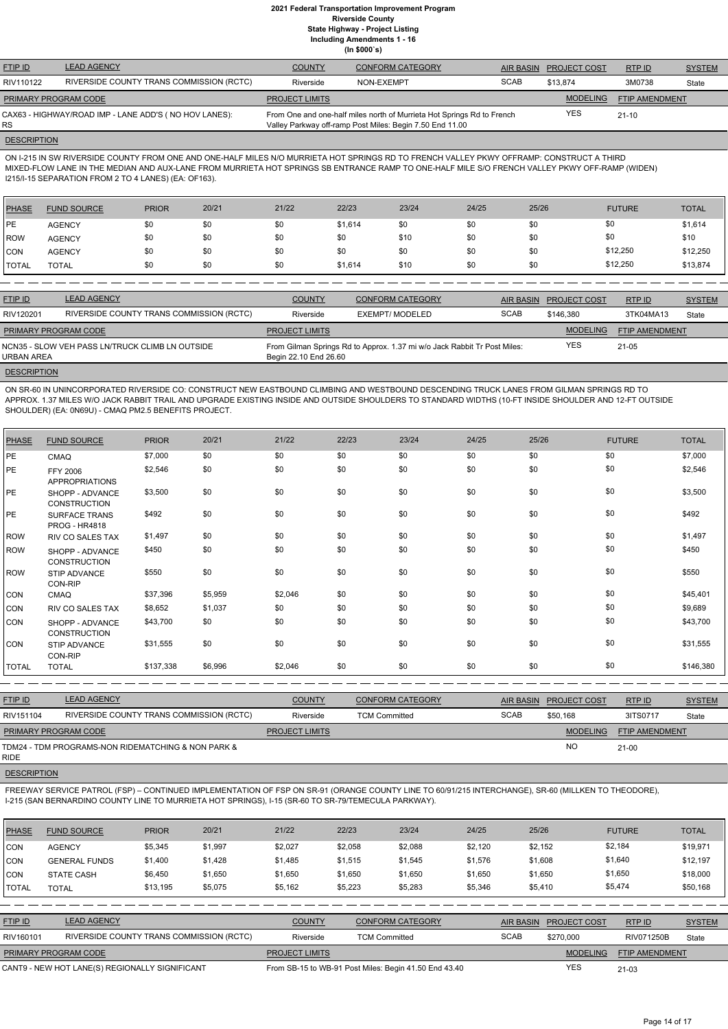| <b>FTIP ID</b>              | <b>LEAD AGENCY</b>                                    | <b>COUNTY</b>         | <b>CONFORM CATEGORY</b>                                                                                                            |             | AIR BASIN PROJECT COST | RTPID                 | <b>SYSTEM</b> |
|-----------------------------|-------------------------------------------------------|-----------------------|------------------------------------------------------------------------------------------------------------------------------------|-------------|------------------------|-----------------------|---------------|
| RIV110122                   | RIVERSIDE COUNTY TRANS COMMISSION (RCTC)              | Riverside             | NON-EXEMPT                                                                                                                         | <b>SCAB</b> | \$13.874               | 3M0738                | State         |
| <b>PRIMARY PROGRAM CODE</b> |                                                       | <b>PROJECT LIMITS</b> |                                                                                                                                    |             | <b>MODELING</b>        | <b>FTIP AMENDMENT</b> |               |
| <b>RS</b>                   | CAX63 - HIGHWAY/ROAD IMP - LANE ADD'S (NO HOV LANES): |                       | From One and one-half miles north of Murrieta Hot Springs Rd to French<br>Valley Parkway off-ramp Post Miles: Begin 7.50 End 11.00 |             | YES                    | $21 - 10$             |               |

#### **DESCRIPTION**

ON I-215 IN SW RIVERSIDE COUNTY FROM ONE AND ONE-HALF MILES N/O MURRIETA HOT SPRINGS RD TO FRENCH VALLEY PKWY OFFRAMP: CONSTRUCT A THIRD MIXED-FLOW LANE IN THE MEDIAN AND AUX-LANE FROM MURRIETA HOT SPRINGS SB ENTRANCE RAMP TO ONE-HALF MILE S/O FRENCH VALLEY PKWY OFF-RAMP (WIDEN) I215/I-15 SEPARATION FROM 2 TO 4 LANES) (EA: OF163).

| <b>PHASE</b> | <b>FUND SOURCE</b> | <b>PRIOR</b> | 20/21 | 21/22 | 22/23   | 23/24 | 24/25 | 25/26 | <b>FUTURE</b> | <b>TOTAL</b> |
|--------------|--------------------|--------------|-------|-------|---------|-------|-------|-------|---------------|--------------|
| <b>IPE</b>   | <b>AGENCY</b>      | \$0          | \$0   | \$0   | \$1,614 | \$0   | \$0   | \$0   | \$0           | \$1,614      |
| <b>ROW</b>   | <b>AGENCY</b>      | \$0          | \$0   | \$0   | \$0     | \$10  | \$0   | \$0   | \$0           | \$10         |
| <b>CON</b>   | <b>AGENCY</b>      | \$0          | \$0   | \$0   | \$0     | \$0   | \$0   | \$0   | \$12,250      | \$12,250     |
| <b>TOTAL</b> | <b>TOTAL</b>       | \$0          | \$0   | \$0   | \$1,614 | \$10  | \$0   | \$0   | \$12,250      | \$13,874     |

| <b>FTIP ID</b>              | <b>LEAD AGENCY</b>                              | <b>COUNTY</b>         | <b>CONFORM CATEGORY</b>                                                  | <b>AIR BASIN</b> | <b>PROJECT COST</b> | RTP ID                | <b>SYSTEM</b> |
|-----------------------------|-------------------------------------------------|-----------------------|--------------------------------------------------------------------------|------------------|---------------------|-----------------------|---------------|
| RIV120201                   | RIVERSIDE COUNTY TRANS COMMISSION (RCTC)        | Riverside             | EXEMPT/ MODELED                                                          | <b>SCAB</b>      | \$146.380           | 3TK04MA13             | State         |
| <b>PRIMARY PROGRAM CODE</b> |                                                 | <b>PROJECT LIMITS</b> |                                                                          |                  | <b>MODELING</b>     | <b>FTIP AMENDMENT</b> |               |
| <b>URBAN AREA</b>           | NCN35 - SLOW VEH PASS LN/TRUCK CLIMB LN OUTSIDE | Begin 22.10 End 26.60 | From Gilman Springs Rd to Approx. 1.37 mi w/o Jack Rabbit Tr Post Miles: |                  | <b>YES</b>          | 21-05                 |               |
| <b>DESCRIPTION</b>          |                                                 |                       |                                                                          |                  |                     |                       |               |

ON SR-60 IN UNINCORPORATED RIVERSIDE CO: CONSTRUCT NEW EASTBOUND CLIMBING AND WESTBOUND DESCENDING TRUCK LANES FROM GILMAN SPRINGS RD TO APPROX. 1.37 MILES W/O JACK RABBIT TRAIL AND UPGRADE EXISTING INSIDE AND OUTSIDE SHOULDERS TO STANDARD WIDTHS (10-FT INSIDE SHOULDER AND 12-FT OUTSIDE SHOULDER) (EA: 0N69U) - CMAQ PM2.5 BENEFITS PROJECT.

| <b>PHASE</b> | <b>FUND SOURCE</b>                           | <b>PRIOR</b> | 20/21   | 21/22   | 22/23 | 23/24 | 24/25 | 25/26 | <b>FUTURE</b> | <b>TOTAL</b> |
|--------------|----------------------------------------------|--------------|---------|---------|-------|-------|-------|-------|---------------|--------------|
| PE           | <b>CMAQ</b>                                  | \$7,000      | \$0     | \$0     | \$0   | \$0   | \$0   | \$0   | \$0           | \$7,000      |
| PE           | <b>FFY 2006</b><br><b>APPROPRIATIONS</b>     | \$2,546      | \$0     | \$0     | \$0   | \$0   | \$0   | \$0   | \$0           | \$2,546      |
| PE           | SHOPP - ADVANCE<br><b>CONSTRUCTION</b>       | \$3,500      | \$0     | \$0     | \$0   | \$0   | \$0   | \$0   | \$0           | \$3,500      |
| PE           | <b>SURFACE TRANS</b><br><b>PROG - HR4818</b> | \$492        | \$0     | \$0     | \$0   | \$0   | \$0   | \$0   | \$0           | \$492        |
| <b>ROW</b>   | RIV CO SALES TAX                             | \$1,497      | \$0     | \$0     | \$0   | \$0   | \$0   | \$0   | \$0           | \$1,497      |
| <b>ROW</b>   | SHOPP - ADVANCE<br><b>CONSTRUCTION</b>       | \$450        | \$0     | \$0     | \$0   | \$0   | \$0   | \$0   | \$0           | \$450        |
| <b>ROW</b>   | <b>STIP ADVANCE</b><br>CON-RIP               | \$550        | \$0     | \$0     | \$0   | \$0   | \$0   | \$0   | \$0           | \$550        |
| <b>CON</b>   | <b>CMAQ</b>                                  | \$37,396     | \$5,959 | \$2,046 | \$0   | \$0   | \$0   | \$0   | \$0           | \$45,401     |
| CON          | RIV CO SALES TAX                             | \$8,652      | \$1,037 | \$0     | \$0   | \$0   | \$0   | \$0   | \$0           | \$9,689      |
| CON          | SHOPP - ADVANCE<br><b>CONSTRUCTION</b>       | \$43,700     | \$0     | \$0     | \$0   | \$0   | \$0   | \$0   | \$0           | \$43,700     |
| <b>CON</b>   | <b>STIP ADVANCE</b><br><b>CON-RIP</b>        | \$31,555     | \$0     | \$0     | \$0   | \$0   | \$0   | \$0   | \$0           | \$31,555     |
| <b>TOTAL</b> | <b>TOTAL</b>                                 | \$137,338    | \$6,996 | \$2,046 | \$0   | \$0   | \$0   | \$0   | \$0           | \$146,380    |

| <b>FTIP ID</b>              | <b>LEAD AGENCY</b>                                 | <b>COUNTY</b>         | <b>CONFORM CATEGORY</b> | AIR BASIN   | <b>PROJECT COST</b> | RTPID                 | <b>SYSTEM</b> |
|-----------------------------|----------------------------------------------------|-----------------------|-------------------------|-------------|---------------------|-----------------------|---------------|
| RIV151104                   | RIVERSIDE COUNTY TRANS COMMISSION (RCTC)           | Riverside             | <b>TCM Committed</b>    | <b>SCAB</b> | \$50.168            | 3ITS0717              | State         |
| <b>PRIMARY PROGRAM CODE</b> |                                                    | <b>PROJECT LIMITS</b> |                         |             | <b>MODELING</b>     | <b>FTIP AMENDMENT</b> |               |
| <b>RIDE</b>                 | TDM24 - TDM PROGRAMS-NON RIDEMATCHING & NON PARK & |                       |                         |             | <b>NO</b>           | 21-00                 |               |
| <b>DESCRIPTION</b>          |                                                    |                       |                         |             |                     |                       |               |

# FREEWAY SERVICE PATROL (FSP) – CONTINUED IMPLEMENTATION OF FSP ON SR-91 (ORANGE COUNTY LINE TO 60/91/215 INTERCHANGE), SR-60 (MILLKEN TO THEODORE), I-215 (SAN BERNARDINO COUNTY LINE TO MURRIETA HOT SPRINGS), I-15 (SR-60 TO SR-79/TEMECULA PARKWAY).

| <b>PHASE</b>   | <b>FUND SOURCE</b>                             | <b>PRIOR</b> | 20/21   | 21/22                                                 | 22/23                | 23/24                   | 24/25   | 25/26            |                     | <b>FUTURE</b>         | <b>TOTAL</b>  |
|----------------|------------------------------------------------|--------------|---------|-------------------------------------------------------|----------------------|-------------------------|---------|------------------|---------------------|-----------------------|---------------|
| ICON           | <b>AGENCY</b>                                  | \$5,345      | \$1,997 | \$2,027                                               | \$2,058              | \$2,088                 | \$2,120 | \$2,152          |                     | \$2,184               | \$19,971      |
| ICON           | <b>GENERAL FUNDS</b>                           | \$1,400      | \$1,428 | \$1,485                                               | \$1,515              | \$1,545                 | \$1,576 | \$1,608          |                     | \$1,640               | \$12,197      |
| ICON           | <b>STATE CASH</b>                              | \$6,450      | \$1,650 | \$1,650                                               | \$1,650              | \$1,650                 | \$1,650 | \$1,650          |                     | \$1,650               | \$18,000      |
| <b>ITOTAL</b>  | <b>TOTAL</b>                                   | \$13,195     | \$5,075 | \$5,162                                               | \$5,223              | \$5,283                 | \$5,346 | \$5,410          |                     | \$5,474               | \$50,168      |
|                |                                                |              |         |                                                       |                      |                         |         |                  |                     |                       |               |
| <b>FTIP ID</b> | <b>LEAD AGENCY</b>                             |              |         | <b>COUNTY</b>                                         |                      | <b>CONFORM CATEGORY</b> |         | <b>AIR BASIN</b> | <b>PROJECT COST</b> | RTP ID                | <b>SYSTEM</b> |
| RIV160101      | RIVERSIDE COUNTY TRANS COMMISSION (RCTC)       |              |         | Riverside                                             | <b>TCM Committed</b> |                         |         | <b>SCAB</b>      | \$270,000           | <b>RIV071250B</b>     | State         |
|                | PRIMARY PROGRAM CODE                           |              |         | <b>PROJECT LIMITS</b>                                 |                      |                         |         |                  | <b>MODELING</b>     | <b>FTIP AMENDMENT</b> |               |
|                | CANT9 - NEW HOT LANE(S) REGIONALLY SIGNIFICANT |              |         | From SB-15 to WB-91 Post Miles: Begin 41.50 End 43.40 |                      |                         |         |                  | <b>YES</b>          | $21-03$               |               |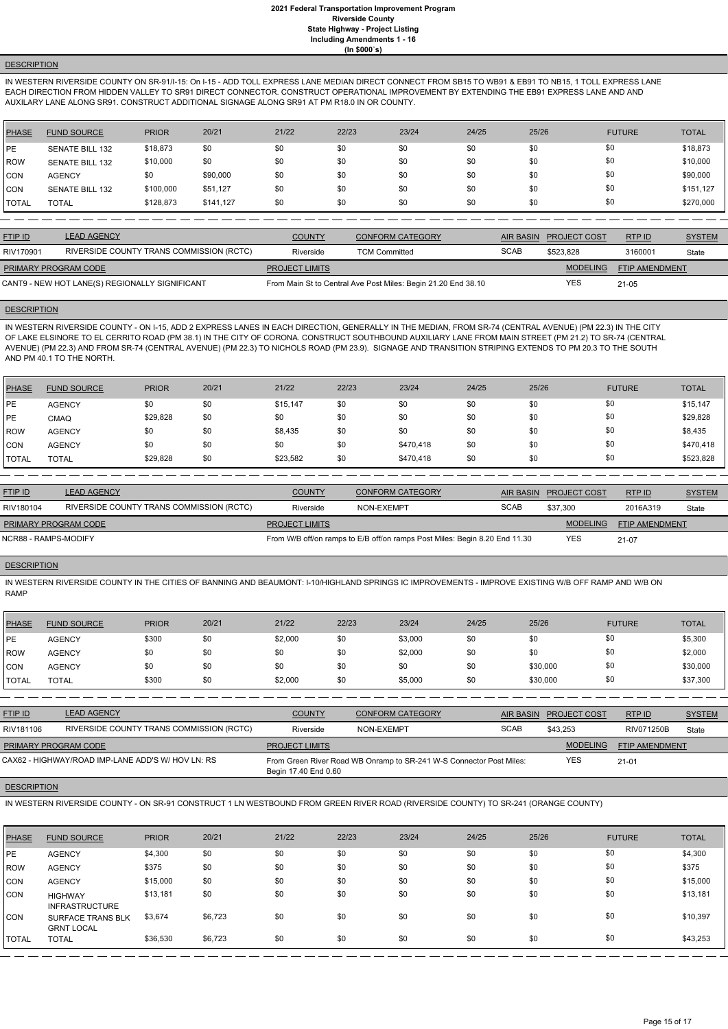# **DESCRIPTION**

IN WESTERN RIVERSIDE COUNTY ON SR-91/I-15: On I-15 - ADD TOLL EXPRESS LANE MEDIAN DIRECT CONNECT FROM SB15 TO WB91 & EB91 TO NB15, 1 TOLL EXPRESS LANE EACH DIRECTION FROM HIDDEN VALLEY TO SR91 DIRECT CONNECTOR. CONSTRUCT OPERATIONAL IMPROVEMENT BY EXTENDING THE EB91 EXPRESS LANE AND AND AUXILARY LANE ALONG SR91. CONSTRUCT ADDITIONAL SIGNAGE ALONG SR91 AT PM R18.0 IN OR COUNTY.

| PHASE      | <b>FUND SOURCE</b>     | <b>PRIOR</b> | 20/21     | 21/22 | 22/23 | 23/24 | 24/25 | 25/26 | <b>FUTURE</b> | <b>TOTAL</b> |
|------------|------------------------|--------------|-----------|-------|-------|-------|-------|-------|---------------|--------------|
| l PE.      | <b>SENATE BILL 132</b> | \$18,873     | \$0       | \$0   | \$0   | \$0   | \$0   | \$0   | \$0           | \$18,873     |
| ROW        | <b>SENATE BILL 132</b> | \$10,000     | \$0       | \$0   | \$0   | \$0   | \$0   | \$0   | \$0           | \$10,000     |
| <b>CON</b> | <b>AGENCY</b>          | \$0          | \$90,000  | \$0   | \$0   | \$0   | \$0   | \$0   | \$0           | \$90,000     |
| <b>CON</b> | <b>SENATE BILL 132</b> | \$100,000    | \$51,127  | \$0   | \$0   | \$0   | \$0   | \$0   | \$0           | \$151,127    |
| I TOTAL    | <b>TOTAL</b>           | \$128,873    | \$141,127 | \$0   | \$0   | \$0   | \$0   | \$0   | \$0           | \$270,000    |

| <b>FTIP ID</b>                                 | <b>LEAD AGENCY</b>                       | <b>COUNTY</b>         | <b>CONFORM CATEGORY</b>                                       |             | AIR BASIN PROJECT COST | RTPID                 | <b>SYSTEM</b> |
|------------------------------------------------|------------------------------------------|-----------------------|---------------------------------------------------------------|-------------|------------------------|-----------------------|---------------|
| RIV170901                                      | RIVERSIDE COUNTY TRANS COMMISSION (RCTC) | Riverside             | <b>TCM Committed</b>                                          | <b>SCAB</b> | \$523.828              | 3160001               | State         |
| <b>PRIMARY PROGRAM CODE</b>                    |                                          | <b>PROJECT LIMITS</b> |                                                               |             | <b>MODELING</b>        | <b>FTIP AMENDMENT</b> |               |
| CANT9 - NEW HOT LANE(S) REGIONALLY SIGNIFICANT |                                          |                       | From Main St to Central Ave Post Miles: Begin 21.20 End 38.10 |             | YES                    | $21 - 05$             |               |

# **DESCRIPTION**

IN WESTERN RIVERSIDE COUNTY - ON I-15, ADD 2 EXPRESS LANES IN EACH DIRECTION, GENERALLY IN THE MEDIAN, FROM SR-74 (CENTRAL AVENUE) (PM 22.3) IN THE CITY OF LAKE ELSINORE TO EL CERRITO ROAD (PM 38.1) IN THE CITY OF CORONA. CONSTRUCT SOUTHBOUND AUXILIARY LANE FROM MAIN STREET (PM 21.2) TO SR-74 (CENTRAL AVENUE) (PM 22.3) AND FROM SR-74 (CENTRAL AVENUE) (PM 22.3) TO NICHOLS ROAD (PM 23.9). SIGNAGE AND TRANSITION STRIPING EXTENDS TO PM 20.3 TO THE SOUTH AND PM 40.1 TO THE NORTH.

| <b>PHASE</b> | <b>FUND SOURCE</b> | <b>PRIOR</b> | 20/21 | 21/22    | 22/23 | 23/24     | 24/25 | 25/26 | <b>FUTURE</b> | <b>TOTAL</b> |
|--------------|--------------------|--------------|-------|----------|-------|-----------|-------|-------|---------------|--------------|
| PE           | <b>AGENCY</b>      | \$0          | \$0   | \$15,147 | \$0   | \$0       | \$0   | \$0   | \$0           | \$15,147     |
| PE           | <b>CMAQ</b>        | \$29,828     | \$0   | \$0      | \$0   | \$0       | \$0   | \$0   | \$0           | \$29,828     |
| <b>ROW</b>   | <b>AGENCY</b>      | \$0          | \$0   | \$8,435  | \$0   | \$0       | \$0   | \$0   | \$0           | \$8,435      |
| <b>CON</b>   | <b>AGENCY</b>      | \$0          | \$0   | \$0      | \$0   | \$470,418 | \$0   | \$0   | \$0           | \$470,418    |
| <b>TOTAL</b> | <b>TOTAL</b>       | \$29,828     | \$0   | \$23,582 | \$0   | \$470,418 | \$0   | \$0   | \$0           | \$523,828    |

| <b>FTIP ID</b>              | <b>LEAD AGENCY</b>                       | <b>COUNTY</b>         | <b>CONFORM CATEGORY</b>                                                    | <b>AIR BASIN</b> | <b>PROJECT COST</b> | RTP ID                | <b>SYSTEM</b> |
|-----------------------------|------------------------------------------|-----------------------|----------------------------------------------------------------------------|------------------|---------------------|-----------------------|---------------|
| RIV180104                   | RIVERSIDE COUNTY TRANS COMMISSION (RCTC) | Riverside             | NON-EXEMPT                                                                 | <b>SCAB</b>      | \$37.300            | 2016A319              | State         |
| <b>PRIMARY PROGRAM CODE</b> |                                          | <b>PROJECT LIMITS</b> |                                                                            |                  | <b>MODELING</b>     | <b>FTIP AMENDMENT</b> |               |
| NCR88 - RAMPS-MODIFY        |                                          |                       | From W/B off/on ramps to E/B off/on ramps Post Miles: Begin 8.20 End 11.30 |                  | <b>YES</b>          | 21-07                 |               |

## **DESCRIPTION**

IN WESTERN RIVERSIDE COUNTY IN THE CITIES OF BANNING AND BEAUMONT: I-10/HIGHLAND SPRINGS IC IMPROVEMENTS - IMPROVE EXISTING W/B OFF RAMP AND W/B ON RAMP

| PHASE        | <b>FUND SOURCE</b> | <b>PRIOR</b> | 20/21 | 21/22   | 22/23 | 23/24   | 24/25 | 25/26    | <b>FUTURE</b> | <b>TOTAL</b> |
|--------------|--------------------|--------------|-------|---------|-------|---------|-------|----------|---------------|--------------|
| PE           | <b>AGENCY</b>      | \$300        | \$0   | \$2,000 | \$0   | \$3,000 | \$0   | \$0      | \$0           | \$5,300      |
| ROW          | <b>AGENCY</b>      | \$0          | \$0   | \$0     | \$0   | \$2,000 | \$0   | \$0      | \$0           | \$2,000      |
| <b>CON</b>   | <b>AGENCY</b>      | \$0          | \$0   | \$0     | \$0   | \$0     | \$0   | \$30,000 | \$0           | \$30,000     |
| <b>TOTAL</b> | <b>TOTAL</b>       | \$300        | \$0   | \$2,000 | \$0   | \$5,000 | \$0   | \$30,000 | \$0           | \$37,300     |

| <b>FTIP ID</b>              | <b>LEAD AGENCY</b>                                | <b>COUNTY</b>         | <b>CONFORM CATEGORY</b>                                             | AIR BASIN   | <b>PROJECT COST</b> | <b>RTPID</b>          | <b>SYSTEM</b> |
|-----------------------------|---------------------------------------------------|-----------------------|---------------------------------------------------------------------|-------------|---------------------|-----------------------|---------------|
| RIV181106                   | RIVERSIDE COUNTY TRANS COMMISSION (RCTC)          | Riverside             | NON-EXEMPT                                                          | <b>SCAB</b> | \$43.253            | RIV071250B            | State         |
| <b>PRIMARY PROGRAM CODE</b> |                                                   | <b>PROJECT LIMITS</b> |                                                                     |             | <b>MODELING</b>     | <b>FTIP AMENDMENT</b> |               |
|                             | CAX62 - HIGHWAY/ROAD IMP-LANE ADD'S W/ HOV LN: RS | Begin 17.40 End 0.60  | From Green River Road WB Onramp to SR-241 W-S Connector Post Miles: |             | YES                 | $21 - 01$             |               |

#### **DESCRIPTION**

#### IN WESTERN RIVERSIDE COUNTY - ON SR-91 CONSTRUCT 1 LN WESTBOUND FROM GREEN RIVER ROAD (RIVERSIDE COUNTY) TO SR-241 (ORANGE COUNTY)

| <b>PHASE</b>  | <b>FUND SOURCE</b>                            | <b>PRIOR</b> | 20/21   | 21/22 | 22/23 | 23/24 | 24/25 | 25/26 | <b>FUTURE</b> | <b>TOTAL</b> |
|---------------|-----------------------------------------------|--------------|---------|-------|-------|-------|-------|-------|---------------|--------------|
| <b>IPE</b>    | <b>AGENCY</b>                                 | \$4,300      | \$0     | \$0   | \$0   | \$0   | \$0   | \$0   | \$0           | \$4,300      |
| ROW           | <b>AGENCY</b>                                 | \$375        | \$0     | \$0   | \$0   | \$0   | \$0   | \$0   | \$0           | \$375        |
| ICON          | <b>AGENCY</b>                                 | \$15,000     | \$0     | \$0   | \$0   | \$0   | \$0   | \$0   | \$0           | \$15,000     |
| <b>CON</b>    | <b>HIGHWAY</b><br><b>INFRASTRUCTURE</b>       | \$13,181     | \$0     | \$0   | \$0   | \$0   | \$0   | \$0   | \$0           | \$13,181     |
| <b>CON</b>    | <b>SURFACE TRANS BLK</b><br><b>GRNT LOCAL</b> | \$3,674      | \$6,723 | \$0   | \$0   | \$0   | \$0   | \$0   | \$0           | \$10,397     |
| <b>ITOTAL</b> | <b>TOTAL</b>                                  | \$36,530     | \$6,723 | \$0   | \$0   | \$0   | \$0   | \$0   | \$0           | \$43,253     |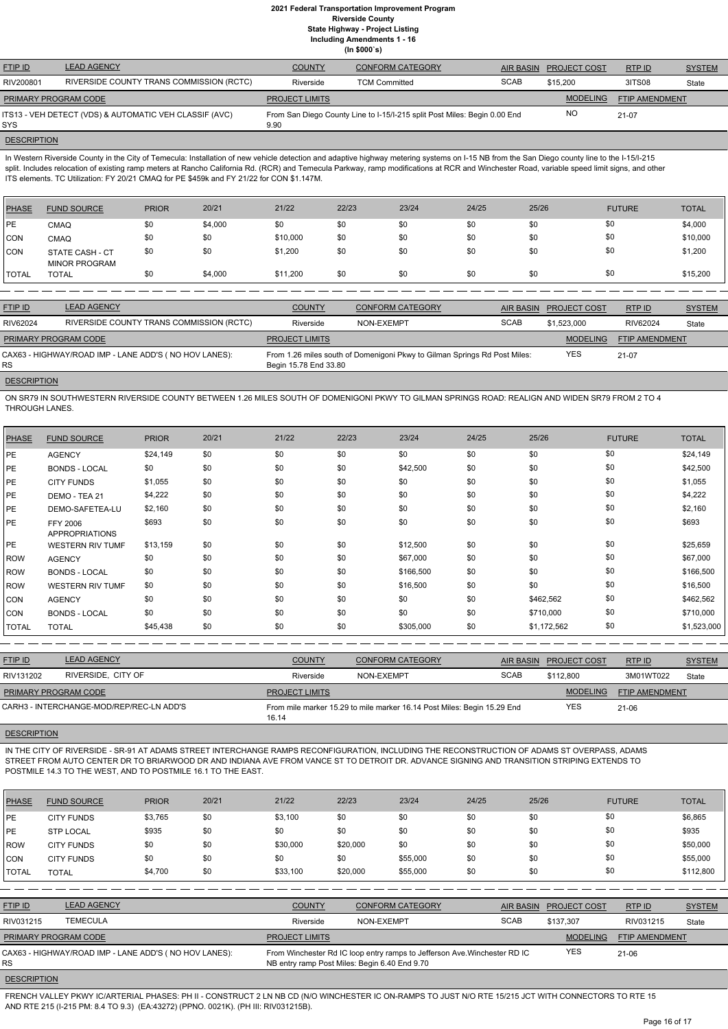| (ln \$000's) |  |
|--------------|--|
|              |  |

| <b>FTIP ID</b>              | <b>LEAD AGENCY</b>                                     | <b>COUNTY</b>         | <b>CONFORM CATEGORY</b>                                                   | <b>AIR BASIN</b> | <b>PROJECT COST</b> | RTPID                 | <b>SYSTEM</b> |
|-----------------------------|--------------------------------------------------------|-----------------------|---------------------------------------------------------------------------|------------------|---------------------|-----------------------|---------------|
| RIV200801                   | RIVERSIDE COUNTY TRANS COMMISSION (RCTC)               | Riverside             | <b>TCM Committed</b>                                                      | <b>SCAB</b>      | \$15,200            | 3ITS08                | State         |
| <b>PRIMARY PROGRAM CODE</b> |                                                        | <b>PROJECT LIMITS</b> |                                                                           |                  | <b>MODELING</b>     | <b>FTIP AMENDMENT</b> |               |
| <b>SYS</b>                  | ITS13 - VEH DETECT (VDS) & AUTOMATIC VEH CLASSIF (AVC) | 9.90                  | From San Diego County Line to I-15/I-215 split Post Miles: Begin 0.00 End |                  | NO                  | 21-07                 |               |
|                             |                                                        |                       |                                                                           |                  |                     |                       |               |

**DESCRIPTION** 

In Western Riverside County in the City of Temecula: Installation of new vehicle detection and adaptive highway metering systems on I-15 NB from the San Diego county line to the I-15/I-215 split. Includes relocation of existing ramp meters at Rancho California Rd. (RCR) and Temecula Parkway, ramp modifications at RCR and Winchester Road, variable speed limit signs, and other ITS elements. TC Utilization: FY 20/21 CMAQ for PE \$459k and FY 21/22 for CON \$1.147M.

| <b>PHASE</b> | <b>FUND SOURCE</b>                      | <b>PRIOR</b> | 20/21   | 21/22    | 22/23 | 23/24 | 24/25 | 25/26 | <b>FUTURE</b> | <b>TOTAL</b> |
|--------------|-----------------------------------------|--------------|---------|----------|-------|-------|-------|-------|---------------|--------------|
| <b>IPE</b>   | <b>CMAQ</b>                             | \$0          | \$4,000 | \$0      | \$0   | \$0   | \$0   | \$0   | \$0           | \$4,000      |
| CON          | <b>CMAQ</b>                             | \$0          | \$0     | \$10,000 | \$0   | \$0   | \$0   | \$0   | \$0           | \$10,000     |
| <b>CON</b>   | STATE CASH - CT<br><b>MINOR PROGRAM</b> | \$0          | \$0     | \$1,200  | \$0   | \$0   | \$0   | \$0   | \$0           | \$1,200      |
| <b>TOTAL</b> | <b>TOTAL</b>                            | \$0          | \$4,000 | \$11,200 | \$0   | \$0   | \$0   | \$0   | \$0           | \$15,200     |

| <b>FTIP ID</b>              | <b>LEAD AGENCY</b>                                     | <b>COUNTY</b>         | <b>CONFORM CATEGORY</b>                                                   |             | AIR BASIN PROJECT COST | RTPID          | <b>SYSTEM</b> |
|-----------------------------|--------------------------------------------------------|-----------------------|---------------------------------------------------------------------------|-------------|------------------------|----------------|---------------|
| RIV62024                    | RIVERSIDE COUNTY TRANS COMMISSION (RCTC)               | Riverside             | NON-EXEMPT                                                                | <b>SCAB</b> | \$1,523,000            | RIV62024       | State         |
| <b>PRIMARY PROGRAM CODE</b> |                                                        | <b>PROJECT LIMITS</b> |                                                                           |             | <b>MODELING</b>        | FTIP AMENDMENT |               |
| RS                          | CAX63 - HIGHWAY/ROAD IMP - LANE ADD'S ( NO HOV LANES): | Begin 15.78 End 33.80 | From 1.26 miles south of Domenigoni Pkwy to Gilman Springs Rd Post Miles: |             | <b>YES</b>             | 21-07          |               |
|                             |                                                        |                       |                                                                           |             |                        |                |               |

**DESCRIPTION** 

ON SR79 IN SOUTHWESTERN RIVERSIDE COUNTY BETWEEN 1.26 MILES SOUTH OF DOMENIGONI PKWY TO GILMAN SPRINGS ROAD: REALIGN AND WIDEN SR79 FROM 2 TO 4 THROUGH LANES.

| PHASE      | <b>FUND SOURCE</b>                       | <b>PRIOR</b> | 20/21 | 21/22 | 22/23 | 23/24     | 24/25 | 25/26       | <b>FUTURE</b> | <b>TOTAL</b> |
|------------|------------------------------------------|--------------|-------|-------|-------|-----------|-------|-------------|---------------|--------------|
| PE         | <b>AGENCY</b>                            | \$24,149     | \$0   | \$0   | \$0   | \$0       | \$0   | \$0         | \$0           | \$24,149     |
| PE         | <b>BONDS - LOCAL</b>                     | \$0          | \$0   | \$0   | \$0   | \$42,500  | \$0   | \$0         | \$0           | \$42,500     |
| PE         | <b>CITY FUNDS</b>                        | \$1,055      | \$0   | \$0   | \$0   | \$0       | \$0   | \$0         | \$0           | \$1,055      |
| PE         | DEMO - TEA 21                            | \$4,222      | \$0   | \$0   | \$0   | \$0       | \$0   | \$0         | \$0           | \$4,222      |
| PE         | DEMO-SAFETEA-LU                          | \$2,160      | \$0   | \$0   | \$0   | \$0       | \$0   | \$0         | \$0           | \$2,160      |
| PE         | <b>FFY 2006</b><br><b>APPROPRIATIONS</b> | \$693        | \$0   | \$0   | \$0   | \$0       | \$0   | \$0         | \$0           | \$693        |
| PE         | <b>WESTERN RIV TUMF</b>                  | \$13,159     | \$0   | \$0   | \$0   | \$12,500  | \$0   | \$0         | \$0           | \$25,659     |
| ROW        | <b>AGENCY</b>                            | \$0          | \$0   | \$0   | \$0   | \$67,000  | \$0   | \$0         | \$0           | \$67,000     |
| ROW        | <b>BONDS - LOCAL</b>                     | \$0          | \$0   | \$0   | \$0   | \$166,500 | \$0   | \$0         | \$0           | \$166,500    |
| ROW        | <b>WESTERN RIV TUMF</b>                  | \$0          | \$0   | \$0   | \$0   | \$16,500  | \$0   | \$0         | \$0           | \$16,500     |
| <b>CON</b> | <b>AGENCY</b>                            | \$0          | \$0   | \$0   | \$0   | \$0       | \$0   | \$462,562   | \$0           | \$462,562    |
| <b>CON</b> | <b>BONDS - LOCAL</b>                     | \$0          | \$0   | \$0   | \$0   | \$0       | \$0   | \$710,000   | \$0           | \$710,000    |
| TOTAL      | <b>TOTAL</b>                             | \$45,438     | \$0   | \$0   | \$0   | \$305,000 | \$0   | \$1,172,562 | \$0           | \$1,523,000  |

| <b>FTIP ID</b>              | <b>LEAD AGENCY</b>                       | <b>COUNTY</b>         | <b>CONFORM CATEGORY</b>                                                 |             | AIR BASIN PROJECT COST | RTPID          | <b>SYSTEM</b> |
|-----------------------------|------------------------------------------|-----------------------|-------------------------------------------------------------------------|-------------|------------------------|----------------|---------------|
| RIV131202                   | RIVERSIDE, CITY OF                       | Riverside             | NON-EXEMPT                                                              | <b>SCAB</b> | \$112,800              | 3M01WT022      | State         |
| <b>PRIMARY PROGRAM CODE</b> |                                          | <b>PROJECT LIMITS</b> |                                                                         |             | <b>MODELING</b>        | FTIP AMENDMENT |               |
|                             | CARH3 - INTERCHANGE-MOD/REP/REC-LN ADD'S | 16.14                 | From mile marker 15.29 to mile marker 16.14 Post Miles: Begin 15.29 End |             | <b>YES</b>             | 21-06          |               |

## **DESCRIPTION**

IN THE CITY OF RIVERSIDE - SR-91 AT ADAMS STREET INTERCHANGE RAMPS RECONFIGURATION, INCLUDING THE RECONSTRUCTION OF ADAMS ST OVERPASS, ADAMS STREET FROM AUTO CENTER DR TO BRIARWOOD DR AND INDIANA AVE FROM VANCE ST TO DETROIT DR. ADVANCE SIGNING AND TRANSITION STRIPING EXTENDS TO POSTMILE 14.3 TO THE WEST, AND TO POSTMILE 16.1 TO THE EAST.

| <b>PHASE</b>         | <b>FUND SOURCE</b>                                    | <b>PRIOR</b> | 20/21 | 21/22                 | 22/23                                                                                                                      | 23/24                   | 24/25       | 25/26            |                     | <b>FUTURE</b>  | <b>TOTAL</b>  |
|----------------------|-------------------------------------------------------|--------------|-------|-----------------------|----------------------------------------------------------------------------------------------------------------------------|-------------------------|-------------|------------------|---------------------|----------------|---------------|
| IPE.                 | <b>CITY FUNDS</b>                                     | \$3,765      | \$0   | \$3,100               | \$0                                                                                                                        | \$0                     | \$0         | \$0              | \$0                 |                | \$6,865       |
| IPE.                 | <b>STP LOCAL</b>                                      | \$935        | \$0   | \$0                   | \$0                                                                                                                        | \$0                     | \$0         | \$0              | \$0                 |                | \$935         |
| <b>ROW</b>           | <b>CITY FUNDS</b>                                     | \$0          | \$0   | \$30,000              | \$20,000                                                                                                                   | \$0                     | \$0         | \$0              | \$0                 |                | \$50,000      |
| <b>CON</b>           | <b>CITY FUNDS</b>                                     | \$0          | \$0   | \$0                   | \$0                                                                                                                        | \$55,000                | \$0         | \$0              | \$0                 |                | \$55,000      |
| <b>TOTAL</b>         | <b>TOTAL</b>                                          | \$4,700      | \$0   | \$33,100              | \$20,000                                                                                                                   | \$55,000                | \$0         | \$0              | \$0                 |                | \$112,800     |
|                      |                                                       |              |       |                       |                                                                                                                            |                         |             |                  |                     |                |               |
| FTIP ID              | <b>LEAD AGENCY</b>                                    |              |       | <b>COUNTY</b>         |                                                                                                                            | <b>CONFORM CATEGORY</b> |             | <b>AIR BASIN</b> | <b>PROJECT COST</b> | RTPID          | <b>SYSTEM</b> |
| RIV031215            | <b>TEMECULA</b>                                       |              |       | Riverside             | NON-EXEMPT                                                                                                                 |                         | <b>SCAB</b> |                  | \$137.307           | RIV031215      | State         |
| PRIMARY PROGRAM CODE |                                                       |              |       | <b>PROJECT LIMITS</b> |                                                                                                                            |                         |             |                  | <b>MODELING</b>     | FTIP AMENDMENT |               |
| <b>RS</b>            | CAX63 - HIGHWAY/ROAD IMP - LANE ADD'S (NO HOV LANES): |              |       |                       | From Winchester Rd IC loop entry ramps to Jefferson Ave. Winchester RD IC<br>NB entry ramp Post Miles: Begin 6.40 End 9.70 |                         |             |                  | <b>YES</b>          | $21 - 06$      |               |

**DESCRIPTION** 

FRENCH VALLEY PKWY IC/ARTERIAL PHASES: PH II - CONSTRUCT 2 LN NB CD (N/O WINCHESTER IC ON-RAMPS TO JUST N/O RTE 15/215 JCT WITH CONNECTORS TO RTE 15 AND RTE 215 (I-215 PM: 8.4 TO 9.3) (EA:43272) (PPNO. 0021K). (PH III: RIV031215B).